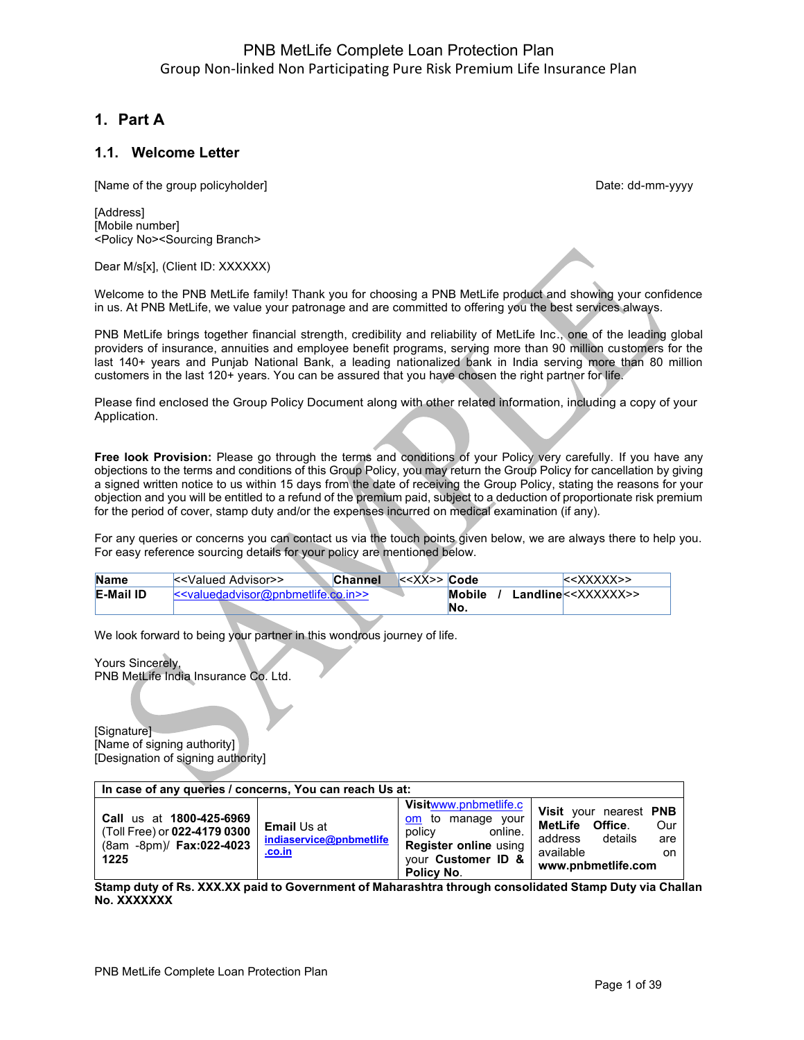# **1. Part A**

## **1.1. Welcome Letter**

[Name of the group policyholder] example and the group of the group policyholder]

**[Address]** [Mobile number] <Policy No><Sourcing Branch>

Dear M/s[x], (Client ID: XXXXXX)

Welcome to the PNB MetLife family! Thank you for choosing a PNB MetLife product and showing your confidence in us. At PNB MetLife, we value your patronage and are committed to offering you the best services always.

PNB MetLife brings together financial strength, credibility and reliability of MetLife Inc., one of the leading global providers of insurance, annuities and employee benefit programs, serving more than 90 million customers for the last 140+ years and Punjab National Bank, a leading nationalized bank in India serving more than 80 million customers in the last 120+ years. You can be assured that you have chosen the right partner for life.

Please find enclosed the Group Policy Document along with other related information, including a copy of your Application.

**Free look Provision:** Please go through the terms and conditions of your Policy very carefully. If you have any objections to the terms and conditions of this Group Policy, you may return the Group Policy for cancellation by giving a signed written notice to us within 15 days from the date of receiving the Group Policy, stating the reasons for your objection and you will be entitled to a refund of the premium paid, subject to a deduction of proportionate risk premium for the period of cover, stamp duty and/or the expenses incurred on medical examination (if any).

For any queries or concerns you can contact us via the touch points given below, we are always there to help you. For easy reference sourcing details for your policy are mentioned below.

| <b>Name</b>      | l< <valued advisor="">&gt;</valued>    | <b>Channel</b> | $\leq$ < XX>> Code |               | < <xxxxx>&gt;</xxxxx>           |
|------------------|----------------------------------------|----------------|--------------------|---------------|---------------------------------|
| <b>E-Mail ID</b> | $\le$ valuedadvisor@pnbmetlife.co.in>> |                |                    | <b>Mobile</b> | Landline< <xxxxxx>&gt;</xxxxxx> |
|                  |                                        |                |                    | No.           |                                 |

We look forward to being your partner in this wondrous journey of life.

Yours Sincerely,

PNB MetLife India Insurance Co. Ltd.

[Signature] [Name of signing authority] [Designation of signing authority]

| In case of any queries / concerns, You can reach Us at:                                             |                                                         |                                                                                                                                            |                                                                                                                        |  |
|-----------------------------------------------------------------------------------------------------|---------------------------------------------------------|--------------------------------------------------------------------------------------------------------------------------------------------|------------------------------------------------------------------------------------------------------------------------|--|
| Call us at 1800-425-6969<br>(Toll Free) or <b>022-4179 0300</b><br>(8am -8pm)/ Fax:022-4023<br>1225 | <b>Email Us at</b><br>indiaservice@pnbmetlife<br>.co.in | <b>Visitwww.pnbmetlife.c</b><br>om to manage your<br>policy<br>online.<br><b>Register online using</b><br>vour Customer ID &<br>Policy No. | Visit your nearest PNB<br>MetLife Office.<br>Our<br>details<br>address<br>are<br>available<br>on<br>www.pnbmetlife.com |  |

**Stamp duty of Rs. XXX.XX paid to Government of Maharashtra through consolidated Stamp Duty via Challan No. XXXXXXX**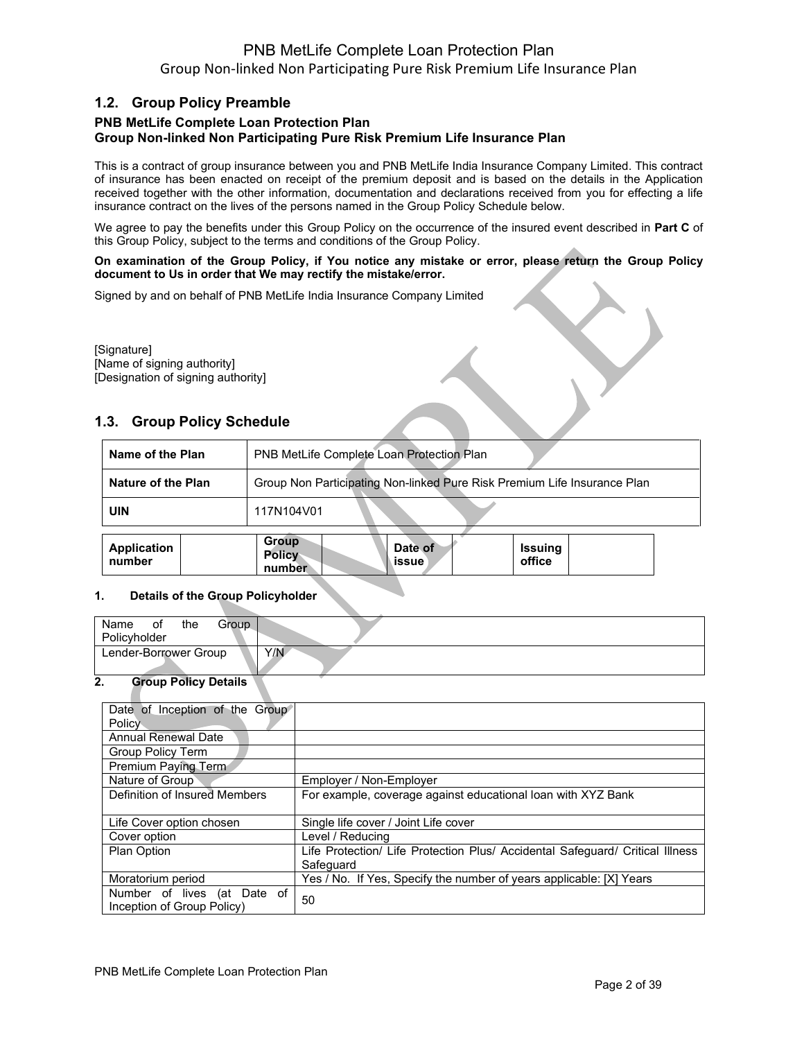## **1.2. Group Policy Preamble**

## **PNB MetLife Complete Loan Protection Plan Group Non-linked Non Participating Pure Risk Premium Life Insurance Plan**

This is a contract of group insurance between you and PNB MetLife India Insurance Company Limited. This contract of insurance has been enacted on receipt of the premium deposit and is based on the details in the Application received together with the other information, documentation and declarations received from you for effecting a life insurance contract on the lives of the persons named in the Group Policy Schedule below.

We agree to pay the benefits under this Group Policy on the occurrence of the insured event described in **Part C** of this Group Policy, subject to the terms and conditions of the Group Policy.

### **On examination of the Group Policy, if You notice any mistake or error, please return the Group Policy document to Us in order that We may rectify the mistake/error.**

Signed by and on behalf of PNB MetLife India Insurance Company Limited

[Signature] [Name of signing authority] [Designation of signing authority]

## **1.3. Group Policy Schedule**

| Name of the Plan   | PNB MetLife Complete Loan Protection Plan                                |
|--------------------|--------------------------------------------------------------------------|
| Nature of the Plan | Group Non Participating Non-linked Pure Risk Premium Life Insurance Plan |
| <b>UIN</b>         | 117N104V01                                                               |
| Annlication        | <b>Group</b><br>$P = 4$                                                  |

| Application<br>number | <b>PIPUP</b><br><b>Policy</b><br>number | Date of<br>l issue | <b>Issuing</b><br>office |
|-----------------------|-----------------------------------------|--------------------|--------------------------|
|                       |                                         |                    |                          |

### **1. Details of the Group Policyholder**

| Name<br>0t<br>Policyholder | the | Group |     |
|----------------------------|-----|-------|-----|
| Lender-Borrower Group      |     |       | Y/N |

### **2. Group Policy Details**

| Date of Inception of the Group |                                                                               |
|--------------------------------|-------------------------------------------------------------------------------|
| Policy                         |                                                                               |
| <b>Annual Renewal Date</b>     |                                                                               |
| Group Policy Term              |                                                                               |
| Premium Paying Term            |                                                                               |
| Nature of Group                | Employer / Non-Employer                                                       |
| Definition of Insured Members  | For example, coverage against educational loan with XYZ Bank                  |
|                                |                                                                               |
| Life Cover option chosen       | Single life cover / Joint Life cover                                          |
| Cover option                   | Level / Reducing                                                              |
| Plan Option                    | Life Protection/ Life Protection Plus/ Accidental Safeguard/ Critical Illness |
|                                | Safeguard                                                                     |
| Moratorium period              | Yes / No. If Yes, Specify the number of years applicable: [X] Years           |
| (at Date of<br>Number of lives | 50                                                                            |
| Inception of Group Policy)     |                                                                               |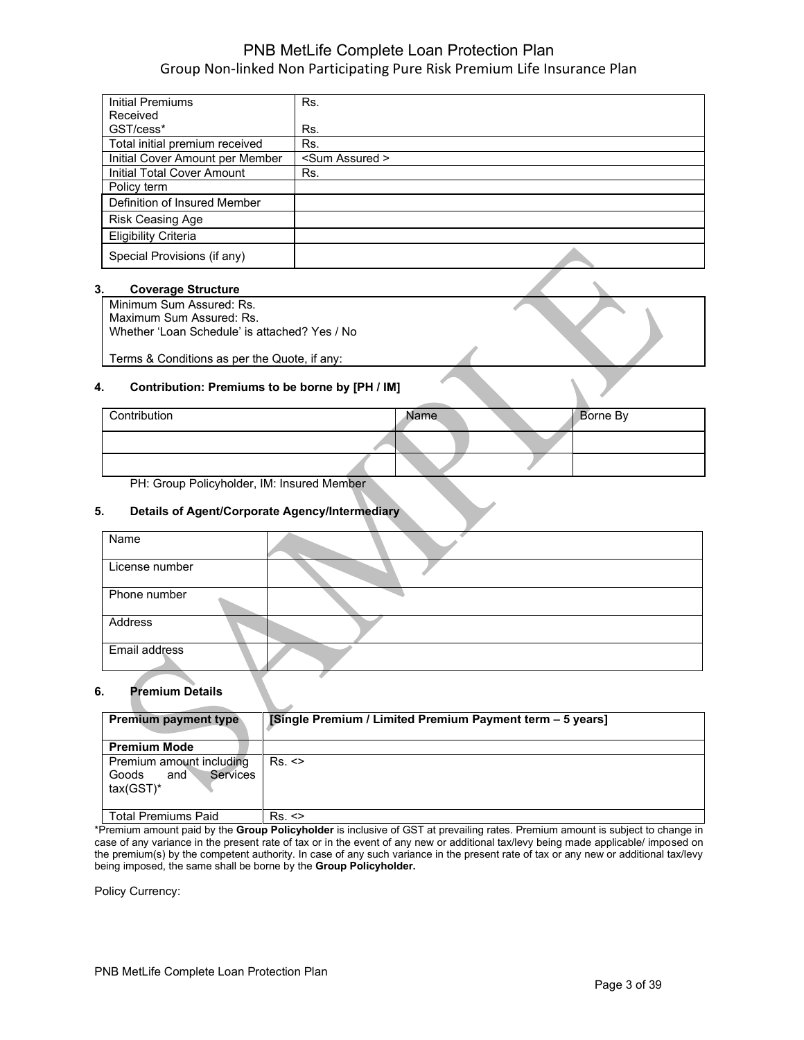| <b>Initial Premiums</b>         | Rs.                    |
|---------------------------------|------------------------|
| Received                        |                        |
| GST/cess*                       | Rs.                    |
| Total initial premium received  | Rs.                    |
| Initial Cover Amount per Member | <sum assured=""></sum> |
| Initial Total Cover Amount      | Rs.                    |
| Policy term                     |                        |
| Definition of Insured Member    |                        |
| <b>Risk Ceasing Age</b>         |                        |
| <b>Eligibility Criteria</b>     |                        |
| Special Provisions (if any)     |                        |

### **3. Coverage Structure**

Minimum Sum Assured: Rs. Maximum Sum Assured: Rs. Whether 'Loan Schedule' is attached? Yes / No

Terms & Conditions as per the Quote, if any:

### **4. Contribution: Premiums to be borne by [PH / IM]**

| Contribution | Name | Borne By |
|--------------|------|----------|
|              |      |          |
|              |      |          |

PH: Group Policyholder, IM: Insured Member

### **5. Details of Agent/Corporate Agency/Intermediary**

| Name           |  |
|----------------|--|
| License number |  |
| Phone number   |  |
| Address        |  |
| Email address  |  |

### **6. Premium Details**

| <b>Premium payment type</b>                                                 | [Single Premium / Limited Premium Payment term - 5 years] |
|-----------------------------------------------------------------------------|-----------------------------------------------------------|
| <b>Premium Mode</b>                                                         |                                                           |
| Premium amount including<br><b>Services</b><br>Goods<br>and<br>$tax(GST)^*$ | $Rs.$ $\leq$                                              |
| Total Premiums Paid                                                         | Rs.                                                       |

\*Premium amount paid by the **Group Policyholder** is inclusive of GST at prevailing rates. Premium amount is subject to change in case of any variance in the present rate of tax or in the event of any new or additional tax/levy being made applicable/ imposed on the premium(s) by the competent authority. In case of any such variance in the present rate of tax or any new or additional tax/levy being imposed, the same shall be borne by the **Group Policyholder.** 

Policy Currency: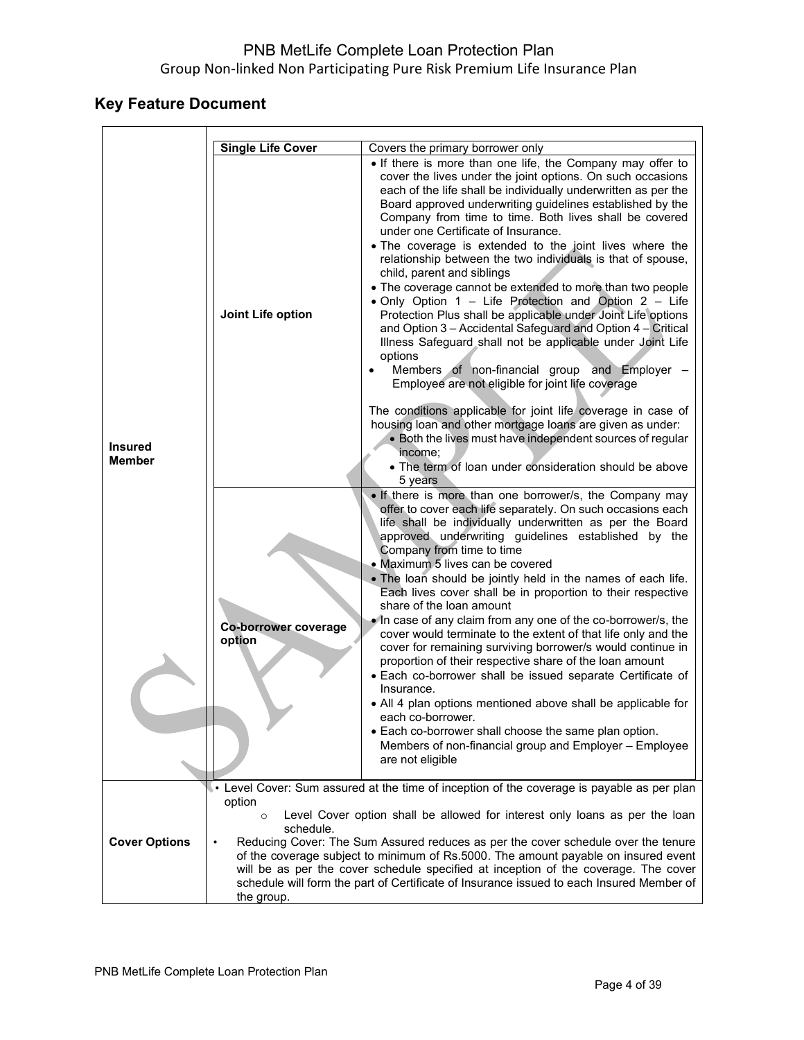# **Key Feature Document**

 $\mathbf{r}$ 

|                          | <b>Single Life Cover</b>       | Covers the primary borrower only                                                                                                                                                                                                                                                                                                                                                                                                                                                                                                                                                                                                                                                                                                                                                                                                                                                                                                                                                                                                         |
|--------------------------|--------------------------------|------------------------------------------------------------------------------------------------------------------------------------------------------------------------------------------------------------------------------------------------------------------------------------------------------------------------------------------------------------------------------------------------------------------------------------------------------------------------------------------------------------------------------------------------------------------------------------------------------------------------------------------------------------------------------------------------------------------------------------------------------------------------------------------------------------------------------------------------------------------------------------------------------------------------------------------------------------------------------------------------------------------------------------------|
|                          |                                | • If there is more than one life, the Company may offer to                                                                                                                                                                                                                                                                                                                                                                                                                                                                                                                                                                                                                                                                                                                                                                                                                                                                                                                                                                               |
|                          |                                | cover the lives under the joint options. On such occasions<br>each of the life shall be individually underwritten as per the<br>Board approved underwriting guidelines established by the<br>Company from time to time. Both lives shall be covered<br>under one Certificate of Insurance.<br>. The coverage is extended to the joint lives where the                                                                                                                                                                                                                                                                                                                                                                                                                                                                                                                                                                                                                                                                                    |
|                          |                                | relationship between the two individuals is that of spouse,<br>child, parent and siblings                                                                                                                                                                                                                                                                                                                                                                                                                                                                                                                                                                                                                                                                                                                                                                                                                                                                                                                                                |
|                          | Joint Life option              | • The coverage cannot be extended to more than two people<br>. Only Option 1 - Life Protection and Option 2 - Life<br>Protection Plus shall be applicable under Joint Life options<br>and Option 3 - Accidental Safeguard and Option 4 - Critical<br>Illness Safeguard shall not be applicable under Joint Life<br>options<br>Members of non-financial group and Employer -<br>Employee are not eligible for joint life coverage                                                                                                                                                                                                                                                                                                                                                                                                                                                                                                                                                                                                         |
| <b>Insured</b><br>Member |                                | The conditions applicable for joint life coverage in case of<br>housing loan and other mortgage loans are given as under:<br>• Both the lives must have independent sources of regular<br>income;<br>• The term of loan under consideration should be above                                                                                                                                                                                                                                                                                                                                                                                                                                                                                                                                                                                                                                                                                                                                                                              |
|                          |                                | 5 years                                                                                                                                                                                                                                                                                                                                                                                                                                                                                                                                                                                                                                                                                                                                                                                                                                                                                                                                                                                                                                  |
|                          | Co-borrower coverage<br>option | . If there is more than one borrower/s, the Company may<br>offer to cover each life separately. On such occasions each<br>life shall be individually underwritten as per the Board<br>approved underwriting guidelines established by the<br>Company from time to time<br>• Maximum 5 lives can be covered<br>. The loan should be jointly held in the names of each life.<br>Each lives cover shall be in proportion to their respective<br>share of the loan amount<br>• In case of any claim from any one of the co-borrower/s, the<br>cover would terminate to the extent of that life only and the<br>cover for remaining surviving borrower/s would continue in<br>proportion of their respective share of the loan amount<br>• Each co-borrower shall be issued separate Certificate of<br>Insurance.<br>• All 4 plan options mentioned above shall be applicable for<br>each co-borrower.<br>• Each co-borrower shall choose the same plan option.<br>Members of non-financial group and Employer - Employee<br>are not eligible |
| <b>Cover Options</b>     | option<br>$\circ$<br>schedule. | Level Cover: Sum assured at the time of inception of the coverage is payable as per plan<br>Level Cover option shall be allowed for interest only loans as per the loan<br>Reducing Cover: The Sum Assured reduces as per the cover schedule over the tenure<br>of the coverage subject to minimum of Rs.5000. The amount payable on insured event                                                                                                                                                                                                                                                                                                                                                                                                                                                                                                                                                                                                                                                                                       |
|                          | the group.                     | will be as per the cover schedule specified at inception of the coverage. The cover<br>schedule will form the part of Certificate of Insurance issued to each Insured Member of                                                                                                                                                                                                                                                                                                                                                                                                                                                                                                                                                                                                                                                                                                                                                                                                                                                          |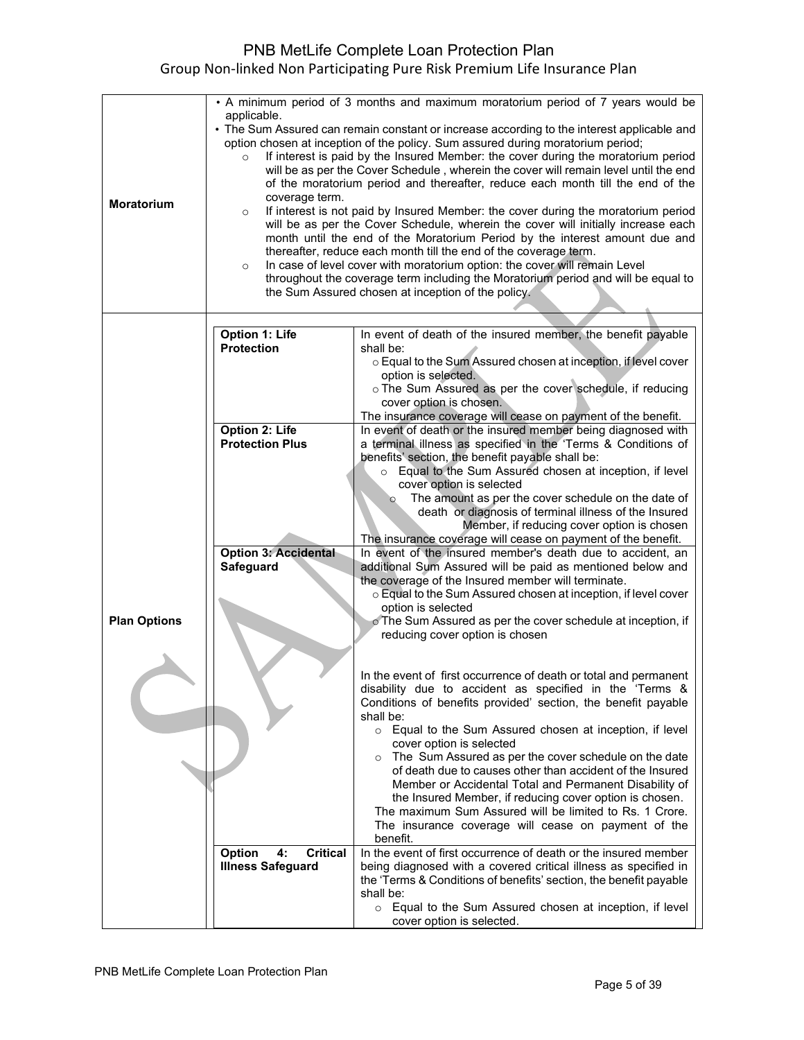| <b>Moratorium</b>   | • A minimum period of 3 months and maximum moratorium period of 7 years would be<br>applicable.<br>• The Sum Assured can remain constant or increase according to the interest applicable and<br>option chosen at inception of the policy. Sum assured during moratorium period;<br>If interest is paid by the Insured Member: the cover during the moratorium period<br>$\circ$<br>will be as per the Cover Schedule, wherein the cover will remain level until the end<br>of the moratorium period and thereafter, reduce each month till the end of the<br>coverage term.<br>If interest is not paid by Insured Member: the cover during the moratorium period<br>$\circ$<br>will be as per the Cover Schedule, wherein the cover will initially increase each<br>month until the end of the Moratorium Period by the interest amount due and<br>thereafter, reduce each month till the end of the coverage term.<br>In case of level cover with moratorium option: the cover will remain Level<br>$\circ$ |                                                                                                                                                                                                           |  |
|---------------------|---------------------------------------------------------------------------------------------------------------------------------------------------------------------------------------------------------------------------------------------------------------------------------------------------------------------------------------------------------------------------------------------------------------------------------------------------------------------------------------------------------------------------------------------------------------------------------------------------------------------------------------------------------------------------------------------------------------------------------------------------------------------------------------------------------------------------------------------------------------------------------------------------------------------------------------------------------------------------------------------------------------|-----------------------------------------------------------------------------------------------------------------------------------------------------------------------------------------------------------|--|
|                     |                                                                                                                                                                                                                                                                                                                                                                                                                                                                                                                                                                                                                                                                                                                                                                                                                                                                                                                                                                                                               | throughout the coverage term including the Moratorium period and will be equal to<br>the Sum Assured chosen at inception of the policy.                                                                   |  |
|                     |                                                                                                                                                                                                                                                                                                                                                                                                                                                                                                                                                                                                                                                                                                                                                                                                                                                                                                                                                                                                               |                                                                                                                                                                                                           |  |
|                     | <b>Option 1: Life</b><br><b>Protection</b>                                                                                                                                                                                                                                                                                                                                                                                                                                                                                                                                                                                                                                                                                                                                                                                                                                                                                                                                                                    | In event of death of the insured member, the benefit payable<br>shall be:<br>o Equal to the Sum Assured chosen at inception, if level cover                                                               |  |
|                     |                                                                                                                                                                                                                                                                                                                                                                                                                                                                                                                                                                                                                                                                                                                                                                                                                                                                                                                                                                                                               | option is selected.<br>o The Sum Assured as per the cover schedule, if reducing<br>cover option is chosen.<br>The insurance coverage will cease on payment of the benefit.                                |  |
|                     | <b>Option 2: Life</b>                                                                                                                                                                                                                                                                                                                                                                                                                                                                                                                                                                                                                                                                                                                                                                                                                                                                                                                                                                                         | In event of death or the insured member being diagnosed with                                                                                                                                              |  |
|                     | <b>Protection Plus</b>                                                                                                                                                                                                                                                                                                                                                                                                                                                                                                                                                                                                                                                                                                                                                                                                                                                                                                                                                                                        | a terminal illness as specified in the 'Terms & Conditions of<br>benefits' section, the benefit payable shall be:                                                                                         |  |
|                     |                                                                                                                                                                                                                                                                                                                                                                                                                                                                                                                                                                                                                                                                                                                                                                                                                                                                                                                                                                                                               | o Equal to the Sum Assured chosen at inception, if level                                                                                                                                                  |  |
|                     |                                                                                                                                                                                                                                                                                                                                                                                                                                                                                                                                                                                                                                                                                                                                                                                                                                                                                                                                                                                                               | cover option is selected<br>The amount as per the cover schedule on the date of<br>$\circ$                                                                                                                |  |
|                     |                                                                                                                                                                                                                                                                                                                                                                                                                                                                                                                                                                                                                                                                                                                                                                                                                                                                                                                                                                                                               | death or diagnosis of terminal illness of the Insured<br>Member, if reducing cover option is chosen                                                                                                       |  |
|                     |                                                                                                                                                                                                                                                                                                                                                                                                                                                                                                                                                                                                                                                                                                                                                                                                                                                                                                                                                                                                               | The insurance coverage will cease on payment of the benefit.                                                                                                                                              |  |
|                     | <b>Option 3: Accidental</b><br>Safeguard                                                                                                                                                                                                                                                                                                                                                                                                                                                                                                                                                                                                                                                                                                                                                                                                                                                                                                                                                                      | In event of the insured member's death due to accident, an<br>additional Sum Assured will be paid as mentioned below and<br>the coverage of the Insured member will terminate.                            |  |
|                     |                                                                                                                                                                                                                                                                                                                                                                                                                                                                                                                                                                                                                                                                                                                                                                                                                                                                                                                                                                                                               | o Equal to the Sum Assured chosen at inception, if level cover<br>option is selected                                                                                                                      |  |
| <b>Plan Options</b> |                                                                                                                                                                                                                                                                                                                                                                                                                                                                                                                                                                                                                                                                                                                                                                                                                                                                                                                                                                                                               | o The Sum Assured as per the cover schedule at inception, if<br>reducing cover option is chosen                                                                                                           |  |
|                     |                                                                                                                                                                                                                                                                                                                                                                                                                                                                                                                                                                                                                                                                                                                                                                                                                                                                                                                                                                                                               |                                                                                                                                                                                                           |  |
|                     |                                                                                                                                                                                                                                                                                                                                                                                                                                                                                                                                                                                                                                                                                                                                                                                                                                                                                                                                                                                                               | In the event of first occurrence of death or total and permanent<br>disability due to accident as specified in the 'Terms &<br>Conditions of benefits provided' section, the benefit payable<br>shall be: |  |
|                     |                                                                                                                                                                                                                                                                                                                                                                                                                                                                                                                                                                                                                                                                                                                                                                                                                                                                                                                                                                                                               | o Equal to the Sum Assured chosen at inception, if level                                                                                                                                                  |  |
|                     |                                                                                                                                                                                                                                                                                                                                                                                                                                                                                                                                                                                                                                                                                                                                                                                                                                                                                                                                                                                                               | cover option is selected<br>The Sum Assured as per the cover schedule on the date                                                                                                                         |  |
|                     |                                                                                                                                                                                                                                                                                                                                                                                                                                                                                                                                                                                                                                                                                                                                                                                                                                                                                                                                                                                                               | of death due to causes other than accident of the Insured                                                                                                                                                 |  |
|                     |                                                                                                                                                                                                                                                                                                                                                                                                                                                                                                                                                                                                                                                                                                                                                                                                                                                                                                                                                                                                               | Member or Accidental Total and Permanent Disability of<br>the Insured Member, if reducing cover option is chosen.                                                                                         |  |
|                     |                                                                                                                                                                                                                                                                                                                                                                                                                                                                                                                                                                                                                                                                                                                                                                                                                                                                                                                                                                                                               | The maximum Sum Assured will be limited to Rs. 1 Crore.<br>The insurance coverage will cease on payment of the<br>benefit.                                                                                |  |
|                     | <b>Critical</b><br>Option<br>4:                                                                                                                                                                                                                                                                                                                                                                                                                                                                                                                                                                                                                                                                                                                                                                                                                                                                                                                                                                               | In the event of first occurrence of death or the insured member                                                                                                                                           |  |
|                     | <b>Illness Safeguard</b>                                                                                                                                                                                                                                                                                                                                                                                                                                                                                                                                                                                                                                                                                                                                                                                                                                                                                                                                                                                      | being diagnosed with a covered critical illness as specified in<br>the 'Terms & Conditions of benefits' section, the benefit payable<br>shall be:                                                         |  |
|                     |                                                                                                                                                                                                                                                                                                                                                                                                                                                                                                                                                                                                                                                                                                                                                                                                                                                                                                                                                                                                               | o Equal to the Sum Assured chosen at inception, if level<br>cover option is selected.                                                                                                                     |  |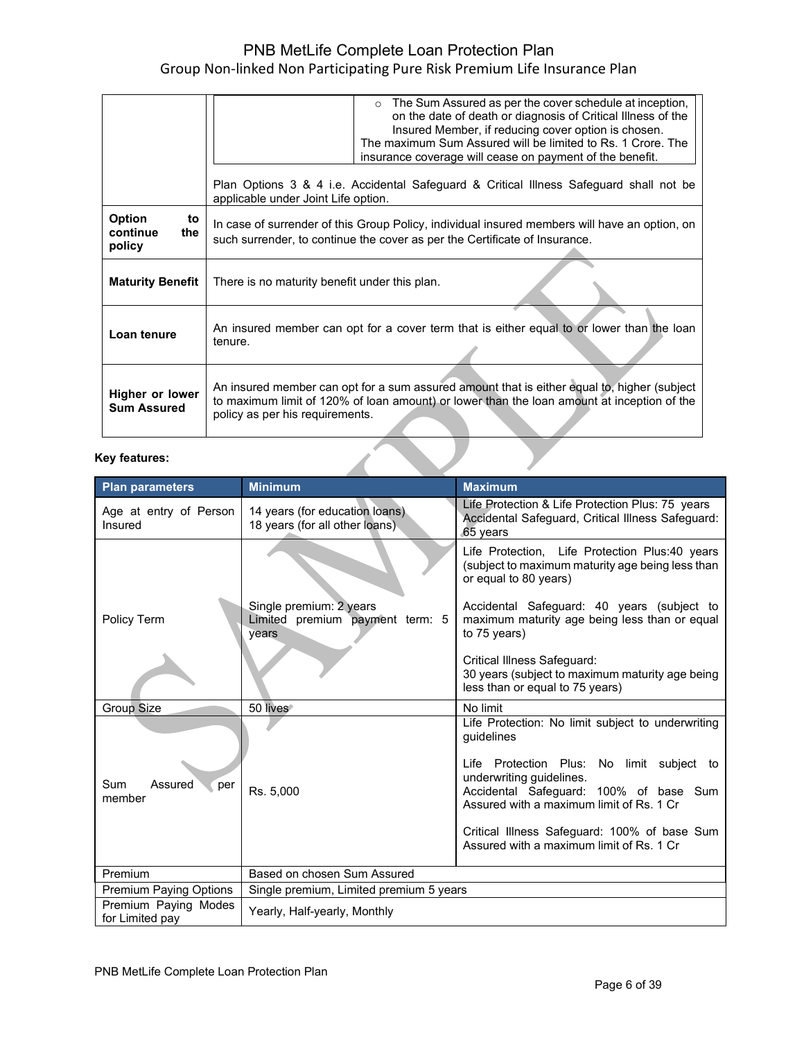|                                            | The Sum Assured as per the cover schedule at inception,<br>on the date of death or diagnosis of Critical Illness of the<br>Insured Member, if reducing cover option is chosen.<br>The maximum Sum Assured will be limited to Rs. 1 Crore. The<br>insurance coverage will cease on payment of the benefit. |  |
|--------------------------------------------|-----------------------------------------------------------------------------------------------------------------------------------------------------------------------------------------------------------------------------------------------------------------------------------------------------------|--|
|                                            | Plan Options 3 & 4 i.e. Accidental Safeguard & Critical Illness Safeguard shall not be<br>applicable under Joint Life option.                                                                                                                                                                             |  |
| Option<br>to<br>continue<br>the.<br>policy | In case of surrender of this Group Policy, individual insured members will have an option, on<br>such surrender, to continue the cover as per the Certificate of Insurance.                                                                                                                               |  |
| <b>Maturity Benefit</b>                    | There is no maturity benefit under this plan.                                                                                                                                                                                                                                                             |  |
| Loan tenure                                | An insured member can opt for a cover term that is either equal to or lower than the loan<br>tenure.                                                                                                                                                                                                      |  |
| Higher or lower<br><b>Sum Assured</b>      | An insured member can opt for a sum assured amount that is either equal to, higher (subject<br>to maximum limit of 120% of loan amount) or lower than the loan amount at inception of the<br>policy as per his requirements.                                                                              |  |

## **Key features:**

| <b>Key features:</b>                    |                                                                     |                                                                                                                                                              |
|-----------------------------------------|---------------------------------------------------------------------|--------------------------------------------------------------------------------------------------------------------------------------------------------------|
| <b>Plan parameters</b>                  | <b>Minimum</b>                                                      | <b>Maximum</b>                                                                                                                                               |
| Age at entry of Person<br>Insured       | 14 years (for education loans).<br>18 years (for all other loans).  | Life Protection & Life Protection Plus: 75 years<br>Accidental Safeguard, Critical Illness Safeguard:<br>65 years                                            |
|                                         |                                                                     | Life Protection, Life Protection Plus:40 years<br>(subject to maximum maturity age being less than<br>or equal to 80 years)                                  |
| Policy Term                             | Single premium: 2 years<br>Limited premium payment term: 5<br>years | Accidental Safeguard: 40 years (subject to<br>maximum maturity age being less than or equal<br>to 75 years)                                                  |
|                                         |                                                                     | Critical Illness Safeguard:<br>30 years (subject to maximum maturity age being<br>less than or equal to 75 years)                                            |
| Group Size                              | 50 lives                                                            | No limit                                                                                                                                                     |
|                                         |                                                                     | Life Protection: No limit subject to underwriting<br>quidelines                                                                                              |
| <b>Sum</b><br>Assured<br>per<br>member  | Rs. 5,000                                                           | Life Protection Plus: No limit subject to<br>underwriting guidelines.<br>Accidental Safeguard: 100% of base Sum<br>Assured with a maximum limit of Rs. 1 Cr. |
|                                         |                                                                     | Critical Illness Safeguard: 100% of base Sum<br>Assured with a maximum limit of Rs. 1 Cr.                                                                    |
| Premium                                 | Based on chosen Sum Assured                                         |                                                                                                                                                              |
| <b>Premium Paying Options</b>           | Single premium, Limited premium 5 years                             |                                                                                                                                                              |
| Premium Paying Modes<br>for Limited pay | Yearly, Half-yearly, Monthly                                        |                                                                                                                                                              |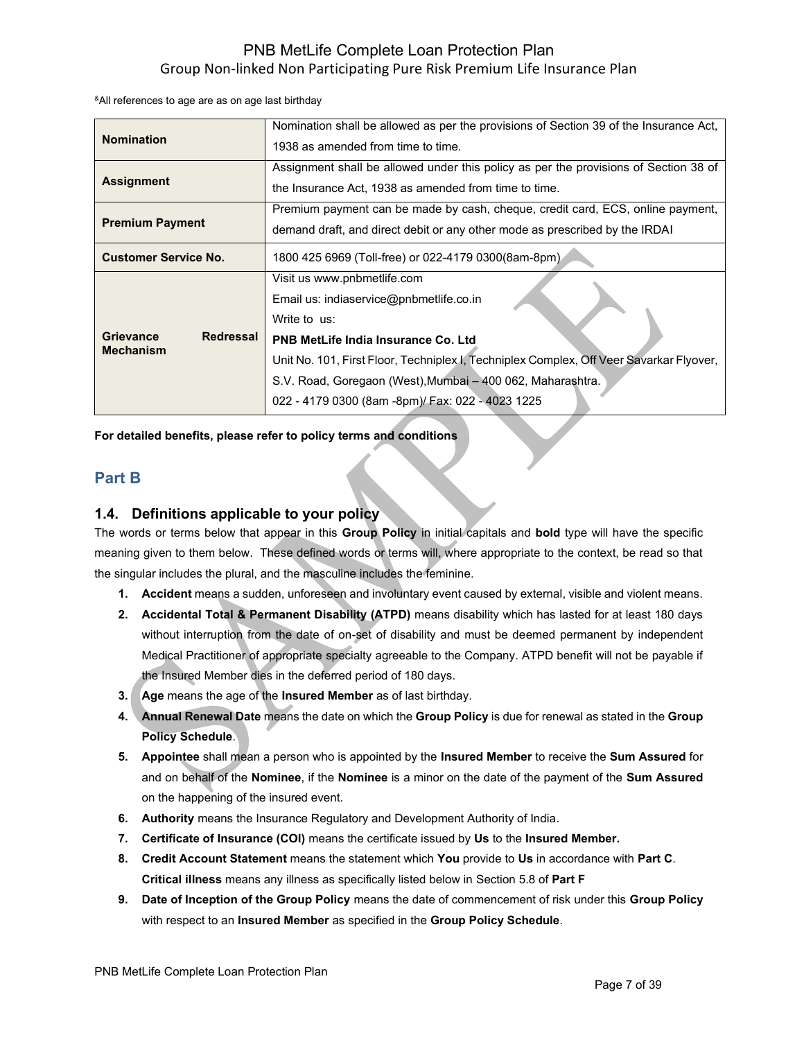&All references to age are as on age last birthday

|                               | Nomination shall be allowed as per the provisions of Section 39 of the Insurance Act,   |
|-------------------------------|-----------------------------------------------------------------------------------------|
|                               |                                                                                         |
| <b>Nomination</b>             | 1938 as amended from time to time.                                                      |
|                               | Assignment shall be allowed under this policy as per the provisions of Section 38 of    |
|                               |                                                                                         |
| <b>Assignment</b>             | the Insurance Act, 1938 as amended from time to time.                                   |
|                               | Premium payment can be made by cash, cheque, credit card, ECS, online payment,          |
| <b>Premium Payment</b>        | demand draft, and direct debit or any other mode as prescribed by the IRDAI             |
| <b>Customer Service No.</b>   | 1800 425 6969 (Toll-free) or 022-4179 0300 (8am-8pm).                                   |
|                               |                                                                                         |
|                               | Visit us www.pnbmetlife.com                                                             |
|                               | Email us: indiaservice@pnbmetlife.co.in                                                 |
|                               | Write to us:                                                                            |
| <b>Redressal</b><br>Grievance | <b>PNB MetLife India Insurance Co. Ltd</b>                                              |
| <b>Mechanism</b>              |                                                                                         |
|                               | Unit No. 101, First Floor, Techniplex I, Techniplex Complex, Off Veer Savarkar Flyover, |
|                               | S.V. Road, Goregaon (West), Mumbai - 400 062, Maharashtra.                              |
|                               | 022 - 4179 0300 (8am -8pm)/ Fax: 022 - 4023 1225                                        |

**For detailed benefits, please refer to policy terms and conditions**

# **Part B**

## **1.4. Definitions applicable to your policy**

The words or terms below that appear in this **Group Policy** in initial capitals and **bold** type will have the specific meaning given to them below. These defined words or terms will, where appropriate to the context, be read so that the singular includes the plural, and the masculine includes the feminine.

- **1. Accident** means a sudden, unforeseen and involuntary event caused by external, visible and violent means.
- **2. Accidental Total & Permanent Disability (ATPD)** means disability which has lasted for at least 180 days without interruption from the date of on-set of disability and must be deemed permanent by independent Medical Practitioner of appropriate specialty agreeable to the Company. ATPD benefit will not be payable if the Insured Member dies in the deferred period of 180 days.
- **3. Age** means the age of the **Insured Member** as of last birthday.
- **4. Annual Renewal Date** means the date on which the **Group Policy** is due for renewal as stated in the **Group Policy Schedule**.
- **5. Appointee** shall mean a person who is appointed by the **Insured Member** to receive the **Sum Assured** for and on behalf of the **Nominee**, if the **Nominee** is a minor on the date of the payment of the **Sum Assured** on the happening of the insured event.
- **6. Authority** means the Insurance Regulatory and Development Authority of India.
- **7. Certificate of Insurance (COI)** means the certificate issued by **Us** to the **Insured Member.**
- **8. Credit Account Statement** means the statement which **You** provide to **Us** in accordance with **Part C**. **Critical illness** means any illness as specifically listed below in Section 5.8 of **Part F**
- **9. Date of Inception of the Group Policy** means the date of commencement of risk under this **Group Policy** with respect to an **Insured Member** as specified in the **Group Policy Schedule**.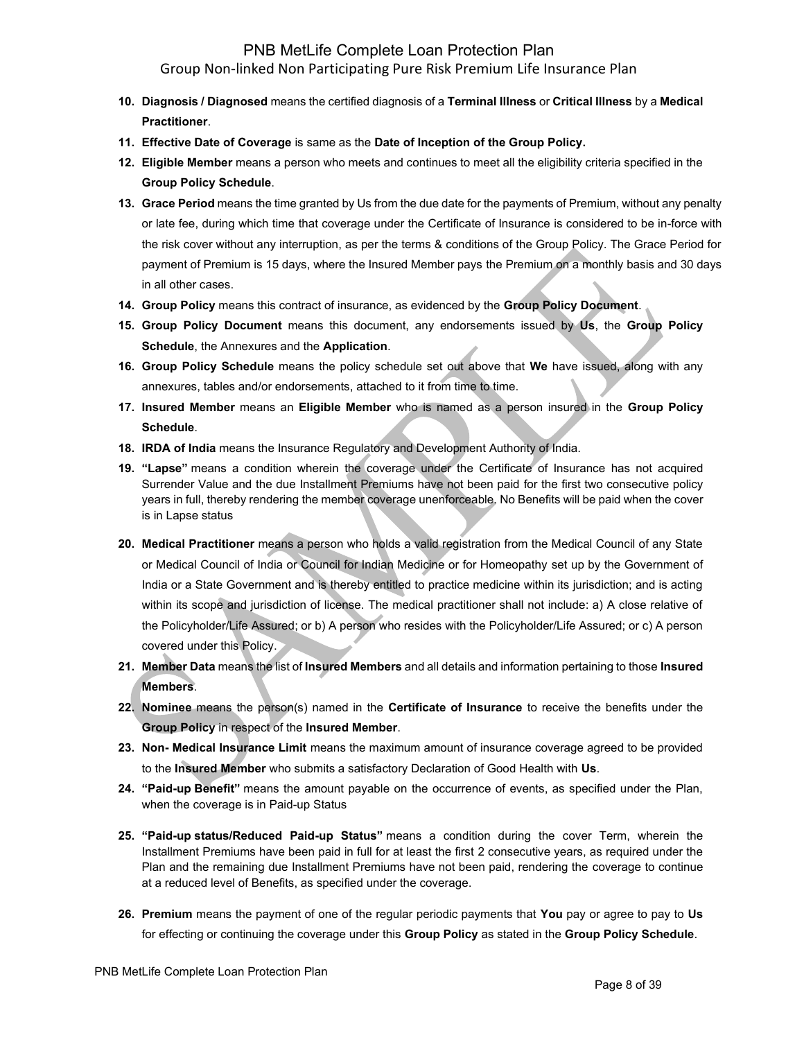- **10. Diagnosis / Diagnosed** means the certified diagnosis of a **Terminal Illness** or **Critical Illness** by a **Medical Practitioner**.
- **11. Effective Date of Coverage** is same as the **Date of Inception of the Group Policy.**
- **12. Eligible Member** means a person who meets and continues to meet all the eligibility criteria specified in the **Group Policy Schedule**.
- **13. Grace Period** means the time granted by Us from the due date for the payments of Premium, without any penalty or late fee, during which time that coverage under the Certificate of Insurance is considered to be in-force with the risk cover without any interruption, as per the terms & conditions of the Group Policy. The Grace Period for payment of Premium is 15 days, where the Insured Member pays the Premium on a monthly basis and 30 days in all other cases.
- **14. Group Policy** means this contract of insurance, as evidenced by the **Group Policy Document**.
- **15. Group Policy Document** means this document, any endorsements issued by **Us**, the **Group Policy Schedule**, the Annexures and the **Application**.
- **16. Group Policy Schedule** means the policy schedule set out above that **We** have issued, along with any annexures, tables and/or endorsements, attached to it from time to time.
- **17. Insured Member** means an **Eligible Member** who is named as a person insured in the **Group Policy Schedule**.
- **18. IRDA of India** means the Insurance Regulatory and Development Authority of India.
- **19. "Lapse"** means a condition wherein the coverage under the Certificate of Insurance has not acquired Surrender Value and the due Installment Premiums have not been paid for the first two consecutive policy years in full, thereby rendering the member coverage unenforceable. No Benefits will be paid when the cover is in Lapse status
- **20. Medical Practitioner** means a person who holds a valid registration from the Medical Council of any State or Medical Council of India or Council for Indian Medicine or for Homeopathy set up by the Government of India or a State Government and is thereby entitled to practice medicine within its jurisdiction; and is acting within its scope and jurisdiction of license. The medical practitioner shall not include: a) A close relative of the Policyholder/Life Assured; or b) A person who resides with the Policyholder/Life Assured; or c) A person covered under this Policy.
- **21. Member Data** means the list of **Insured Members** and all details and information pertaining to those **Insured Members**.
- **22. Nominee** means the person(s) named in the **Certificate of Insurance** to receive the benefits under the **Group Policy** in respect of the **Insured Member**.
- **23. Non- Medical Insurance Limit** means the maximum amount of insurance coverage agreed to be provided to the **Insured Member** who submits a satisfactory Declaration of Good Health with **Us**.
- **24. "Paid-up Benefit"** means the amount payable on the occurrence of events, as specified under the Plan, when the coverage is in Paid-up Status
- **25. "Paid-up status/Reduced Paid-up Status"** means a condition during the cover Term, wherein the Installment Premiums have been paid in full for at least the first 2 consecutive years, as required under the Plan and the remaining due Installment Premiums have not been paid, rendering the coverage to continue at a reduced level of Benefits, as specified under the coverage.
- **26. Premium** means the payment of one of the regular periodic payments that **You** pay or agree to pay to **Us** for effecting or continuing the coverage under this **Group Policy** as stated in the **Group Policy Schedule**.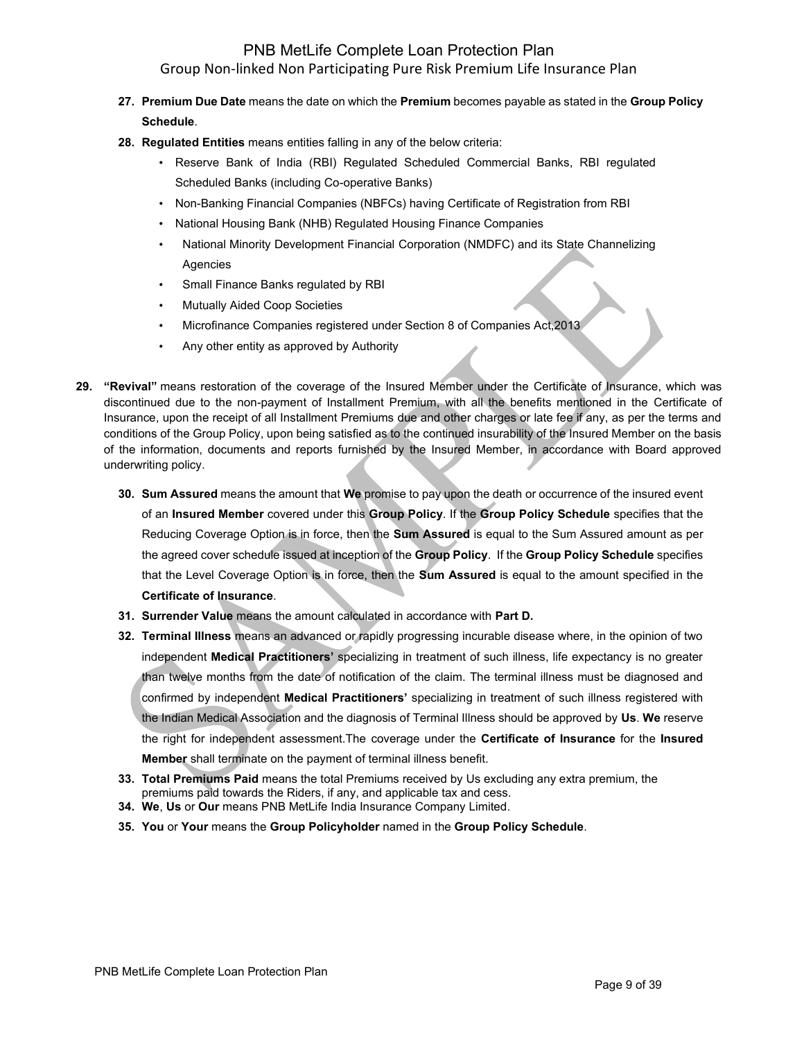- **27. Premium Due Date** means the date on which the **Premium** becomes payable as stated in the **Group Policy Schedule**.
- **28. Regulated Entities** means entities falling in any of the below criteria:
	- Reserve Bank of India (RBI) Regulated Scheduled Commercial Banks, RBI regulated Scheduled Banks (including Co-operative Banks)
	- Non-Banking Financial Companies (NBFCs) having Certificate of Registration from RBI
	- National Housing Bank (NHB) Regulated Housing Finance Companies
	- National Minority Development Financial Corporation (NMDFC) and its State Channelizing Agencies
	- Small Finance Banks regulated by RBI
	- **Mutually Aided Coop Societies**
	- Microfinance Companies registered under Section 8 of Companies Act,2013
	- Any other entity as approved by Authority
- **29. "Revival"** means restoration of the coverage of the Insured Member under the Certificate of Insurance, which was discontinued due to the non-payment of Installment Premium, with all the benefits mentioned in the Certificate of Insurance, upon the receipt of all Installment Premiums due and other charges or late fee if any, as per the terms and conditions of the Group Policy, upon being satisfied as to the continued insurability of the Insured Member on the basis of the information, documents and reports furnished by the Insured Member, in accordance with Board approved underwriting policy.
	- **30. Sum Assured** means the amount that **We** promise to pay upon the death or occurrence of the insured event of an **Insured Member** covered under this **Group Policy**. If the **Group Policy Schedule** specifies that the Reducing Coverage Option is in force, then the **Sum Assured** is equal to the Sum Assured amount as per the agreed cover schedule issued at inception of the **Group Policy**. If the **Group Policy Schedule** specifies that the Level Coverage Option is in force, then the **Sum Assured** is equal to the amount specified in the **Certificate of Insurance**.
	- **31. Surrender Value** means the amount calculated in accordance with **Part D.**
	- **32. Terminal Illness** means an advanced or rapidly progressing incurable disease where, in the opinion of two independent **Medical Practitioners'** specializing in treatment of such illness, life expectancy is no greater than twelve months from the date of notification of the claim. The terminal illness must be diagnosed and confirmed by independent **Medical Practitioners'** specializing in treatment of such illness registered with the Indian Medical Association and the diagnosis of Terminal Illness should be approved by **Us**. **We** reserve the right for independent assessment.The coverage under the **Certificate of Insurance** for the **Insured Member** shall terminate on the payment of terminal illness benefit.
	- **33. Total Premiums Paid** means the total Premiums received by Us excluding any extra premium, the premiums paid towards the Riders, if any, and applicable tax and cess.
	- **34. We**, **Us** or **Our** means PNB MetLife India Insurance Company Limited.
	- **35. You** or **Your** means the **Group Policyholder** named in the **Group Policy Schedule**.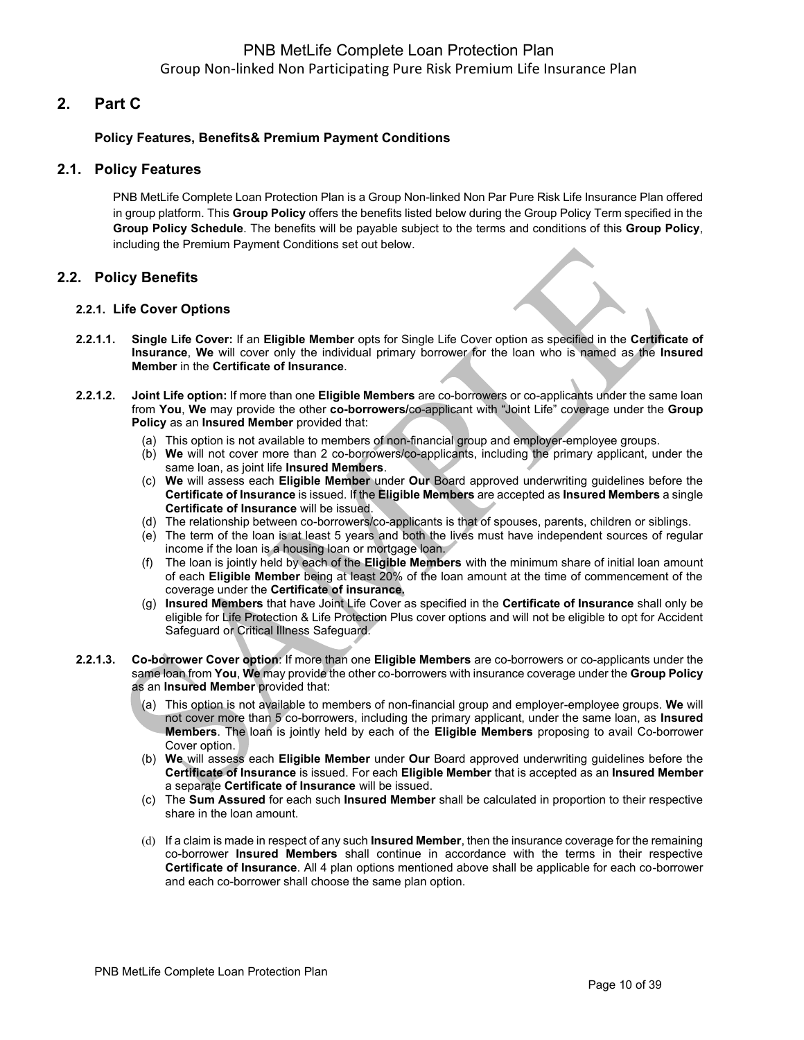## **2. Part C**

### **Policy Features, Benefits& Premium Payment Conditions**

### **2.1. Policy Features**

PNB MetLife Complete Loan Protection Plan is a Group Non-linked Non Par Pure Risk Life Insurance Plan offered in group platform. This **Group Policy** offers the benefits listed below during the Group Policy Term specified in the **Group Policy Schedule**. The benefits will be payable subject to the terms and conditions of this **Group Policy**, including the Premium Payment Conditions set out below.

## **2.2. Policy Benefits**

### **2.2.1. Life Cover Options**

- **2.2.1.1. Single Life Cover:** If an **Eligible Member** opts for Single Life Cover option as specified in the **Certificate of Insurance**, **We** will cover only the individual primary borrower for the loan who is named as the **Insured Member** in the **Certificate of Insurance**.
- **2.2.1.2. Joint Life option:** If more than one **Eligible Members** are co-borrowers or co-applicants under the same loan from **You**, **We** may provide the other **co-borrowers/**co-applicant with "Joint Life" coverage under the **Group Policy** as an **Insured Member** provided that:
	- (a) This option is not available to members of non-financial group and employer-employee groups.
	- (b) **We** will not cover more than 2 co-borrowers/co-applicants, including the primary applicant, under the same loan, as joint life **Insured Members**.
	- (c) **We** will assess each **Eligible Member** under **Our** Board approved underwriting guidelines before the **Certificate of Insurance** is issued. If the **Eligible Members** are accepted as **Insured Members** a single **Certificate of Insurance** will be issued.
	- (d) The relationship between co-borrowers/co-applicants is that of spouses, parents, children or siblings.
	- (e) The term of the loan is at least 5 years and both the lives must have independent sources of regular income if the loan is a housing loan or mortgage loan.
	- (f) The loan is jointly held by each of the **Eligible Members** with the minimum share of initial loan amount of each **Eligible Member** being at least 20% of the loan amount at the time of commencement of the coverage under the **Certificate of insurance.**
	- (g) **Insured Members** that have Joint Life Cover as specified in the **Certificate of Insurance** shall only be eligible for Life Protection & Life Protection Plus cover options and will not be eligible to opt for Accident Safeguard or Critical Illness Safeguard.
- **2.2.1.3. Co-borrower Cover option**: If more than one **Eligible Members** are co-borrowers or co-applicants under the same loan from **You**, **We** may provide the other co-borrowers with insurance coverage under the **Group Policy** as an **Insured Member** provided that:
	- (a) This option is not available to members of non-financial group and employer-employee groups. **We** will not cover more than 5 co-borrowers, including the primary applicant, under the same loan, as **Insured Members**. The loan is jointly held by each of the **Eligible Members** proposing to avail Co-borrower Cover option.
	- (b) **We** will assess each **Eligible Member** under **Our** Board approved underwriting guidelines before the **Certificate of Insurance** is issued. For each **Eligible Member** that is accepted as an **Insured Member** a separate **Certificate of Insurance** will be issued.
	- (c) The **Sum Assured** for each such **Insured Member** shall be calculated in proportion to their respective share in the loan amount.
	- (d) If a claim is made in respect of any such **Insured Member**, then the insurance coverage for the remaining co-borrower **Insured Members** shall continue in accordance with the terms in their respective **Certificate of Insurance**. All 4 plan options mentioned above shall be applicable for each co-borrower and each co-borrower shall choose the same plan option.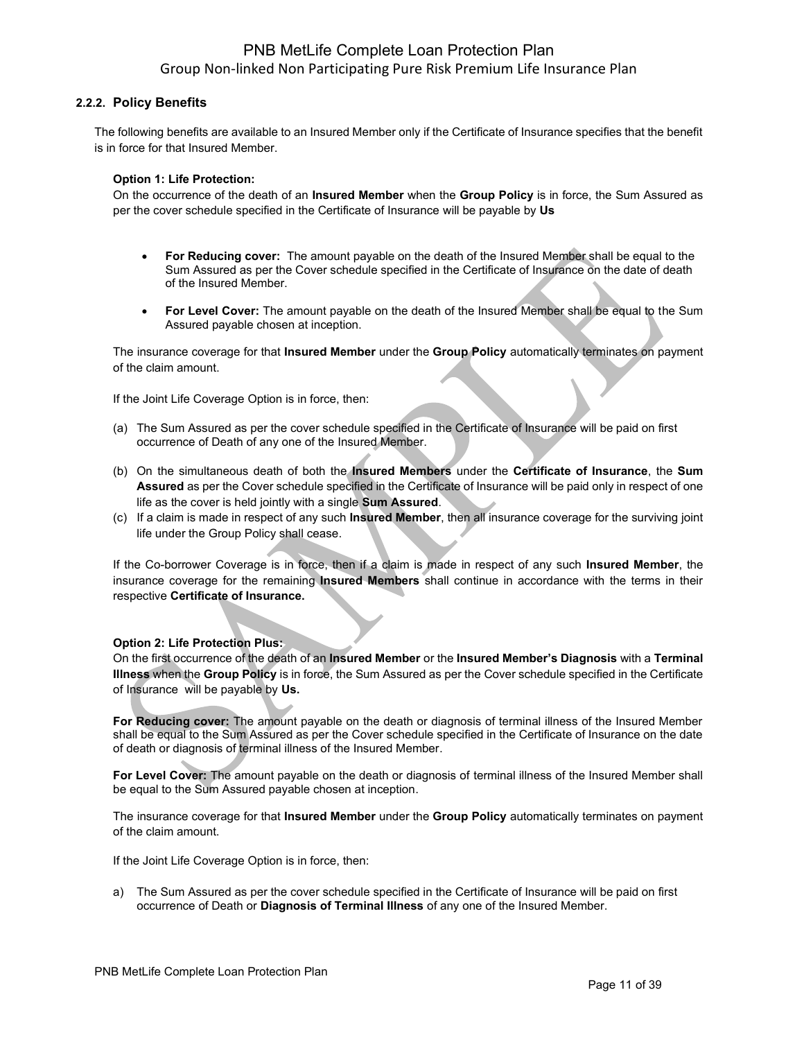### **2.2.2. Policy Benefits**

The following benefits are available to an Insured Member only if the Certificate of Insurance specifies that the benefit is in force for that Insured Member.

### **Option 1: Life Protection:**

On the occurrence of the death of an **Insured Member** when the **Group Policy** is in force, the Sum Assured as per the cover schedule specified in the Certificate of Insurance will be payable by **Us**

- **For Reducing cover:** The amount payable on the death of the Insured Member shall be equal to the Sum Assured as per the Cover schedule specified in the Certificate of Insurance on the date of death of the Insured Member.
- **For Level Cover:** The amount payable on the death of the Insured Member shall be equal to the Sum Assured payable chosen at inception.

The insurance coverage for that **Insured Member** under the **Group Policy** automatically terminates on payment of the claim amount.

If the Joint Life Coverage Option is in force, then:

- (a) The Sum Assured as per the cover schedule specified in the Certificate of Insurance will be paid on first occurrence of Death of any one of the Insured Member.
- (b) On the simultaneous death of both the **Insured Members** under the **Certificate of Insurance**, the **Sum Assured** as per the Cover schedule specified in the Certificate of Insurance will be paid only in respect of one life as the cover is held jointly with a single **Sum Assured**.
- (c) If a claim is made in respect of any such **Insured Member**, then all insurance coverage for the surviving joint life under the Group Policy shall cease.

If the Co-borrower Coverage is in force, then if a claim is made in respect of any such **Insured Member**, the insurance coverage for the remaining **Insured Members** shall continue in accordance with the terms in their respective **Certificate of Insurance.**

### **Option 2: Life Protection Plus:**

On the first occurrence of the death of an **Insured Member** or the **Insured Member's Diagnosis** with a **Terminal Illness** when the **Group Policy** is in force, the Sum Assured as per the Cover schedule specified in the Certificate of Insurance will be payable by **Us.**

**For Reducing cover:** The amount payable on the death or diagnosis of terminal illness of the Insured Member shall be equal to the Sum Assured as per the Cover schedule specified in the Certificate of Insurance on the date of death or diagnosis of terminal illness of the Insured Member.

**For Level Cover:** The amount payable on the death or diagnosis of terminal illness of the Insured Member shall be equal to the Sum Assured payable chosen at inception.

The insurance coverage for that **Insured Member** under the **Group Policy** automatically terminates on payment of the claim amount.

If the Joint Life Coverage Option is in force, then:

a) The Sum Assured as per the cover schedule specified in the Certificate of Insurance will be paid on first occurrence of Death or **Diagnosis of Terminal Illness** of any one of the Insured Member.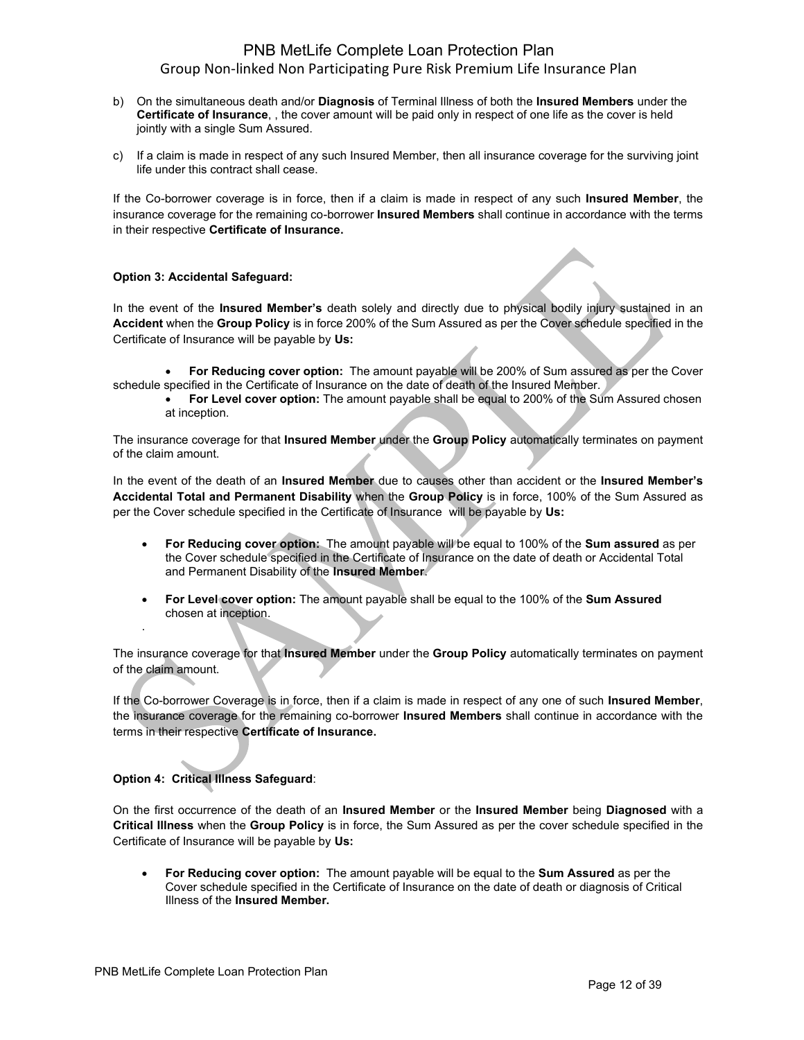- b) On the simultaneous death and/or **Diagnosis** of Terminal Illness of both the **Insured Members** under the **Certificate of Insurance**, , the cover amount will be paid only in respect of one life as the cover is held jointly with a single Sum Assured.
- c) If a claim is made in respect of any such Insured Member, then all insurance coverage for the surviving joint life under this contract shall cease.

If the Co-borrower coverage is in force, then if a claim is made in respect of any such **Insured Member**, the insurance coverage for the remaining co-borrower **Insured Members** shall continue in accordance with the terms in their respective **Certificate of Insurance.**

### **Option 3: Accidental Safeguard:**

In the event of the **Insured Member's** death solely and directly due to physical bodily injury sustained in an **Accident** when the **Group Policy** is in force 200% of the Sum Assured as per the Cover schedule specified in the Certificate of Insurance will be payable by **Us:** 

- **For Reducing cover option:** The amount payable will be 200% of Sum assured as per the Cover schedule specified in the Certificate of Insurance on the date of death of the Insured Member.
	- **For Level cover option:** The amount payable shall be equal to 200% of the Sum Assured chosen at inception.

The insurance coverage for that **Insured Member** under the **Group Policy** automatically terminates on payment of the claim amount.

In the event of the death of an **Insured Member** due to causes other than accident or the **Insured Member's Accidental Total and Permanent Disability** when the **Group Policy** is in force, 100% of the Sum Assured as per the Cover schedule specified in the Certificate of Insurance will be payable by **Us:** 

- **For Reducing cover option:** The amount payable will be equal to 100% of the **Sum assured** as per the Cover schedule specified in the Certificate of Insurance on the date of death or Accidental Total and Permanent Disability of the **Insured Member**.
- **For Level cover option:** The amount payable shall be equal to the 100% of the **Sum Assured** chosen at inception.

The insurance coverage for that **Insured Member** under the **Group Policy** automatically terminates on payment of the claim amount.

If the Co-borrower Coverage is in force, then if a claim is made in respect of any one of such **Insured Member**, the insurance coverage for the remaining co-borrower **Insured Members** shall continue in accordance with the terms in their respective **Certificate of Insurance.**

### **Option 4: Critical Illness Safeguard**:

.

On the first occurrence of the death of an **Insured Member** or the **Insured Member** being **Diagnosed** with a **Critical Illness** when the **Group Policy** is in force, the Sum Assured as per the cover schedule specified in the Certificate of Insurance will be payable by **Us:**

• **For Reducing cover option:** The amount payable will be equal to the **Sum Assured** as per the Cover schedule specified in the Certificate of Insurance on the date of death or diagnosis of Critical Illness of the **Insured Member.**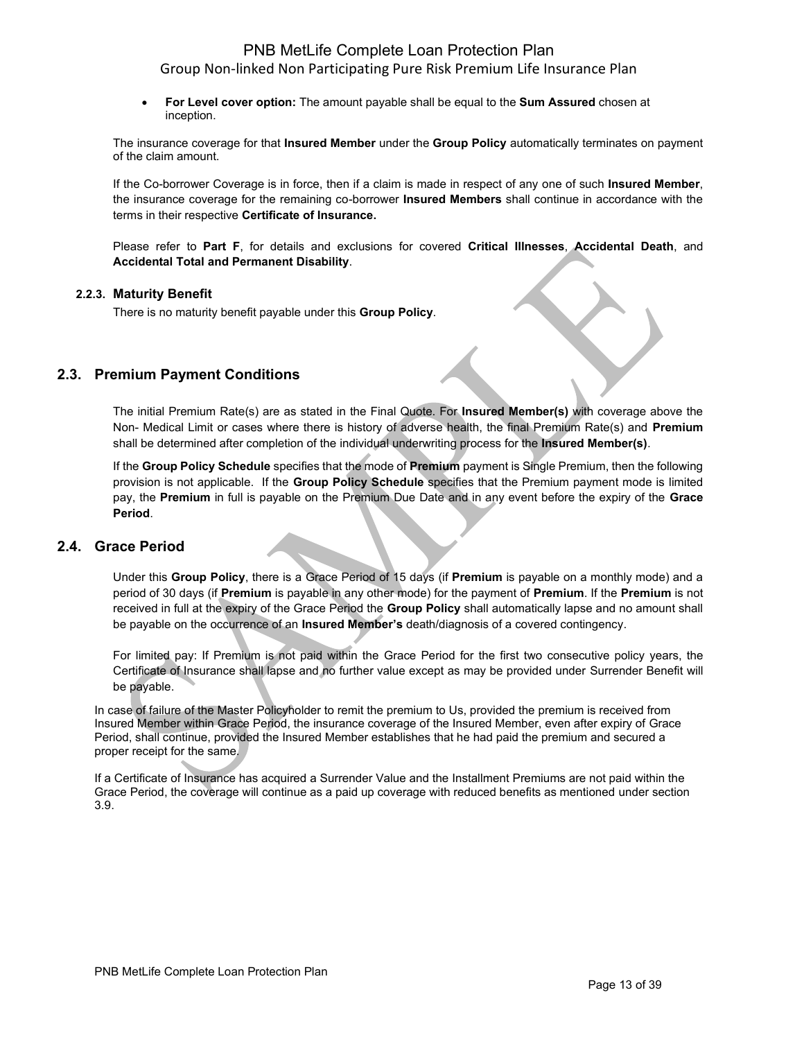• **For Level cover option:** The amount payable shall be equal to the **Sum Assured** chosen at inception.

The insurance coverage for that **Insured Member** under the **Group Policy** automatically terminates on payment of the claim amount.

If the Co-borrower Coverage is in force, then if a claim is made in respect of any one of such **Insured Member**, the insurance coverage for the remaining co-borrower **Insured Members** shall continue in accordance with the terms in their respective **Certificate of Insurance.**

Please refer to **Part F**, for details and exclusions for covered **Critical Illnesses**, **Accidental Death**, and **Accidental Total and Permanent Disability**.

### **2.2.3. Maturity Benefit**

There is no maturity benefit payable under this **Group Policy**.

## **2.3. Premium Payment Conditions**

The initial Premium Rate(s) are as stated in the Final Quote. For **Insured Member(s)** with coverage above the Non- Medical Limit or cases where there is history of adverse health, the final Premium Rate(s) and **Premium** shall be determined after completion of the individual underwriting process for the **Insured Member(s)**.

If the **Group Policy Schedule** specifies that the mode of **Premium** payment is Single Premium, then the following provision is not applicable. If the **Group Policy Schedule** specifies that the Premium payment mode is limited pay, the **Premium** in full is payable on the Premium Due Date and in any event before the expiry of the **Grace Period**.

### **2.4. Grace Period**

Under this **Group Policy**, there is a Grace Period of 15 days (if **Premium** is payable on a monthly mode) and a period of 30 days (if **Premium** is payable in any other mode) for the payment of **Premium**. If the **Premium** is not received in full at the expiry of the Grace Period the **Group Policy** shall automatically lapse and no amount shall be payable on the occurrence of an **Insured Member's** death/diagnosis of a covered contingency.

For limited pay: If Premium is not paid within the Grace Period for the first two consecutive policy years, the Certificate of Insurance shall lapse and no further value except as may be provided under Surrender Benefit will be payable.

In case of failure of the Master Policyholder to remit the premium to Us, provided the premium is received from Insured Member within Grace Period, the insurance coverage of the Insured Member, even after expiry of Grace Period, shall continue, provided the Insured Member establishes that he had paid the premium and secured a proper receipt for the same.

If a Certificate of Insurance has acquired a Surrender Value and the Installment Premiums are not paid within the Grace Period, the coverage will continue as a paid up coverage with reduced benefits as mentioned under section 3.9.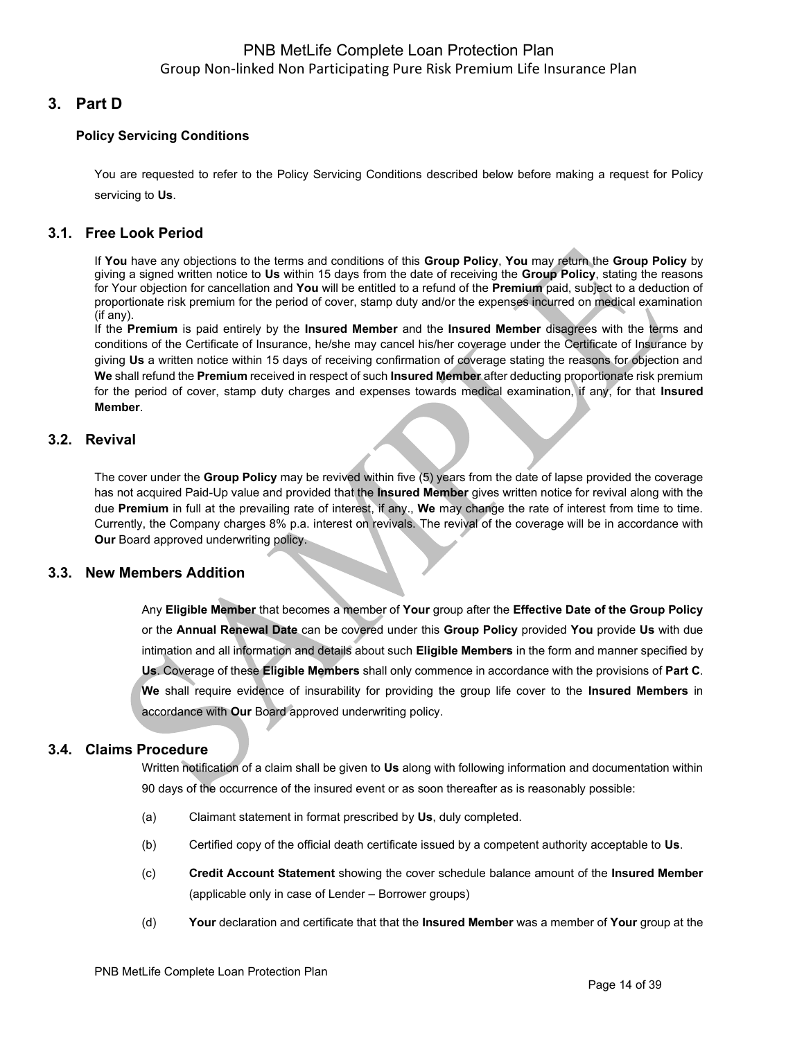# **3. Part D**

### **Policy Servicing Conditions**

You are requested to refer to the Policy Servicing Conditions described below before making a request for Policy servicing to **Us**.

### **3.1. Free Look Period**

If **You** have any objections to the terms and conditions of this **Group Policy**, **You** may return the **Group Policy** by giving a signed written notice to **Us** within 15 days from the date of receiving the **Group Policy**, stating the reasons for Your objection for cancellation and **You** will be entitled to a refund of the **Premium** paid, subject to a deduction of proportionate risk premium for the period of cover, stamp duty and/or the expenses incurred on medical examination (if any).

If the **Premium** is paid entirely by the **Insured Member** and the **Insured Member** disagrees with the terms and conditions of the Certificate of Insurance, he/she may cancel his/her coverage under the Certificate of Insurance by giving **Us** a written notice within 15 days of receiving confirmation of coverage stating the reasons for objection and **We** shall refund the **Premium** received in respect of such **Insured Member** after deducting proportionate risk premium for the period of cover, stamp duty charges and expenses towards medical examination, if any, for that **Insured Member**.

### **3.2. Revival**

The cover under the **Group Policy** may be revived within five (5) years from the date of lapse provided the coverage has not acquired Paid-Up value and provided that the **Insured Member** gives written notice for revival along with the due **Premium** in full at the prevailing rate of interest, if any., **We** may change the rate of interest from time to time. Currently, the Company charges 8% p.a. interest on revivals. The revival of the coverage will be in accordance with **Our** Board approved underwriting policy.

### **3.3. New Members Addition**

Any **Eligible Member** that becomes a member of **Your** group after the **Effective Date of the Group Policy** or the **Annual Renewal Date** can be covered under this **Group Policy** provided **You** provide **Us** with due intimation and all information and details about such **Eligible Members** in the form and manner specified by **Us**. Coverage of these **Eligible Members** shall only commence in accordance with the provisions of **Part C**. **We** shall require evidence of insurability for providing the group life cover to the **Insured Members** in accordance with **Our** Board approved underwriting policy.

## **3.4. Claims Procedure**

Written notification of a claim shall be given to **Us** along with following information and documentation within 90 days of the occurrence of the insured event or as soon thereafter as is reasonably possible:

- (a) Claimant statement in format prescribed by **Us**, duly completed.
- (b) Certified copy of the official death certificate issued by a competent authority acceptable to **Us**.
- (c) **Credit Account Statement** showing the cover schedule balance amount of the **Insured Member**  (applicable only in case of Lender – Borrower groups)
- (d) **Your** declaration and certificate that that the **Insured Member** was a member of **Your** group at the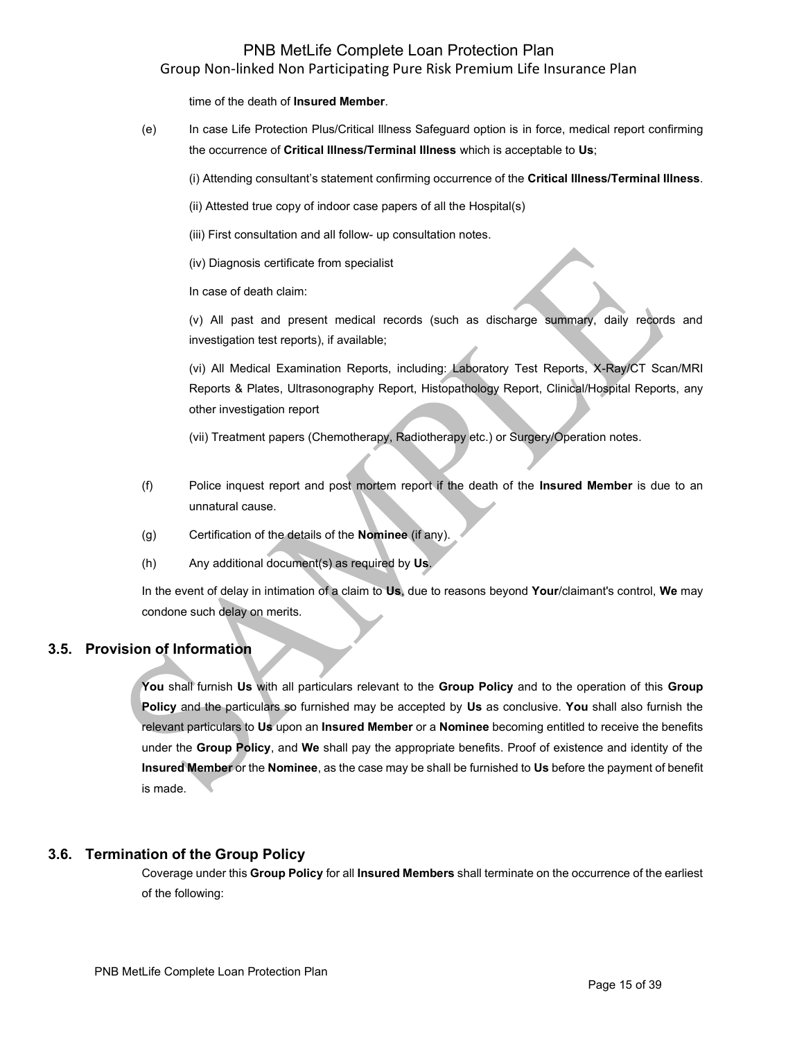time of the death of **Insured Member**.

(e) In case Life Protection Plus/Critical Illness Safeguard option is in force, medical report confirming the occurrence of **Critical Illness/Terminal Illness** which is acceptable to **Us**;

(i) Attending consultant's statement confirming occurrence of the **Critical Illness/Terminal Illness**.

- (ii) Attested true copy of indoor case papers of all the Hospital(s)
- (iii) First consultation and all follow- up consultation notes.
- (iv) Diagnosis certificate from specialist

In case of death claim:

(v) All past and present medical records (such as discharge summary, daily records and investigation test reports), if available;

(vi) All Medical Examination Reports, including: Laboratory Test Reports, X-Ray/CT Scan/MRI Reports & Plates, Ultrasonography Report, Histopathology Report, Clinical/Hospital Reports, any other investigation report

(vii) Treatment papers (Chemotherapy, Radiotherapy etc.) or Surgery/Operation notes.

- (f) Police inquest report and post mortem report if the death of the **Insured Member** is due to an unnatural cause.
- (g) Certification of the details of the **Nominee** (if any).
- (h) Any additional document(s) as required by **Us**.

In the event of delay in intimation of a claim to **Us**, due to reasons beyond **Your**/claimant's control, **We** may condone such delay on merits.

## **3.5. Provision of Information**

**You** shall furnish **Us** with all particulars relevant to the **Group Policy** and to the operation of this **Group Policy** and the particulars so furnished may be accepted by **Us** as conclusive. **You** shall also furnish the relevant particulars to **Us** upon an **Insured Member** or a **Nominee** becoming entitled to receive the benefits under the **Group Policy**, and **We** shall pay the appropriate benefits. Proof of existence and identity of the **Insured Member** or the **Nominee**, as the case may be shall be furnished to **Us** before the payment of benefit is made.

## **3.6. Termination of the Group Policy**

Coverage under this **Group Policy** for all **Insured Members** shall terminate on the occurrence of the earliest of the following: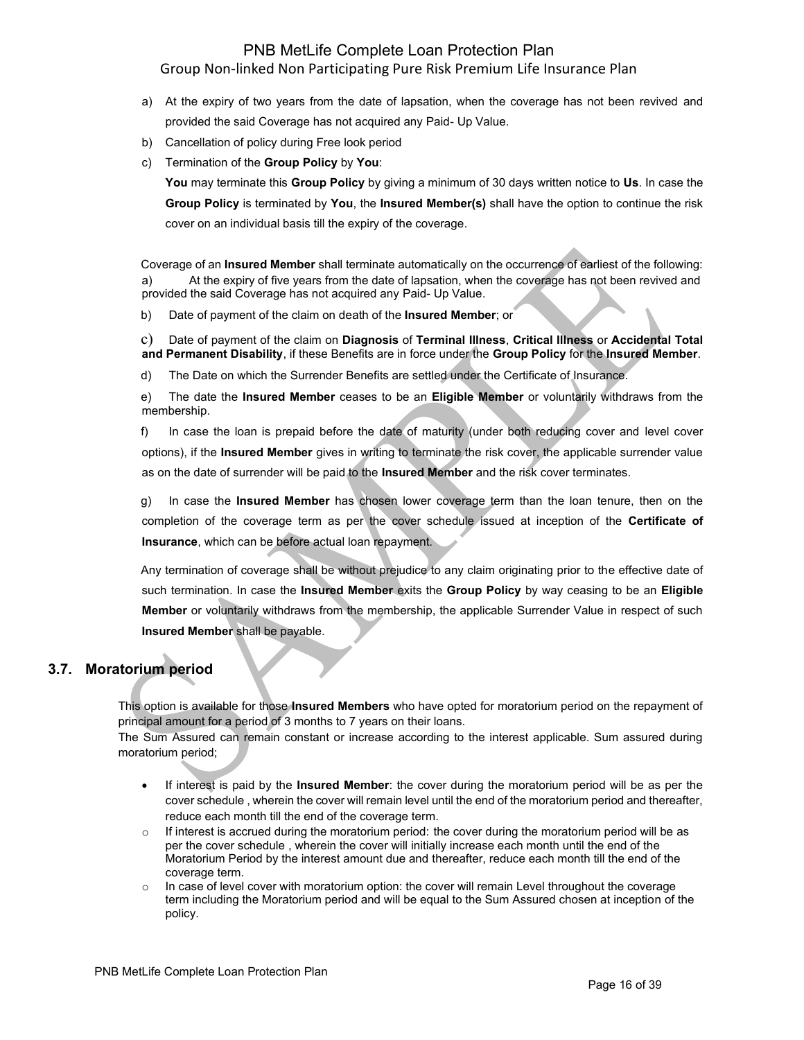- a) At the expiry of two years from the date of lapsation, when the coverage has not been revived and provided the said Coverage has not acquired any Paid- Up Value.
- b) Cancellation of policy during Free look period
- c) Termination of the **Group Policy** by **You**:

**You** may terminate this **Group Policy** by giving a minimum of 30 days written notice to **Us**. In case the **Group Policy** is terminated by **You**, the **Insured Member(s)** shall have the option to continue the risk cover on an individual basis till the expiry of the coverage.

Coverage of an **Insured Member** shall terminate automatically on the occurrence of earliest of the following: a) At the expiry of five years from the date of lapsation, when the coverage has not been revived and provided the said Coverage has not acquired any Paid- Up Value.

b) Date of payment of the claim on death of the **Insured Member**; or

c) Date of payment of the claim on **Diagnosis** of **Terminal Illness**, **Critical Illness** or **Accidental Total and Permanent Disability**, if these Benefits are in force under the **Group Policy** for the **Insured Member**.

d) The Date on which the Surrender Benefits are settled under the Certificate of Insurance.

e) The date the **Insured Member** ceases to be an **Eligible Member** or voluntarily withdraws from the membership.

f) In case the loan is prepaid before the date of maturity (under both reducing cover and level cover options), if the **Insured Member** gives in writing to terminate the risk cover, the applicable surrender value as on the date of surrender will be paid to the **Insured Member** and the risk cover terminates.

g) In case the **Insured Member** has chosen lower coverage term than the loan tenure, then on the completion of the coverage term as per the cover schedule issued at inception of the **Certificate of Insurance**, which can be before actual loan repayment.

Any termination of coverage shall be without prejudice to any claim originating prior to the effective date of such termination. In case the **Insured Member** exits the **Group Policy** by way ceasing to be an **Eligible Member** or voluntarily withdraws from the membership, the applicable Surrender Value in respect of such **Insured Member** shall be payable.

## **3.7. Moratorium period**

This option is available for those **Insured Members** who have opted for moratorium period on the repayment of principal amount for a period of 3 months to 7 years on their loans.

The Sum Assured can remain constant or increase according to the interest applicable. Sum assured during moratorium period;

- If interest is paid by the **Insured Member**: the cover during the moratorium period will be as per the cover schedule , wherein the cover will remain level until the end of the moratorium period and thereafter, reduce each month till the end of the coverage term.
- $\circ$  If interest is accrued during the moratorium period: the cover during the moratorium period will be as per the cover schedule , wherein the cover will initially increase each month until the end of the Moratorium Period by the interest amount due and thereafter, reduce each month till the end of the coverage term.
- $\circ$  In case of level cover with moratorium option: the cover will remain Level throughout the coverage term including the Moratorium period and will be equal to the Sum Assured chosen at inception of the policy.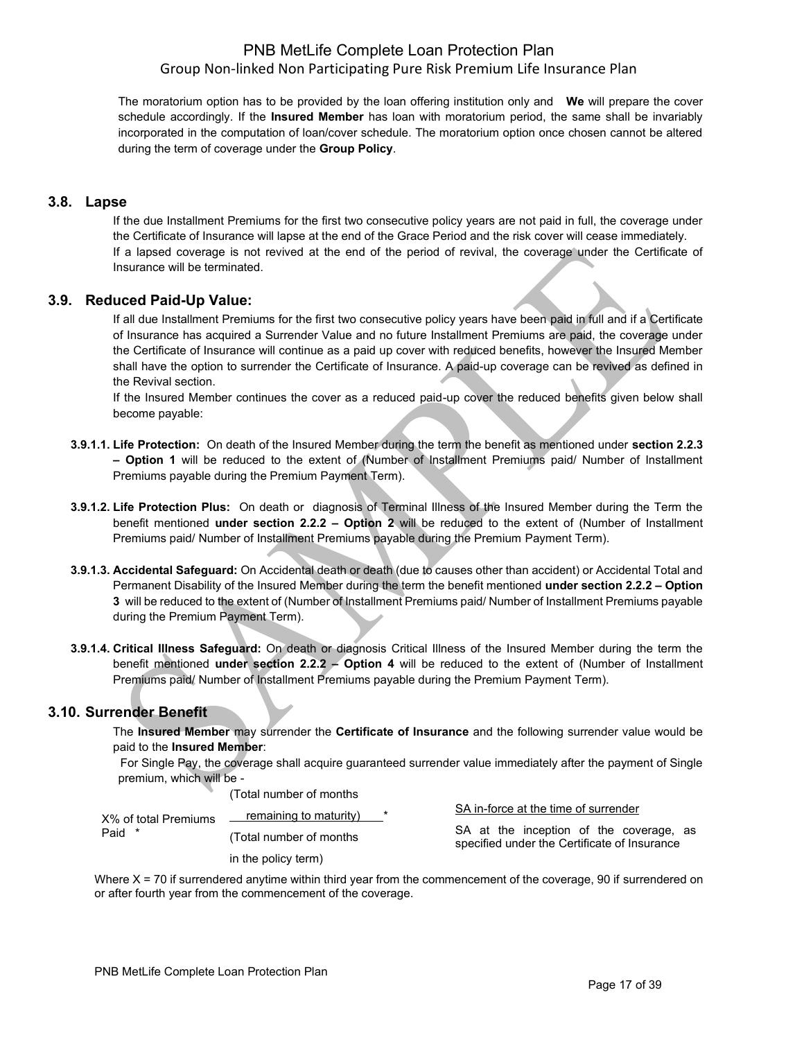The moratorium option has to be provided by the loan offering institution only and **We** will prepare the cover schedule accordingly. If the **Insured Member** has loan with moratorium period, the same shall be invariably incorporated in the computation of loan/cover schedule. The moratorium option once chosen cannot be altered during the term of coverage under the **Group Policy**.

### **3.8. Lapse**

If the due Installment Premiums for the first two consecutive policy years are not paid in full, the coverage under the Certificate of Insurance will lapse at the end of the Grace Period and the risk cover will cease immediately. If a lapsed coverage is not revived at the end of the period of revival, the coverage under the Certificate of Insurance will be terminated.

### **3.9. Reduced Paid-Up Value:**

If all due Installment Premiums for the first two consecutive policy years have been paid in full and if a Certificate of Insurance has acquired a Surrender Value and no future Installment Premiums are paid, the coverage under the Certificate of Insurance will continue as a paid up cover with reduced benefits, however the Insured Member shall have the option to surrender the Certificate of Insurance. A paid-up coverage can be revived as defined in the Revival section.

If the Insured Member continues the cover as a reduced paid-up cover the reduced benefits given below shall become payable:

- **3.9.1.1. Life Protection:** On death of the Insured Member during the term the benefit as mentioned under **section 2.2.3 – Option 1** will be reduced to the extent of (Number of Installment Premiums paid/ Number of Installment Premiums payable during the Premium Payment Term).
- **3.9.1.2. Life Protection Plus:** On death or diagnosis of Terminal Illness of the Insured Member during the Term the benefit mentioned **under section 2.2.2 – Option 2** will be reduced to the extent of (Number of Installment Premiums paid/ Number of Installment Premiums payable during the Premium Payment Term).
- **3.9.1.3. Accidental Safeguard:** On Accidental death or death (due to causes other than accident) or Accidental Total and Permanent Disability of the Insured Member during the term the benefit mentioned **under section 2.2.2 – Option 3** will be reduced to the extent of (Number of Installment Premiums paid/ Number of Installment Premiums payable during the Premium Payment Term).
- **3.9.1.4. Critical Illness Safeguard:** On death or diagnosis Critical Illness of the Insured Member during the term the benefit mentioned **under section 2.2.2 – Option 4** will be reduced to the extent of (Number of Installment Premiums paid/ Number of Installment Premiums payable during the Premium Payment Term).

## **3.10. Surrender Benefit**

The **Insured Member** may surrender the **Certificate of Insurance** and the following surrender value would be paid to the **Insured Member**:

 For Single Pay, the coverage shall acquire guaranteed surrender value immediately after the payment of Single premium, which will be -

(Total number of months

| X% of total Premiums | remaining to maturity)   | SA in-force at the time of surrender                                                    |
|----------------------|--------------------------|-----------------------------------------------------------------------------------------|
| Paid *               | (Total number of months) | SA at the inception of the coverage, as<br>specified under the Certificate of Insurance |
|                      | in the policy term)      |                                                                                         |

Where  $X = 70$  if surrendered anytime within third year from the commencement of the coverage, 90 if surrendered on or after fourth year from the commencement of the coverage.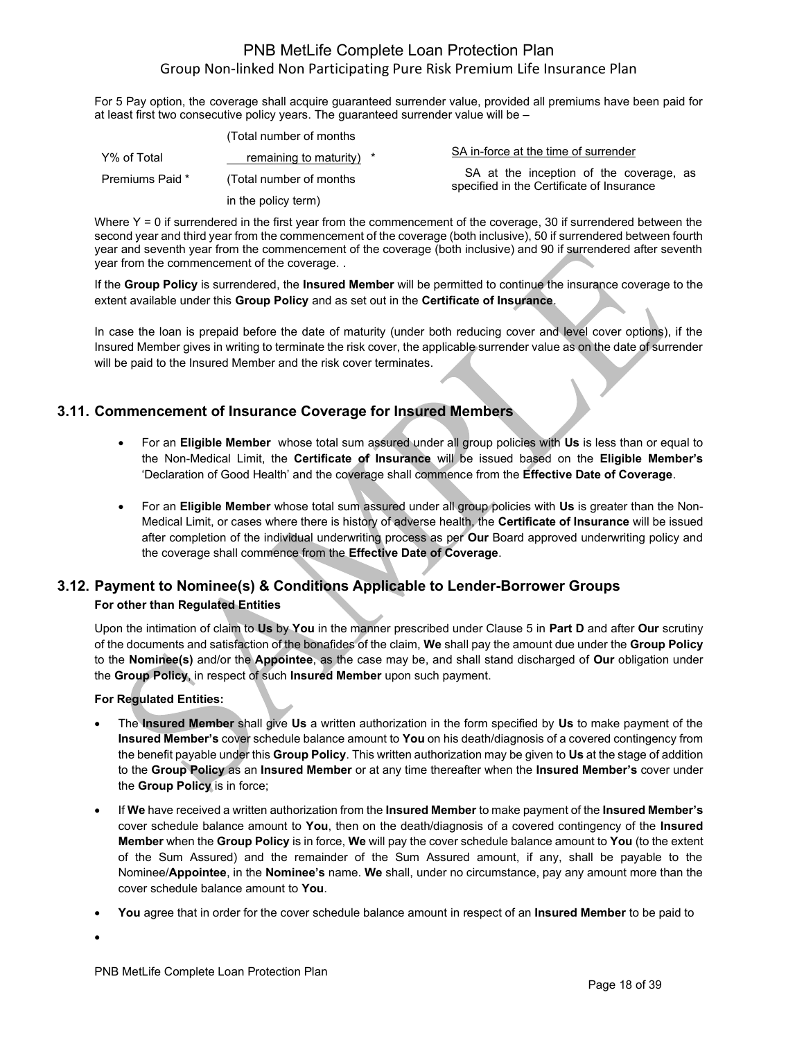For 5 Pay option, the coverage shall acquire guaranteed surrender value, provided all premiums have been paid for at least first two consecutive policy years. The guaranteed surrender value will be –

|                 | (Total number of months  |                                                                                      |
|-----------------|--------------------------|--------------------------------------------------------------------------------------|
| Y% of Total     | remaining to maturity) * | SA in-force at the time of surrender                                                 |
| Premiums Paid * | (Total number of months) | SA at the inception of the coverage, as<br>specified in the Certificate of Insurance |
|                 | in the policy term)      |                                                                                      |

Where  $Y = 0$  if surrendered in the first year from the commencement of the coverage, 30 if surrendered between the second year and third year from the commencement of the coverage (both inclusive), 50 if surrendered between fourth year and seventh year from the commencement of the coverage (both inclusive) and 90 if surrendered after seventh year from the commencement of the coverage. .

If the **Group Policy** is surrendered, the **Insured Member** will be permitted to continue the insurance coverage to the extent available under this **Group Policy** and as set out in the **Certificate of Insurance**.

In case the loan is prepaid before the date of maturity (under both reducing cover and level cover options), if the Insured Member gives in writing to terminate the risk cover, the applicable surrender value as on the date of surrender will be paid to the Insured Member and the risk cover terminates.

# **3.11. Commencement of Insurance Coverage for Insured Members**

- For an **Eligible Member** whose total sum assured under all group policies with **Us** is less than or equal to the Non-Medical Limit, the **Certificate of Insurance** will be issued based on the **Eligible Member's** 'Declaration of Good Health' and the coverage shall commence from the **Effective Date of Coverage**.
- For an **Eligible Member** whose total sum assured under all group policies with **Us** is greater than the Non-Medical Limit, or cases where there is history of adverse health, the **Certificate of Insurance** will be issued after completion of the individual underwriting process as per **Our** Board approved underwriting policy and the coverage shall commence from the **Effective Date of Coverage**.

# **3.12. Payment to Nominee(s) & Conditions Applicable to Lender-Borrower Groups**

## **For other than Regulated Entities**

Upon the intimation of claim to **Us** by **You** in the manner prescribed under Clause 5 in **Part D** and after **Our** scrutiny of the documents and satisfaction of the bonafides of the claim, **We** shall pay the amount due under the **Group Policy** to the **Nominee(s)** and/or the **Appointee**, as the case may be, and shall stand discharged of **Our** obligation under the **Group Policy**, in respect of such **Insured Member** upon such payment.

### **For Regulated Entities:**

- The **Insured Member** shall give **Us** a written authorization in the form specified by **Us** to make payment of the **Insured Member's** cover schedule balance amount to **You** on his death/diagnosis of a covered contingency from the benefit payable under this **Group Policy**. This written authorization may be given to **Us** at the stage of addition to the **Group Policy** as an **Insured Member** or at any time thereafter when the **Insured Member's** cover under the **Group Policy** is in force;
- If **We** have received a written authorization from the **Insured Member** to make payment of the **Insured Member's** cover schedule balance amount to **You**, then on the death/diagnosis of a covered contingency of the **Insured Member** when the **Group Policy** is in force, **We** will pay the cover schedule balance amount to **You** (to the extent of the Sum Assured) and the remainder of the Sum Assured amount, if any, shall be payable to the Nominee/**Appointee**, in the **Nominee's** name. **We** shall, under no circumstance, pay any amount more than the cover schedule balance amount to **You**.
- **You** agree that in order for the cover schedule balance amount in respect of an **Insured Member** to be paid to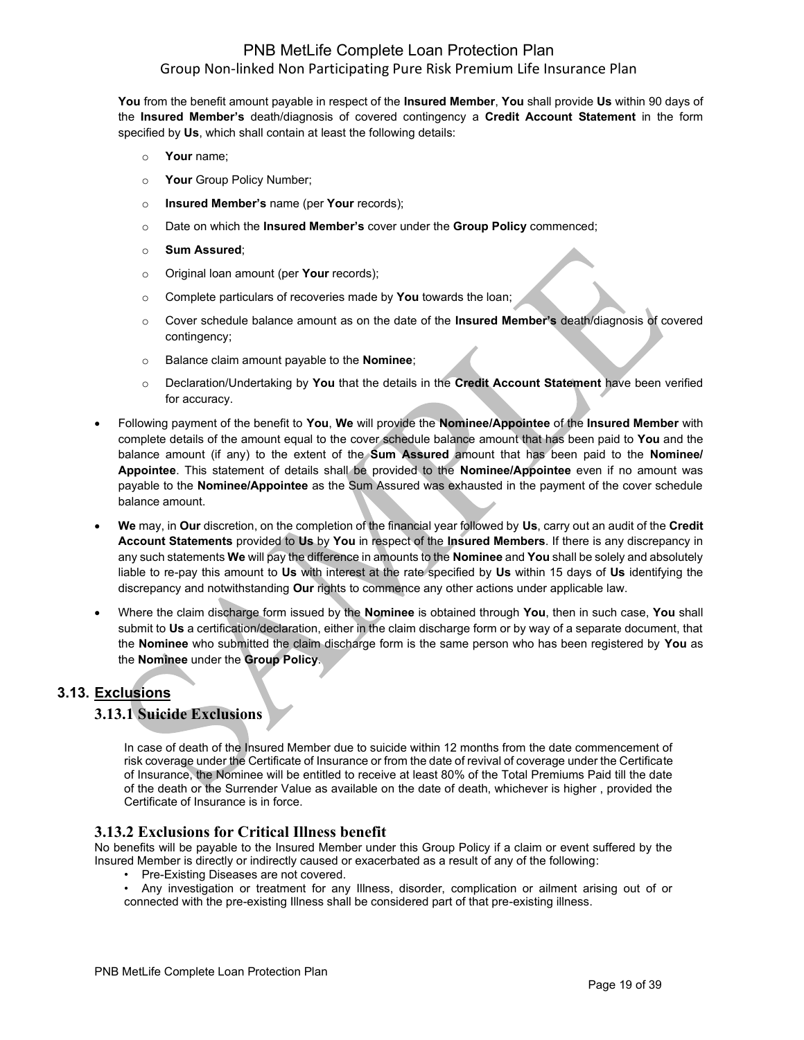**You** from the benefit amount payable in respect of the **Insured Member**, **You** shall provide **Us** within 90 days of the **Insured Member's** death/diagnosis of covered contingency a **Credit Account Statement** in the form specified by **Us**, which shall contain at least the following details:

- o **Your** name;
- o **Your** Group Policy Number;
- o **Insured Member's** name (per **Your** records);
- o Date on which the **Insured Member's** cover under the **Group Policy** commenced;
- o **Sum Assured**;
- o Original loan amount (per **Your** records);
- o Complete particulars of recoveries made by **You** towards the loan;
- o Cover schedule balance amount as on the date of the **Insured Member's** death/diagnosis of covered contingency;
- o Balance claim amount payable to the **Nominee**;
- o Declaration/Undertaking by **You** that the details in the **Credit Account Statement** have been verified for accuracy.
- Following payment of the benefit to **You**, **We** will provide the **Nominee/Appointee** of the **Insured Member** with complete details of the amount equal to the cover schedule balance amount that has been paid to **You** and the balance amount (if any) to the extent of the **Sum Assured** amount that has been paid to the **Nominee/ Appointee**. This statement of details shall be provided to the **Nominee/Appointee** even if no amount was payable to the **Nominee/Appointee** as the Sum Assured was exhausted in the payment of the cover schedule balance amount.
- **We** may, in **Our** discretion, on the completion of the financial year followed by **Us**, carry out an audit of the **Credit Account Statements** provided to **Us** by **You** in respect of the **Insured Members**. If there is any discrepancy in any such statements **We** will pay the difference in amounts to the **Nominee** and **You** shall be solely and absolutely liable to re-pay this amount to **Us** with interest at the rate specified by **Us** within 15 days of **Us** identifying the discrepancy and notwithstanding **Our** rights to commence any other actions under applicable law.
- Where the claim discharge form issued by the **Nominee** is obtained through **You**, then in such case, **You** shall submit to **Us** a certification/declaration, either in the claim discharge form or by way of a separate document, that the **Nominee** who submitted the claim discharge form is the same person who has been registered by **You** as the **Nominee** under the **Group Policy**.

## **3.13. Exclusions**

## **3.13.1 Suicide Exclusions**

In case of death of the Insured Member due to suicide within 12 months from the date commencement of risk coverage under the Certificate of Insurance or from the date of revival of coverage under the Certificate of Insurance, the Nominee will be entitled to receive at least 80% of the Total Premiums Paid till the date of the death or the Surrender Value as available on the date of death, whichever is higher , provided the Certificate of Insurance is in force.

## **3.13.2 Exclusions for Critical Illness benefit**

No benefits will be payable to the Insured Member under this Group Policy if a claim or event suffered by the Insured Member is directly or indirectly caused or exacerbated as a result of any of the following:

- Pre-Existing Diseases are not covered.
- Any investigation or treatment for any Illness, disorder, complication or ailment arising out of or connected with the pre-existing Illness shall be considered part of that pre-existing illness.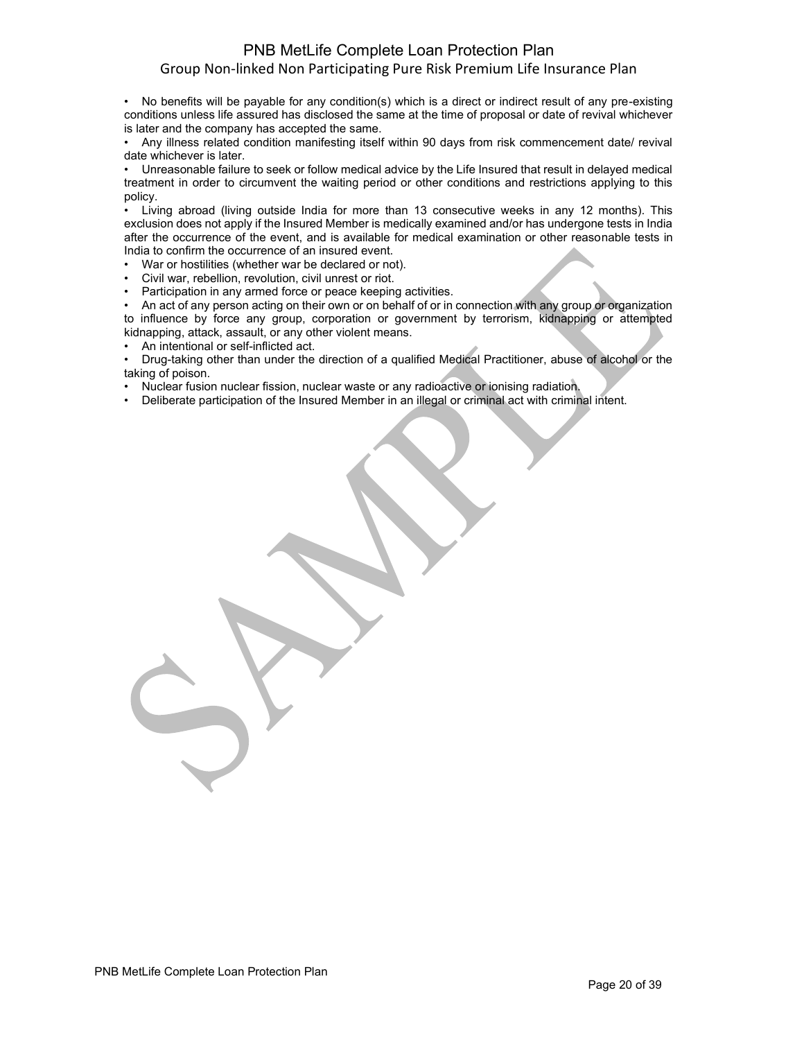• No benefits will be payable for any condition(s) which is a direct or indirect result of any pre-existing conditions unless life assured has disclosed the same at the time of proposal or date of revival whichever is later and the company has accepted the same.

• Any illness related condition manifesting itself within 90 days from risk commencement date/ revival date whichever is later.

• Unreasonable failure to seek or follow medical advice by the Life Insured that result in delayed medical treatment in order to circumvent the waiting period or other conditions and restrictions applying to this policy.

• Living abroad (living outside India for more than 13 consecutive weeks in any 12 months). This exclusion does not apply if the Insured Member is medically examined and/or has undergone tests in India after the occurrence of the event, and is available for medical examination or other reasonable tests in India to confirm the occurrence of an insured event.

War or hostilities (whether war be declared or not).

- Civil war, rebellion, revolution, civil unrest or riot.
- Participation in any armed force or peace keeping activities.

An act of any person acting on their own or on behalf of or in connection with any group or organization to influence by force any group, corporation or government by terrorism, kidnapping or attempted kidnapping, attack, assault, or any other violent means.

• An intentional or self-inflicted act.

• Drug-taking other than under the direction of a qualified Medical Practitioner, abuse of alcohol or the taking of poison.

• Nuclear fusion nuclear fission, nuclear waste or any radioactive or ionising radiation.

• Deliberate participation of the Insured Member in an illegal or criminal act with criminal intent.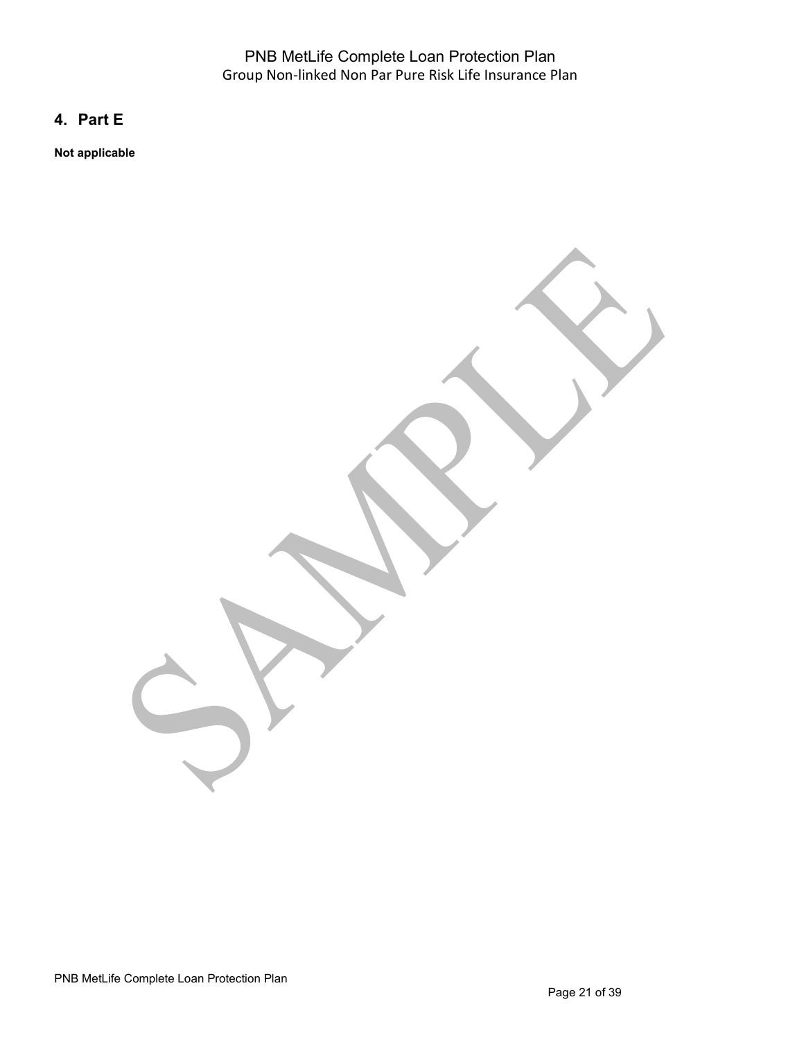# **4. Part E**

**Not applicable**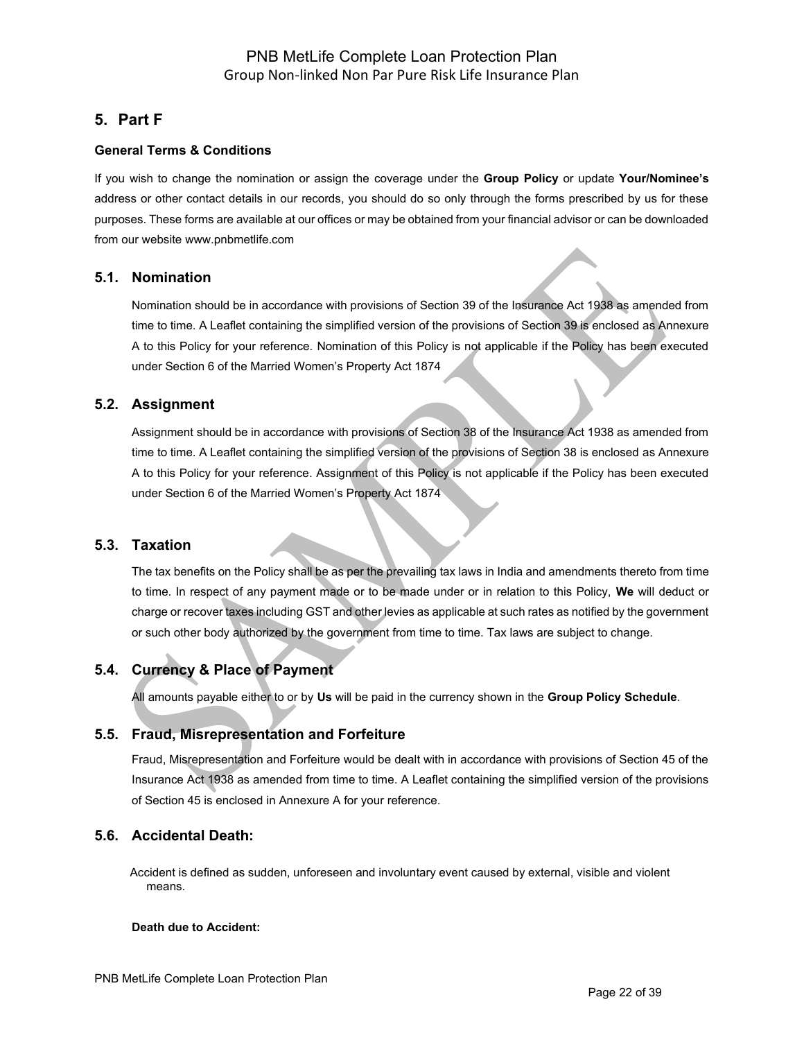# **5. Part F**

### **General Terms & Conditions**

If you wish to change the nomination or assign the coverage under the **Group Policy** or update **Your/Nominee's** address or other contact details in our records, you should do so only through the forms prescribed by us for these purposes. These forms are available at our offices or may be obtained from your financial advisor or can be downloaded from our website [www.pnbmetlife.com](http://www.pnbmetlife.com/)

## **5.1. Nomination**

Nomination should be in accordance with provisions of Section 39 of the Insurance Act 1938 as amended from time to time. A Leaflet containing the simplified version of the provisions of Section 39 is enclosed as Annexure A to this Policy for your reference. Nomination of this Policy is not applicable if the Policy has been executed under Section 6 of the Married Women's Property Act 1874

### **5.2. Assignment**

Assignment should be in accordance with provisions of Section 38 of the Insurance Act 1938 as amended from time to time. A Leaflet containing the simplified version of the provisions of Section 38 is enclosed as Annexure A to this Policy for your reference. Assignment of this Policy is not applicable if the Policy has been executed under Section 6 of the Married Women's Property Act 1874

## **5.3. Taxation**

The tax benefits on the Policy shall be as per the prevailing tax laws in India and amendments thereto from time to time. In respect of any payment made or to be made under or in relation to this Policy, **We** will deduct or charge or recover taxes including GST and other levies as applicable at such rates as notified by the government or such other body authorized by the government from time to time. Tax laws are subject to change.

## **5.4. Currency & Place of Payment**

All amounts payable either to or by **Us** will be paid in the currency shown in the **Group Policy Schedule**.

## **5.5. Fraud, Misrepresentation and Forfeiture**

Fraud, Misrepresentation and Forfeiture would be dealt with in accordance with provisions of Section 45 of the Insurance Act 1938 as amended from time to time. A Leaflet containing the simplified version of the provisions of Section 45 is enclosed in Annexure A for your reference.

## **5.6. Accidental Death:**

Accident is defined as sudden, unforeseen and involuntary event caused by external, visible and violent means.

### **Death due to Accident:**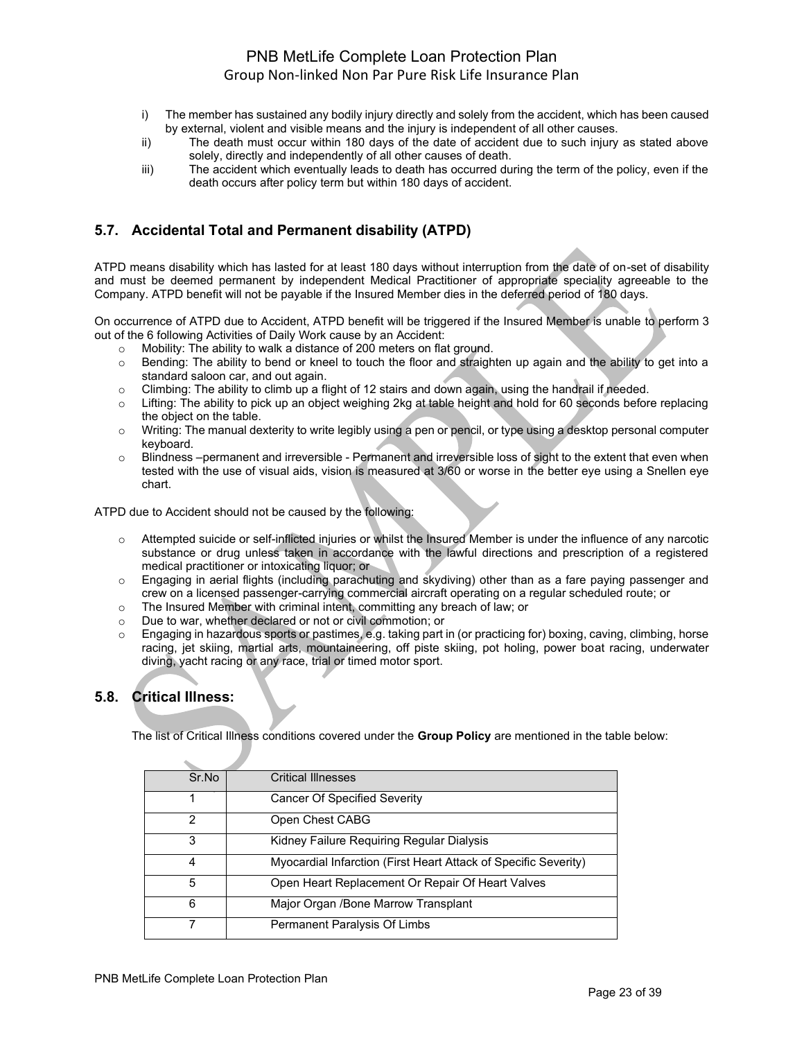- i) The member has sustained any bodily injury directly and solely from the accident, which has been caused by external, violent and visible means and the injury is independent of all other causes.
- ii) The death must occur within 180 days of the date of accident due to such injury as stated above solely, directly and independently of all other causes of death.
- iii) The accident which eventually leads to death has occurred during the term of the policy, even if the death occurs after policy term but within 180 days of accident.

# **5.7. Accidental Total and Permanent disability (ATPD)**

ATPD means disability which has lasted for at least 180 days without interruption from the date of on-set of disability and must be deemed permanent by independent Medical Practitioner of appropriate speciality agreeable to the Company. ATPD benefit will not be payable if the Insured Member dies in the deferred period of 180 days.

On occurrence of ATPD due to Accident, ATPD benefit will be triggered if the Insured Member is unable to perform 3 out of the 6 following Activities of Daily Work cause by an Accident:

- o Mobility: The ability to walk a distance of 200 meters on flat ground.
- o Bending: The ability to bend or kneel to touch the floor and straighten up again and the ability to get into a standard saloon car, and out again.
- o Climbing: The ability to climb up a flight of 12 stairs and down again, using the handrail if needed.
- o Lifting: The ability to pick up an object weighing 2kg at table height and hold for 60 seconds before replacing the object on the table.
- $\circ$  Writing: The manual dexterity to write legibly using a pen or pencil, or type using a desktop personal computer keyboard.
- $\circ$  Blindness –permanent and irreversible Permanent and irreversible loss of sight to the extent that even when tested with the use of visual aids, vision is measured at 3/60 or worse in the better eye using a Snellen eye chart.

ATPD due to Accident should not be caused by the following:

- o Attempted suicide or self-inflicted injuries or whilst the Insured Member is under the influence of any narcotic substance or drug unless taken in accordance with the lawful directions and prescription of a registered medical practitioner or intoxicating liquor; or
- o Engaging in aerial flights (including parachuting and skydiving) other than as a fare paying passenger and crew on a licensed passenger-carrying commercial aircraft operating on a regular scheduled route; or
- o The Insured Member with criminal intent, committing any breach of law; or
- o Due to war, whether declared or not or civil commotion; or
- $\circ$  Engaging in hazardous sports or pastimes, e.g. taking part in (or practicing for) boxing, caving, climbing, horse racing, jet skiing, martial arts, mountaineering, off piste skiing, pot holing, power boat racing, underwater diving, yacht racing or any race, trial or timed motor sport.

# **5.8. Critical Illness:**

The list of Critical Illness conditions covered under the **Group Policy** are mentioned in the table below:

| Sr.No | <b>Critical Illnesses</b>                                       |
|-------|-----------------------------------------------------------------|
|       | <b>Cancer Of Specified Severity</b>                             |
| 2     | Open Chest CABG                                                 |
| 3     | Kidney Failure Requiring Regular Dialysis                       |
|       | Myocardial Infarction (First Heart Attack of Specific Severity) |
| 5     | Open Heart Replacement Or Repair Of Heart Valves                |
| 6     | Major Organ / Bone Marrow Transplant                            |
|       | Permanent Paralysis Of Limbs                                    |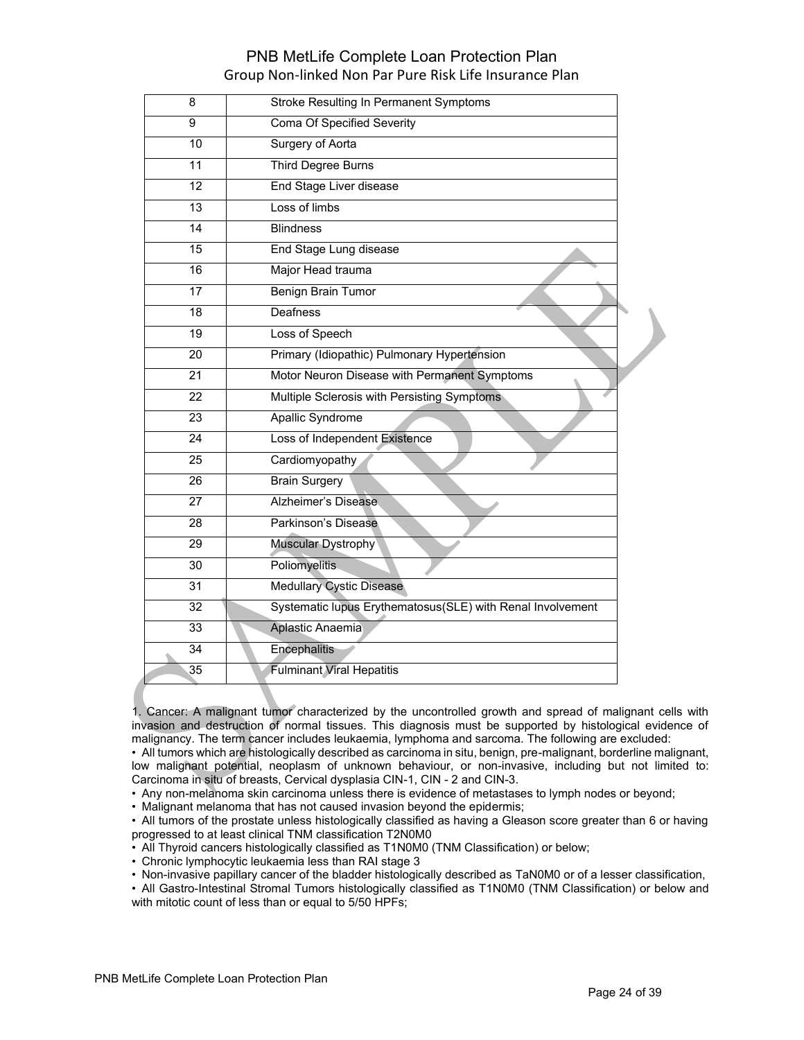| 8               | <b>Stroke Resulting In Permanent Symptoms</b>              |
|-----------------|------------------------------------------------------------|
| 9               | <b>Coma Of Specified Severity</b>                          |
| 10              | <b>Surgery of Aorta</b>                                    |
| 11              | Third Degree Burns                                         |
| 12              | End Stage Liver disease                                    |
| $\overline{13}$ | Loss of limbs                                              |
| 14              | <b>Blindness</b>                                           |
| 15              | End Stage Lung disease                                     |
| $\overline{16}$ | Major Head trauma                                          |
| 17              | Benign Brain Tumor                                         |
| 18              | <b>Deafness</b>                                            |
| 19              | Loss of Speech                                             |
| 20              | Primary (Idiopathic) Pulmonary Hypertension                |
| 21              | Motor Neuron Disease with Permanent Symptoms               |
| $\overline{22}$ | Multiple Sclerosis with Persisting Symptoms                |
| 23              | Apallic Syndrome                                           |
| 24              | Loss of Independent Existence                              |
| 25              | Cardiomyopathy                                             |
| 26              | <b>Brain Surgery</b>                                       |
| 27              | Alzheimer's Disease                                        |
| 28              | Parkinson's Disease                                        |
| 29              | Muscular Dystrophy                                         |
| 30              | <b>Poliomyelitis</b>                                       |
| $\overline{31}$ | <b>Medullary Cystic Disease</b>                            |
| 32              | Systematic lupus Erythematosus(SLE) with Renal Involvement |
| $\overline{33}$ | Aplastic Anaemia                                           |
| 34              | Encephalitis                                               |
| 35              | <b>Fulminant Viral Hepatitis</b>                           |

1. Cancer: A malignant tumor characterized by the uncontrolled growth and spread of malignant cells with invasion and destruction of normal tissues. This diagnosis must be supported by histological evidence of malignancy. The term cancer includes leukaemia, lymphoma and sarcoma. The following are excluded:

• All tumors which are histologically described as carcinoma in situ, benign, pre-malignant, borderline malignant, low malignant potential, neoplasm of unknown behaviour, or non-invasive, including but not limited to: Carcinoma in situ of breasts, Cervical dysplasia CIN-1, CIN - 2 and CIN-3.

• Any non-melanoma skin carcinoma unless there is evidence of metastases to lymph nodes or beyond;

• Malignant melanoma that has not caused invasion beyond the epidermis;

• All tumors of the prostate unless histologically classified as having a Gleason score greater than 6 or having progressed to at least clinical TNM classification T2N0M0

- All Thyroid cancers histologically classified as T1N0M0 (TNM Classification) or below;
- Chronic lymphocytic leukaemia less than RAI stage 3
- Non-invasive papillary cancer of the bladder histologically described as TaN0M0 or of a lesser classification,

• All Gastro-Intestinal Stromal Tumors histologically classified as T1N0M0 (TNM Classification) or below and with mitotic count of less than or equal to 5/50 HPFs;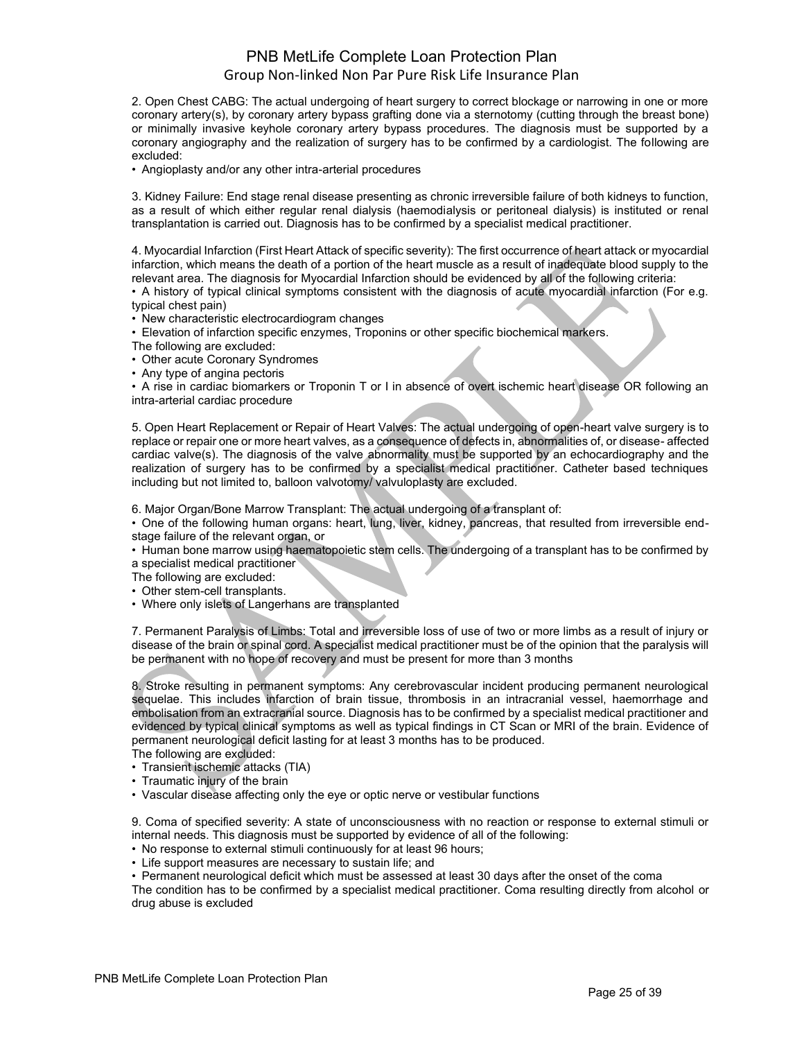2. Open Chest CABG: The actual undergoing of heart surgery to correct blockage or narrowing in one or more coronary artery(s), by coronary artery bypass grafting done via a sternotomy (cutting through the breast bone) or minimally invasive keyhole coronary artery bypass procedures. The diagnosis must be supported by a coronary angiography and the realization of surgery has to be confirmed by a cardiologist. The following are excluded:

• Angioplasty and/or any other intra-arterial procedures

3. Kidney Failure: End stage renal disease presenting as chronic irreversible failure of both kidneys to function, as a result of which either regular renal dialysis (haemodialysis or peritoneal dialysis) is instituted or renal transplantation is carried out. Diagnosis has to be confirmed by a specialist medical practitioner.

4. Myocardial Infarction (First Heart Attack of specific severity): The first occurrence of heart attack or myocardial infarction, which means the death of a portion of the heart muscle as a result of inadequate blood supply to the relevant area. The diagnosis for Myocardial Infarction should be evidenced by all of the following criteria:

• A history of typical clinical symptoms consistent with the diagnosis of acute myocardial infarction (For e.g. typical chest pain)

• New characteristic electrocardiogram changes

• Elevation of infarction specific enzymes, Troponins or other specific biochemical markers.

The following are excluded:

• Other acute Coronary Syndromes

• Any type of angina pectoris

• A rise in cardiac biomarkers or Troponin T or I in absence of overt ischemic heart disease OR following an intra-arterial cardiac procedure

5. Open Heart Replacement or Repair of Heart Valves: The actual undergoing of open-heart valve surgery is to replace or repair one or more heart valves, as a consequence of defects in, abnormalities of, or disease- affected cardiac valve(s). The diagnosis of the valve abnormality must be supported by an echocardiography and the realization of surgery has to be confirmed by a specialist medical practitioner. Catheter based techniques including but not limited to, balloon valvotomy/ valvuloplasty are excluded.

6. Major Organ/Bone Marrow Transplant: The actual undergoing of a transplant of:

• One of the following human organs: heart, lung, liver, kidney, pancreas, that resulted from irreversible endstage failure of the relevant organ, or

• Human bone marrow using haematopoietic stem cells. The undergoing of a transplant has to be confirmed by a specialist medical practitioner

The following are excluded:

• Other stem-cell transplants.

• Where only islets of Langerhans are transplanted

7. Permanent Paralysis of Limbs: Total and irreversible loss of use of two or more limbs as a result of injury or disease of the brain or spinal cord. A specialist medical practitioner must be of the opinion that the paralysis will be permanent with no hope of recovery and must be present for more than 3 months

8. Stroke resulting in permanent symptoms: Any cerebrovascular incident producing permanent neurological sequelae. This includes infarction of brain tissue, thrombosis in an intracranial vessel, haemorrhage and embolisation from an extracranial source. Diagnosis has to be confirmed by a specialist medical practitioner and evidenced by typical clinical symptoms as well as typical findings in CT Scan or MRI of the brain. Evidence of permanent neurological deficit lasting for at least 3 months has to be produced.

- The following are excluded:
- Transient ischemic attacks (TIA)
- Traumatic injury of the brain
- Vascular disease affecting only the eye or optic nerve or vestibular functions

9. Coma of specified severity: A state of unconsciousness with no reaction or response to external stimuli or internal needs. This diagnosis must be supported by evidence of all of the following:

- No response to external stimuli continuously for at least 96 hours;
- Life support measures are necessary to sustain life; and

• Permanent neurological deficit which must be assessed at least 30 days after the onset of the coma

The condition has to be confirmed by a specialist medical practitioner. Coma resulting directly from alcohol or drug abuse is excluded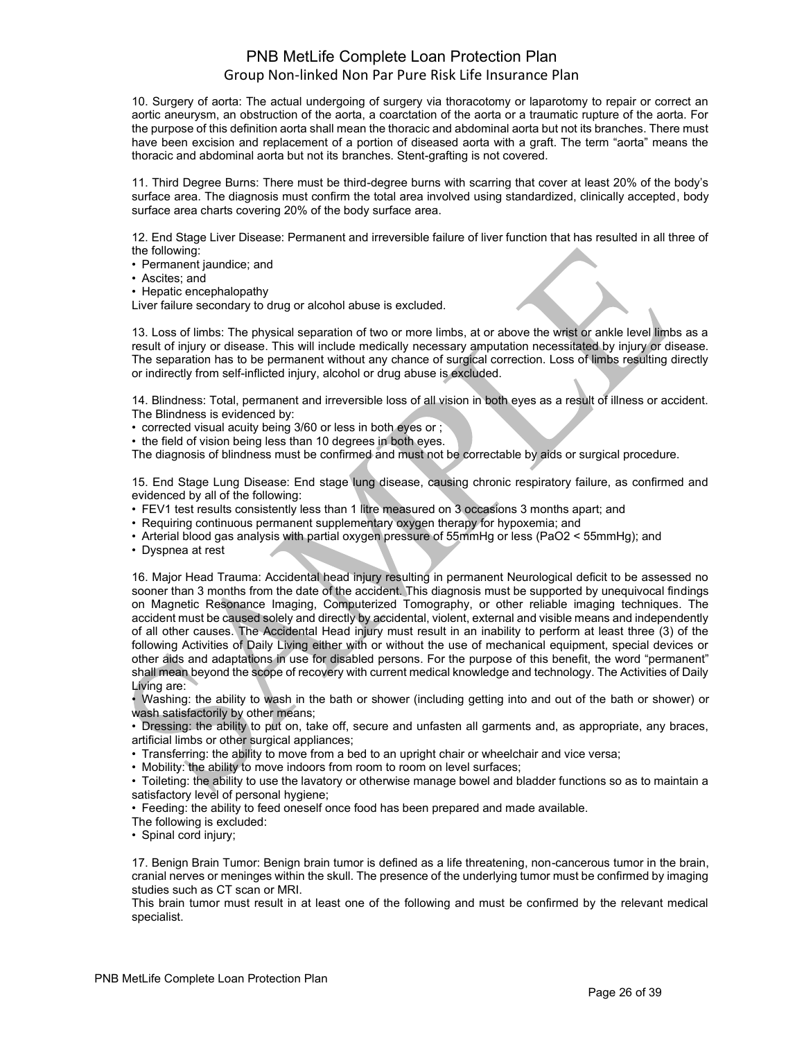10. Surgery of aorta: The actual undergoing of surgery via thoracotomy or laparotomy to repair or correct an aortic aneurysm, an obstruction of the aorta, a coarctation of the aorta or a traumatic rupture of the aorta. For the purpose of this definition aorta shall mean the thoracic and abdominal aorta but not its branches. There must have been excision and replacement of a portion of diseased aorta with a graft. The term "aorta" means the thoracic and abdominal aorta but not its branches. Stent-grafting is not covered.

11. Third Degree Burns: There must be third-degree burns with scarring that cover at least 20% of the body's surface area. The diagnosis must confirm the total area involved using standardized, clinically accepted, body surface area charts covering 20% of the body surface area.

12. End Stage Liver Disease: Permanent and irreversible failure of liver function that has resulted in all three of the following:

• Permanent jaundice; and

• Ascites; and

• Hepatic encephalopathy

Liver failure secondary to drug or alcohol abuse is excluded.

13. Loss of limbs: The physical separation of two or more limbs, at or above the wrist or ankle level limbs as a result of injury or disease. This will include medically necessary amputation necessitated by injury or disease. The separation has to be permanent without any chance of surgical correction. Loss of limbs resulting directly or indirectly from self-inflicted injury, alcohol or drug abuse is excluded.

14. Blindness: Total, permanent and irreversible loss of all vision in both eyes as a result of illness or accident. The Blindness is evidenced by:

- corrected visual acuity being 3/60 or less in both eyes or ;
- the field of vision being less than 10 degrees in both eyes.

The diagnosis of blindness must be confirmed and must not be correctable by aids or surgical procedure.

15. End Stage Lung Disease: End stage lung disease, causing chronic respiratory failure, as confirmed and evidenced by all of the following:

• FEV1 test results consistently less than 1 litre measured on 3 occasions 3 months apart; and

• Requiring continuous permanent supplementary oxygen therapy for hypoxemia; and

- Arterial blood gas analysis with partial oxygen pressure of 55mmHg or less (PaO2 < 55mmHg); and
- Dyspnea at rest

16. Major Head Trauma: Accidental head injury resulting in permanent Neurological deficit to be assessed no sooner than 3 months from the date of the accident. This diagnosis must be supported by unequivocal findings on Magnetic Resonance Imaging, Computerized Tomography, or other reliable imaging techniques. The accident must be caused solely and directly by accidental, violent, external and visible means and independently of all other causes. The Accidental Head injury must result in an inability to perform at least three (3) of the following Activities of Daily Living either with or without the use of mechanical equipment, special devices or other aids and adaptations in use for disabled persons. For the purpose of this benefit, the word "permanent" shall mean beyond the scope of recovery with current medical knowledge and technology. The Activities of Daily Living are:

• Washing: the ability to wash in the bath or shower (including getting into and out of the bath or shower) or wash satisfactorily by other means;

• Dressing: the ability to put on, take off, secure and unfasten all garments and, as appropriate, any braces, artificial limbs or other surgical appliances;

• Transferring: the ability to move from a bed to an upright chair or wheelchair and vice versa;

• Mobility: the ability to move indoors from room to room on level surfaces;

• Toileting: the ability to use the lavatory or otherwise manage bowel and bladder functions so as to maintain a satisfactory level of personal hygiene;

• Feeding: the ability to feed oneself once food has been prepared and made available.

The following is excluded:

• Spinal cord injury;

17. Benign Brain Tumor: Benign brain tumor is defined as a life threatening, non-cancerous tumor in the brain, cranial nerves or meninges within the skull. The presence of the underlying tumor must be confirmed by imaging studies such as CT scan or MRI.

This brain tumor must result in at least one of the following and must be confirmed by the relevant medical specialist.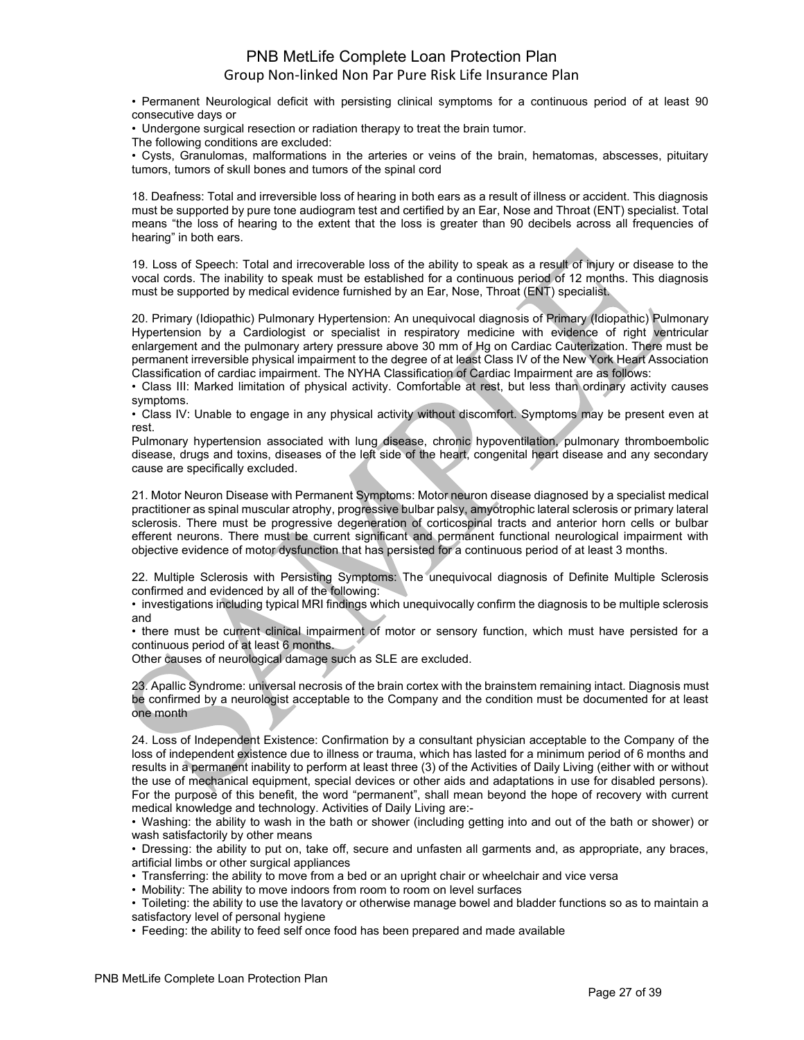• Permanent Neurological deficit with persisting clinical symptoms for a continuous period of at least 90 consecutive days or

• Undergone surgical resection or radiation therapy to treat the brain tumor.

The following conditions are excluded:

• Cysts, Granulomas, malformations in the arteries or veins of the brain, hematomas, abscesses, pituitary tumors, tumors of skull bones and tumors of the spinal cord

18. Deafness: Total and irreversible loss of hearing in both ears as a result of illness or accident. This diagnosis must be supported by pure tone audiogram test and certified by an Ear, Nose and Throat (ENT) specialist. Total means "the loss of hearing to the extent that the loss is greater than 90 decibels across all frequencies of hearing" in both ears.

19. Loss of Speech: Total and irrecoverable loss of the ability to speak as a result of injury or disease to the vocal cords. The inability to speak must be established for a continuous period of 12 months. This diagnosis must be supported by medical evidence furnished by an Ear, Nose, Throat (ENT) specialist.

20. Primary (Idiopathic) Pulmonary Hypertension: An unequivocal diagnosis of Primary (Idiopathic) Pulmonary Hypertension by a Cardiologist or specialist in respiratory medicine with evidence of right ventricular enlargement and the pulmonary artery pressure above 30 mm of Hg on Cardiac Cauterization. There must be permanent irreversible physical impairment to the degree of at least Class IV of the New York Heart Association Classification of cardiac impairment. The NYHA Classification of Cardiac Impairment are as follows:

• Class III: Marked limitation of physical activity. Comfortable at rest, but less than ordinary activity causes symptoms.

• Class IV: Unable to engage in any physical activity without discomfort. Symptoms may be present even at rest.

Pulmonary hypertension associated with lung disease, chronic hypoventilation, pulmonary thromboembolic disease, drugs and toxins, diseases of the left side of the heart, congenital heart disease and any secondary cause are specifically excluded.

21. Motor Neuron Disease with Permanent Symptoms: Motor neuron disease diagnosed by a specialist medical practitioner as spinal muscular atrophy, progressive bulbar palsy, amyotrophic lateral sclerosis or primary lateral sclerosis. There must be progressive degeneration of corticospinal tracts and anterior horn cells or bulbar efferent neurons. There must be current significant and permanent functional neurological impairment with objective evidence of motor dysfunction that has persisted for a continuous period of at least 3 months.

22. Multiple Sclerosis with Persisting Symptoms: The unequivocal diagnosis of Definite Multiple Sclerosis confirmed and evidenced by all of the following:

• investigations including typical MRI findings which unequivocally confirm the diagnosis to be multiple sclerosis and

• there must be current clinical impairment of motor or sensory function, which must have persisted for a continuous period of at least 6 months.

Other causes of neurological damage such as SLE are excluded.

23. Apallic Syndrome: universal necrosis of the brain cortex with the brainstem remaining intact. Diagnosis must be confirmed by a neurologist acceptable to the Company and the condition must be documented for at least one month

24. Loss of Independent Existence: Confirmation by a consultant physician acceptable to the Company of the loss of independent existence due to illness or trauma, which has lasted for a minimum period of 6 months and results in a permanent inability to perform at least three (3) of the Activities of Daily Living (either with or without the use of mechanical equipment, special devices or other aids and adaptations in use for disabled persons). For the purpose of this benefit, the word "permanent", shall mean beyond the hope of recovery with current medical knowledge and technology. Activities of Daily Living are:-

• Washing: the ability to wash in the bath or shower (including getting into and out of the bath or shower) or wash satisfactorily by other means

• Dressing: the ability to put on, take off, secure and unfasten all garments and, as appropriate, any braces, artificial limbs or other surgical appliances

• Transferring: the ability to move from a bed or an upright chair or wheelchair and vice versa

• Mobility: The ability to move indoors from room to room on level surfaces

• Toileting: the ability to use the lavatory or otherwise manage bowel and bladder functions so as to maintain a satisfactory level of personal hygiene

• Feeding: the ability to feed self once food has been prepared and made available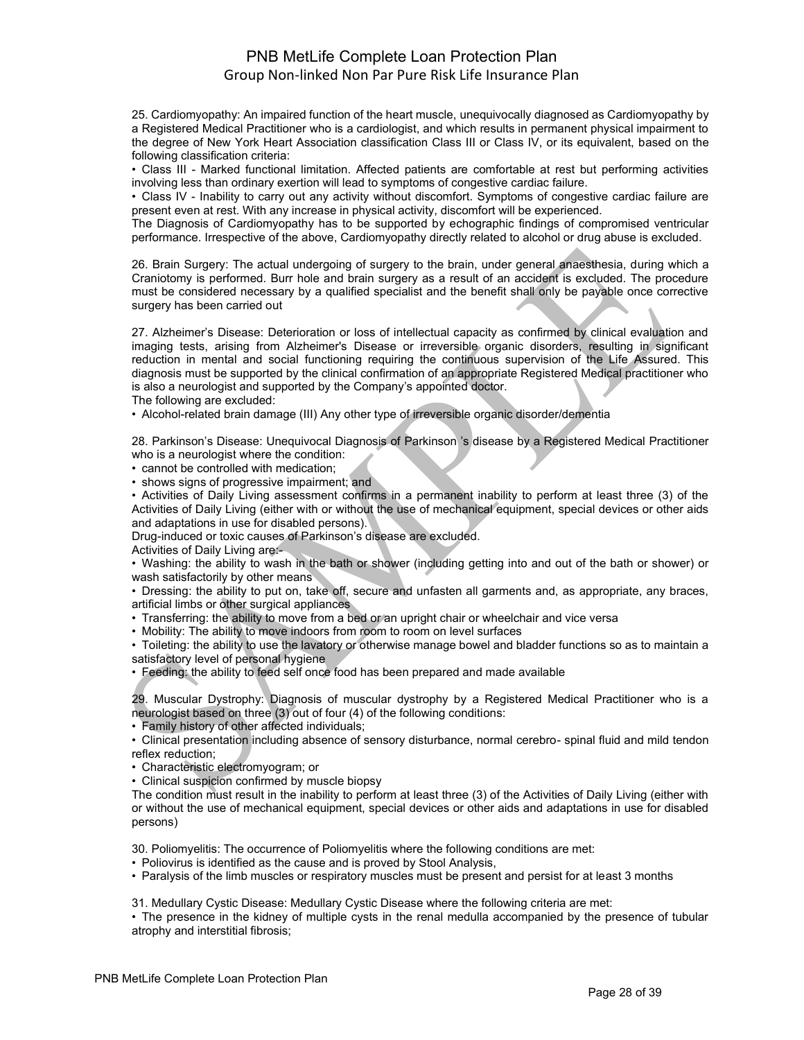25. Cardiomyopathy: An impaired function of the heart muscle, unequivocally diagnosed as Cardiomyopathy by a Registered Medical Practitioner who is a cardiologist, and which results in permanent physical impairment to the degree of New York Heart Association classification Class III or Class IV, or its equivalent, based on the following classification criteria:

• Class III - Marked functional limitation. Affected patients are comfortable at rest but performing activities involving less than ordinary exertion will lead to symptoms of congestive cardiac failure.

• Class IV - Inability to carry out any activity without discomfort. Symptoms of congestive cardiac failure are present even at rest. With any increase in physical activity, discomfort will be experienced.

The Diagnosis of Cardiomyopathy has to be supported by echographic findings of compromised ventricular performance. Irrespective of the above, Cardiomyopathy directly related to alcohol or drug abuse is excluded.

26. Brain Surgery: The actual undergoing of surgery to the brain, under general anaesthesia, during which a Craniotomy is performed. Burr hole and brain surgery as a result of an accident is excluded. The procedure must be considered necessary by a qualified specialist and the benefit shall only be payable once corrective surgery has been carried out

27. Alzheimer's Disease: Deterioration or loss of intellectual capacity as confirmed by clinical evaluation and imaging tests, arising from Alzheimer's Disease or irreversible organic disorders, resulting in significant reduction in mental and social functioning requiring the continuous supervision of the Life Assured. This diagnosis must be supported by the clinical confirmation of an appropriate Registered Medical practitioner who is also a neurologist and supported by the Company's appointed doctor.

The following are excluded:

• Alcohol-related brain damage (III) Any other type of irreversible organic disorder/dementia

28. Parkinson's Disease: Unequivocal Diagnosis of Parkinson 's disease by a Registered Medical Practitioner who is a neurologist where the condition:

• cannot be controlled with medication;

• shows signs of progressive impairment; and

• Activities of Daily Living assessment confirms in a permanent inability to perform at least three (3) of the Activities of Daily Living (either with or without the use of mechanical equipment, special devices or other aids and adaptations in use for disabled persons).

Drug-induced or toxic causes of Parkinson's disease are excluded.

Activities of Daily Living are:-

• Washing: the ability to wash in the bath or shower (including getting into and out of the bath or shower) or wash satisfactorily by other means

• Dressing: the ability to put on, take off, secure and unfasten all garments and, as appropriate, any braces, artificial limbs or other surgical appliances

• Transferring: the ability to move from a bed or an upright chair or wheelchair and vice versa

• Mobility: The ability to move indoors from room to room on level surfaces

• Toileting: the ability to use the lavatory or otherwise manage bowel and bladder functions so as to maintain a satisfactory level of personal hygiene

• Feeding: the ability to feed self once food has been prepared and made available

29. Muscular Dystrophy: Diagnosis of muscular dystrophy by a Registered Medical Practitioner who is a neurologist based on three (3) out of four (4) of the following conditions:

• Family history of other affected individuals;

• Clinical presentation including absence of sensory disturbance, normal cerebro- spinal fluid and mild tendon reflex reduction;

• Characteristic electromyogram; or

• Clinical suspicion confirmed by muscle biopsy

The condition must result in the inability to perform at least three (3) of the Activities of Daily Living (either with or without the use of mechanical equipment, special devices or other aids and adaptations in use for disabled persons)

30. Poliomyelitis: The occurrence of Poliomyelitis where the following conditions are met:

• Poliovirus is identified as the cause and is proved by Stool Analysis,

• Paralysis of the limb muscles or respiratory muscles must be present and persist for at least 3 months

31. Medullary Cystic Disease: Medullary Cystic Disease where the following criteria are met:

• The presence in the kidney of multiple cysts in the renal medulla accompanied by the presence of tubular atrophy and interstitial fibrosis;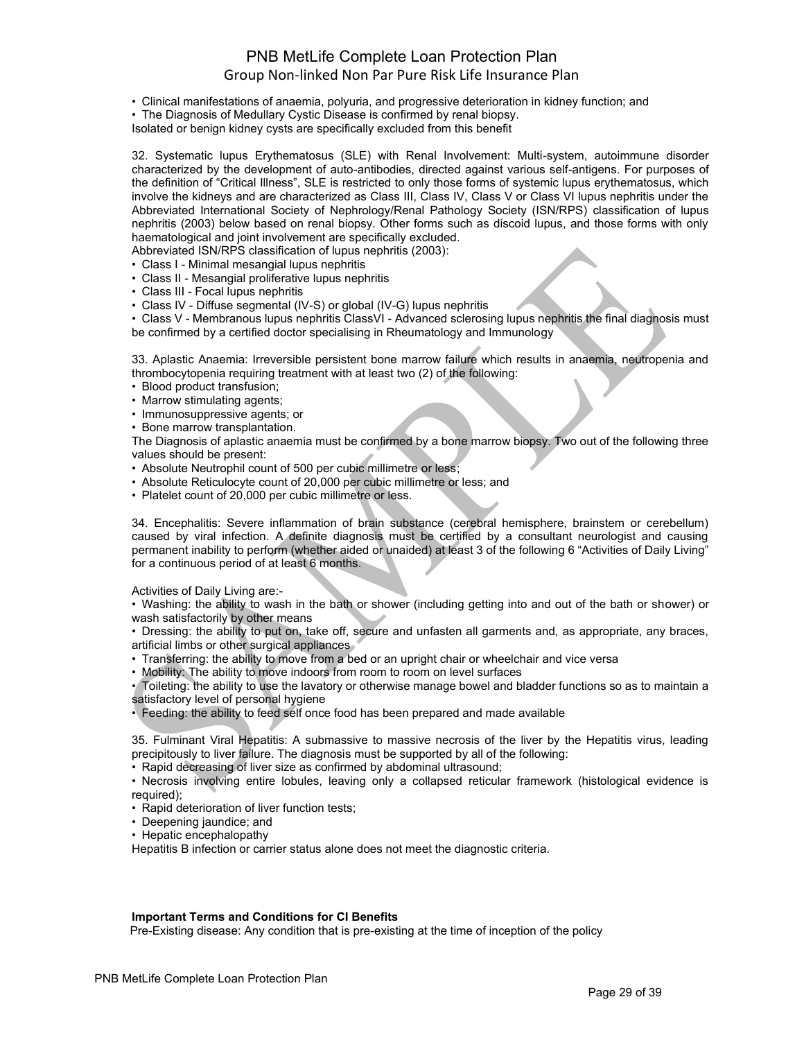- Clinical manifestations of anaemia, polyuria, and progressive deterioration in kidney function; and
- The Diagnosis of Medullary Cystic Disease is confirmed by renal biopsy.

Isolated or benign kidney cysts are specifically excluded from this benefit

32. Systematic lupus Erythematosus (SLE) with Renal Involvement: Multi-system, autoimmune disorder characterized by the development of auto-antibodies, directed against various self-antigens. For purposes of the definition of "Critical Illness", SLE is restricted to only those forms of systemic lupus erythematosus, which involve the kidneys and are characterized as Class III, Class IV, Class V or Class VI lupus nephritis under the Abbreviated International Society of Nephrology/Renal Pathology Society (ISN/RPS) classification of lupus nephritis (2003) below based on renal biopsy. Other forms such as discoid lupus, and those forms with only haematological and joint involvement are specifically excluded.

Abbreviated ISN/RPS classification of lupus nephritis (2003):

- Class I Minimal mesangial lupus nephritis
- Class II Mesangial proliferative lupus nephritis
- Class III Focal lupus nephritis
- Class IV Diffuse segmental (IV-S) or global (IV-G) lupus nephritis

• Class V - Membranous lupus nephritis ClassVI - Advanced sclerosing lupus nephritis the final diagnosis must be confirmed by a certified doctor specialising in Rheumatology and Immunology

33. Aplastic Anaemia: Irreversible persistent bone marrow failure which results in anaemia, neutropenia and thrombocytopenia requiring treatment with at least two (2) of the following:

- Blood product transfusion;
- Marrow stimulating agents;
- Immunosuppressive agents; or
- Bone marrow transplantation.

The Diagnosis of aplastic anaemia must be confirmed by a bone marrow biopsy. Two out of the following three values should be present:

- Absolute Neutrophil count of 500 per cubic millimetre or less;
- Absolute Reticulocyte count of 20,000 per cubic millimetre or less; and
- Platelet count of 20,000 per cubic millimetre or less.

34. Encephalitis: Severe inflammation of brain substance (cerebral hemisphere, brainstem or cerebellum) caused by viral infection. A definite diagnosis must be certified by a consultant neurologist and causing permanent inability to perform (whether aided or unaided) at least 3 of the following 6 "Activities of Daily Living" for a continuous period of at least 6 months.

Activities of Daily Living are:-

• Washing: the ability to wash in the bath or shower (including getting into and out of the bath or shower) or wash satisfactorily by other means

• Dressing: the ability to put on, take off, secure and unfasten all garments and, as appropriate, any braces, artificial limbs or other surgical appliances

- Transferring: the ability to move from a bed or an upright chair or wheelchair and vice versa
- Mobility: The ability to move indoors from room to room on level surfaces

• Toileting: the ability to use the lavatory or otherwise manage bowel and bladder functions so as to maintain a satisfactory level of personal hygiene

• Feeding: the ability to feed self once food has been prepared and made available

35. Fulminant Viral Hepatitis: A submassive to massive necrosis of the liver by the Hepatitis virus, leading precipitously to liver failure. The diagnosis must be supported by all of the following:

• Rapid decreasing of liver size as confirmed by abdominal ultrasound;

• Necrosis involving entire lobules, leaving only a collapsed reticular framework (histological evidence is required);

- Rapid deterioration of liver function tests;
- Deepening jaundice; and
- Hepatic encephalopathy

Hepatitis B infection or carrier status alone does not meet the diagnostic criteria.

### **Important Terms and Conditions for CI Benefits**

Pre-Existing disease: Any condition that is pre-existing at the time of inception of the policy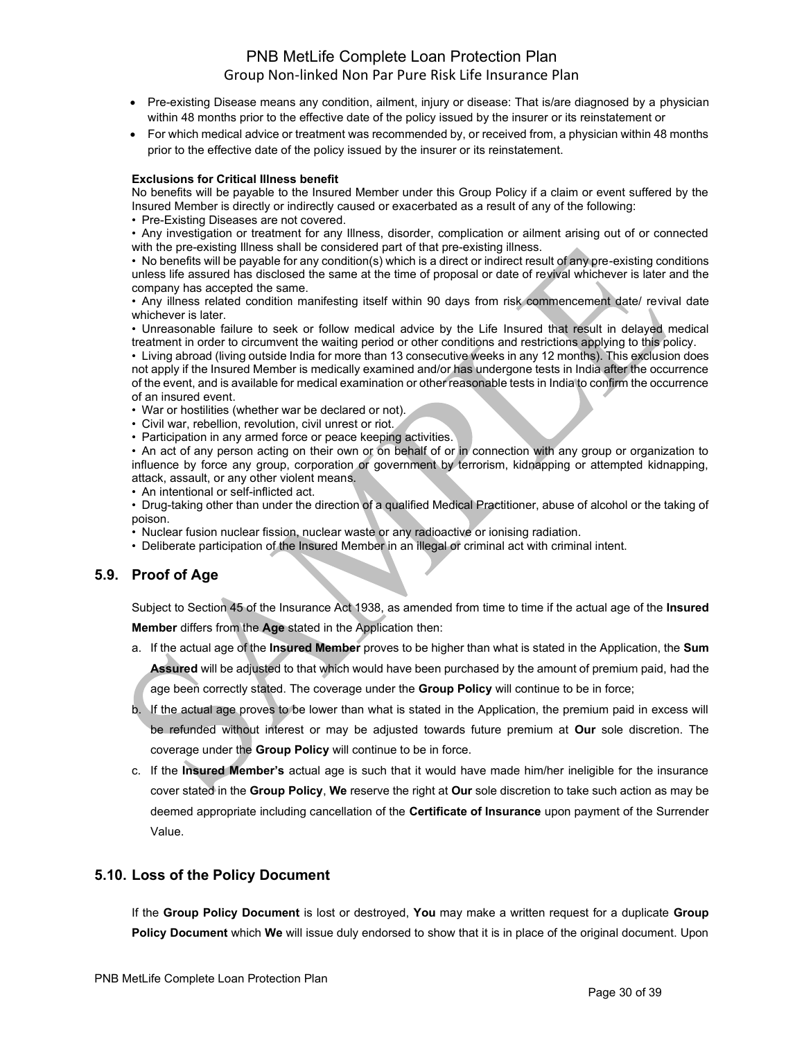- Pre-existing Disease means any condition, ailment, injury or disease: That is/are diagnosed by a physician within 48 months prior to the effective date of the policy issued by the insurer or its reinstatement or
- For which medical advice or treatment was recommended by, or received from, a physician within 48 months prior to the effective date of the policy issued by the insurer or its reinstatement.

### **Exclusions for Critical Illness benefit**

No benefits will be payable to the Insured Member under this Group Policy if a claim or event suffered by the Insured Member is directly or indirectly caused or exacerbated as a result of any of the following:

• Pre-Existing Diseases are not covered.

• Any investigation or treatment for any Illness, disorder, complication or ailment arising out of or connected with the pre-existing Illness shall be considered part of that pre-existing illness.

• No benefits will be payable for any condition(s) which is a direct or indirect result of any pre-existing conditions unless life assured has disclosed the same at the time of proposal or date of revival whichever is later and the company has accepted the same.

• Any illness related condition manifesting itself within 90 days from risk commencement date/ revival date whichever is later.

• Unreasonable failure to seek or follow medical advice by the Life Insured that result in delayed medical treatment in order to circumvent the waiting period or other conditions and restrictions applying to this policy.

• Living abroad (living outside India for more than 13 consecutive weeks in any 12 months). This exclusion does not apply if the Insured Member is medically examined and/or has undergone tests in India after the occurrence of the event, and is available for medical examination or other reasonable tests in India to confirm the occurrence of an insured event.

- War or hostilities (whether war be declared or not).
- Civil war, rebellion, revolution, civil unrest or riot.
- Participation in any armed force or peace keeping activities.

• An act of any person acting on their own or on behalf of or in connection with any group or organization to influence by force any group, corporation or government by terrorism, kidnapping or attempted kidnapping, attack, assault, or any other violent means.

• An intentional or self-inflicted act.

• Drug-taking other than under the direction of a qualified Medical Practitioner, abuse of alcohol or the taking of poison.

- Nuclear fusion nuclear fission, nuclear waste or any radioactive or ionising radiation.
- Deliberate participation of the Insured Member in an illegal or criminal act with criminal intent.

## **5.9. Proof of Age**

Subject to Section 45 of the Insurance Act 1938, as amended from time to time if the actual age of the **Insured Member** differs from the **Age** stated in the Application then:

- a. If the actual age of the **Insured Member** proves to be higher than what is stated in the Application, the **Sum Assured** will be adjusted to that which would have been purchased by the amount of premium paid, had the age been correctly stated. The coverage under the **Group Policy** will continue to be in force;
- b. If the actual age proves to be lower than what is stated in the Application, the premium paid in excess will be refunded without interest or may be adjusted towards future premium at **Our** sole discretion. The coverage under the **Group Policy** will continue to be in force.
- c. If the **Insured Member's** actual age is such that it would have made him/her ineligible for the insurance cover stated in the **Group Policy**, **We** reserve the right at **Our** sole discretion to take such action as may be deemed appropriate including cancellation of the **Certificate of Insurance** upon payment of the Surrender Value.

## **5.10. Loss of the Policy Document**

If the **Group Policy Document** is lost or destroyed, **You** may make a written request for a duplicate **Group Policy Document** which **We** will issue duly endorsed to show that it is in place of the original document. Upon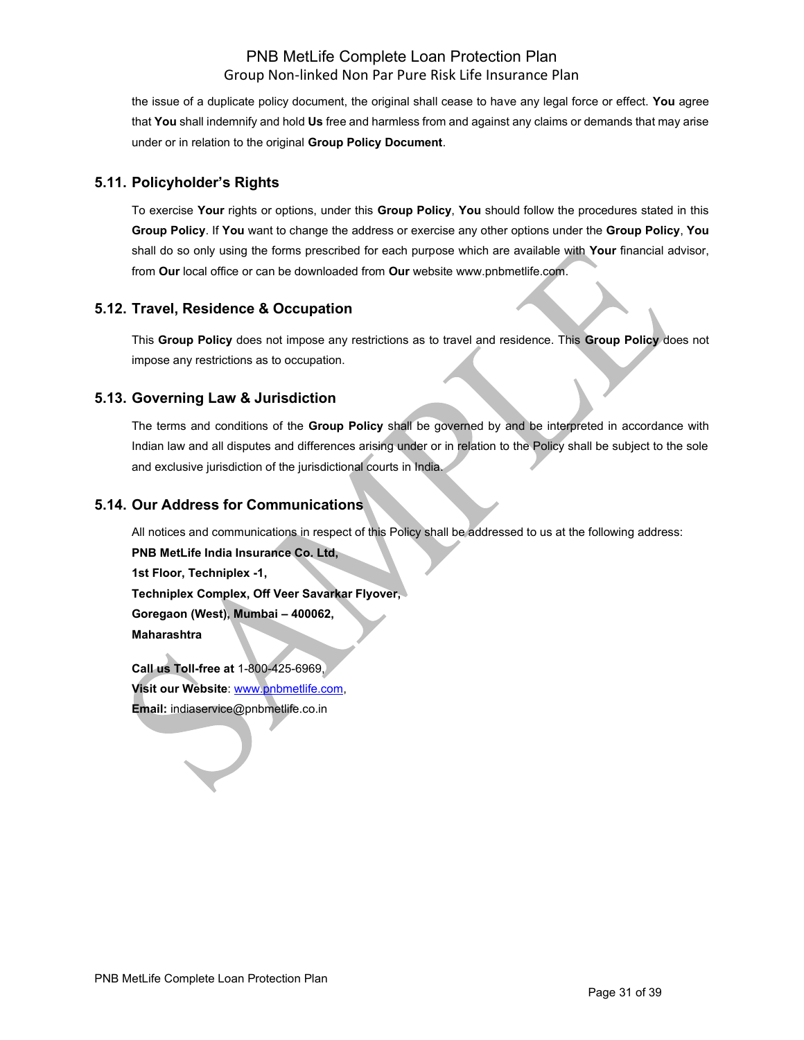the issue of a duplicate policy document, the original shall cease to have any legal force or effect. **You** agree that **You** shall indemnify and hold **Us** free and harmless from and against any claims or demands that may arise under or in relation to the original **Group Policy Document**.

## **5.11. Policyholder's Rights**

To exercise **Your** rights or options, under this **Group Policy**, **You** should follow the procedures stated in this **Group Policy**. If **You** want to change the address or exercise any other options under the **Group Policy**, **You** shall do so only using the forms prescribed for each purpose which are available with **Your** financial advisor, from **Our** local office or can be downloaded from **Our** websit[e www.pnbmetlife.com.](http://www.pnbmetlife.com/)

## **5.12. Travel, Residence & Occupation**

This **Group Policy** does not impose any restrictions as to travel and residence. This **Group Policy** does not impose any restrictions as to occupation.

## **5.13. Governing Law & Jurisdiction**

The terms and conditions of the **Group Policy** shall be governed by and be interpreted in accordance with Indian law and all disputes and differences arising under or in relation to the Policy shall be subject to the sole and exclusive jurisdiction of the jurisdictional courts in India.

## **5.14. Our Address for Communications**

All notices and communications in respect of this Policy shall be addressed to us at the following address:

**PNB MetLife India Insurance Co. Ltd, 1st Floor, Techniplex -1, Techniplex Complex, Off Veer Savarkar Flyover, Goregaon (West), Mumbai – 400062, Maharashtra**

**Call us Toll-free at** 1-800-425-6969, **Visit our Website**: [www.pnbmetlife.com,](http://www.pnbmetlife.com/) **Email:** indiaservice@pnbmetlife.co.in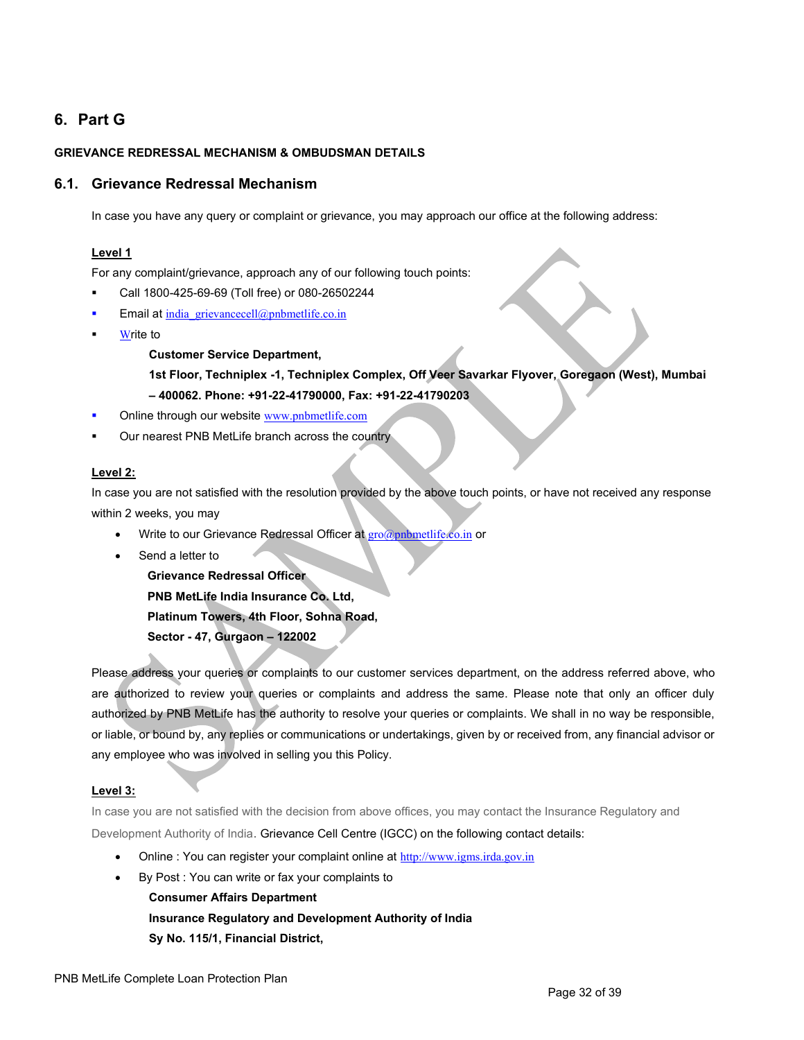# **6. Part G**

### **GRIEVANCE REDRESSAL MECHANISM & OMBUDSMAN DETAILS**

### **6.1. Grievance Redressal Mechanism**

In case you have any query or complaint or grievance, you may approach our office at the following address:

### **Level 1**

For any complaint/grievance, approach any of our following touch points:

- Call 1800-425-69-69 (Toll free) or 080-26502244
- Email at india grievancecell $@p$ nbmetlife.co.in
- **Write to**

### **Customer Service Department,**

## **1st Floor, Techniplex -1, Techniplex Complex, Off Veer Savarkar Flyover, Goregaon (West), Mumbai – 400062. Phone: +91-22-41790000, Fax: +91-22-41790203**

- Online through our website [www.pnbmetlife.com](http://www.pnbmetlife.com/)
- Our nearest PNB MetLife branch across the country

### **Level 2:**

In case you are not satisfied with the resolution provided by the above touch points, or have not received any response within 2 weeks, you may

- Write to our Grievance Redressal Officer at [gro@pnbmetlife.co.in](mailto:gro@pnbmetlife.co.in) or
- Send a letter to

**Grievance Redressal Officer PNB MetLife India Insurance Co. Ltd, Platinum Towers, 4th Floor, Sohna Road, Sector - 47, Gurgaon – 122002**

Please address your queries or complaints to our customer services department, on the address referred above, who are authorized to review your queries or complaints and address the same. Please note that only an officer duly authorized by PNB MetLife has the authority to resolve your queries or complaints. We shall in no way be responsible, or liable, or bound by, any replies or communications or undertakings, given by or received from, any financial advisor or any employee who was involved in selling you this Policy.

### **Level 3:**

In case you are not satisfied with the decision from above offices, you may contact the Insurance Regulatory and Development Authority of India. Grievance Cell Centre (IGCC) on the following contact details:

- Online : You can register your complaint online at [http://www.igms.irda.gov.in](http://www.igms.irda.gov.in/)
- By Post : You can write or fax your complaints to

**Consumer Affairs Department Insurance Regulatory and Development Authority of India Sy No. 115/1, Financial District,**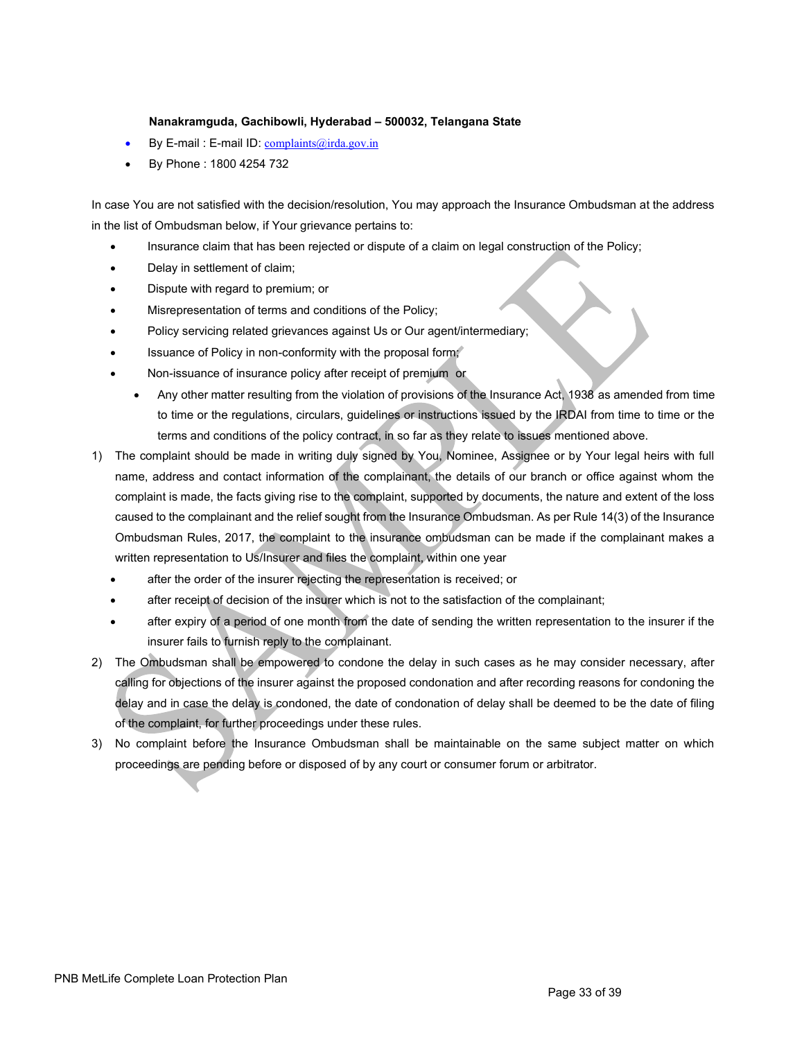### **Nanakramguda, Gachibowli, Hyderabad – 500032, Telangana State**

- By E-mail : E-mail ID: [complaints@irda.gov.in](mailto:complaints@irda.gov.in)
- By Phone : 1800 4254 732

In case You are not satisfied with the decision/resolution, You may approach the Insurance Ombudsman at the address in the list of Ombudsman below, if Your grievance pertains to:

- Insurance claim that has been rejected or dispute of a claim on legal construction of the Policy;
- Delay in settlement of claim;
- Dispute with regard to premium; or
- Misrepresentation of terms and conditions of the Policy;
- Policy servicing related grievances against Us or Our agent/intermediary;
- Issuance of Policy in non-conformity with the proposal form;
- Non-issuance of insurance policy after receipt of premium or
	- Any other matter resulting from the violation of provisions of the Insurance Act, 1938 as amended from time to time or the regulations, circulars, guidelines or instructions issued by the IRDAI from time to time or the terms and conditions of the policy contract, in so far as they relate to issues mentioned above.
- 1) The complaint should be made in writing duly signed by You, Nominee, Assignee or by Your legal heirs with full name, address and contact information of the complainant, the details of our branch or office against whom the complaint is made, the facts giving rise to the complaint, supported by documents, the nature and extent of the loss caused to the complainant and the relief sought from the Insurance Ombudsman. As per Rule 14(3) of the Insurance Ombudsman Rules, 2017, the complaint to the insurance ombudsman can be made if the complainant makes a written representation to Us/Insurer and files the complaint, within one year
	- after the order of the insurer rejecting the representation is received; or
	- after receipt of decision of the insurer which is not to the satisfaction of the complainant;
	- after expiry of a period of one month from the date of sending the written representation to the insurer if the insurer fails to furnish reply to the complainant.
- 2) The Ombudsman shall be empowered to condone the delay in such cases as he may consider necessary, after calling for objections of the insurer against the proposed condonation and after recording reasons for condoning the delay and in case the delay is condoned, the date of condonation of delay shall be deemed to be the date of filing of the complaint, for further proceedings under these rules.
- 3) No complaint before the Insurance Ombudsman shall be maintainable on the same subject matter on which proceedings are pending before or disposed of by any court or consumer forum or arbitrator.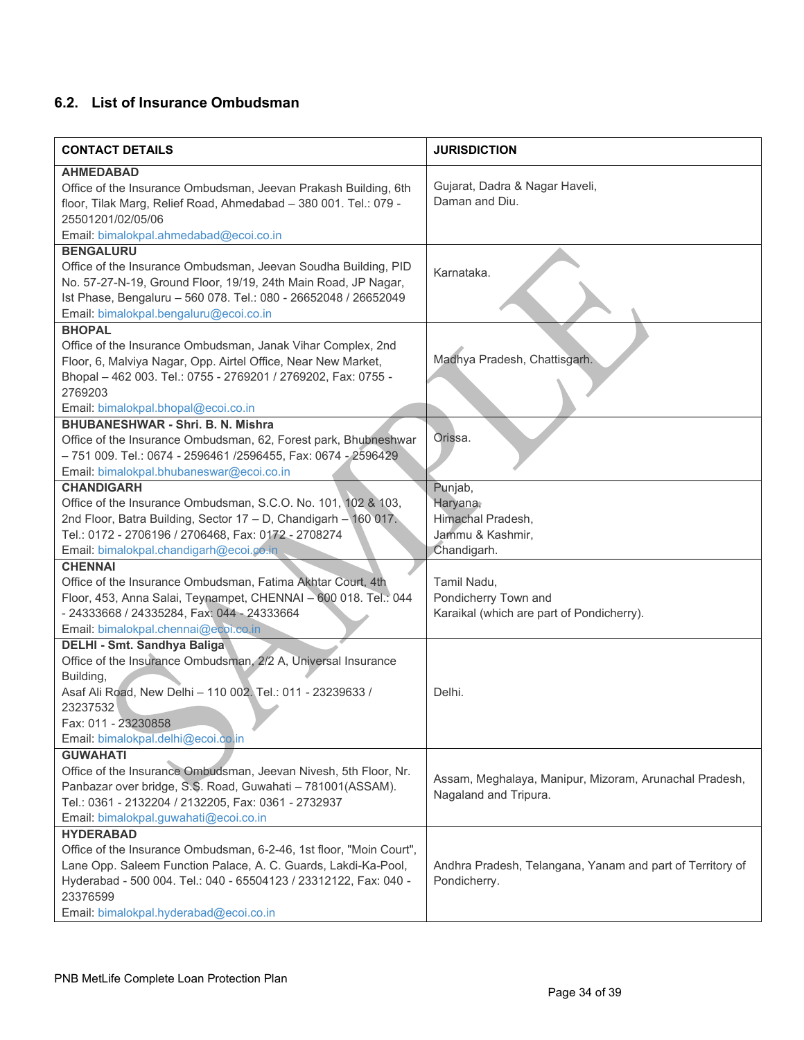# **6.2. List of Insurance Ombudsman**

| <b>CONTACT DETAILS</b>                                                                                        | <b>JURISDICTION</b>                                       |
|---------------------------------------------------------------------------------------------------------------|-----------------------------------------------------------|
| <b>AHMEDABAD</b>                                                                                              |                                                           |
| Office of the Insurance Ombudsman, Jeevan Prakash Building, 6th                                               | Gujarat, Dadra & Nagar Haveli,                            |
| floor, Tilak Marg, Relief Road, Ahmedabad - 380 001. Tel.: 079 -                                              | Daman and Diu.                                            |
| 25501201/02/05/06                                                                                             |                                                           |
| Email: bimalokpal.ahmedabad@ecoi.co.in                                                                        |                                                           |
| <b>BENGALURU</b>                                                                                              |                                                           |
| Office of the Insurance Ombudsman, Jeevan Soudha Building, PID                                                | Karnataka.                                                |
| No. 57-27-N-19, Ground Floor, 19/19, 24th Main Road, JP Nagar,                                                |                                                           |
| Ist Phase, Bengaluru - 560 078. Tel.: 080 - 26652048 / 26652049                                               |                                                           |
| Email: bimalokpal.bengaluru@ecoi.co.in                                                                        |                                                           |
| <b>BHOPAL</b>                                                                                                 |                                                           |
| Office of the Insurance Ombudsman, Janak Vihar Complex, 2nd                                                   |                                                           |
| Floor, 6, Malviya Nagar, Opp. Airtel Office, Near New Market,                                                 | Madhya Pradesh, Chattisgarh.                              |
| Bhopal - 462 003. Tel.: 0755 - 2769201 / 2769202, Fax: 0755 -                                                 |                                                           |
| 2769203                                                                                                       |                                                           |
| Email: bimalokpal.bhopal@ecoi.co.in                                                                           |                                                           |
| <b>BHUBANESHWAR - Shri. B. N. Mishra</b>                                                                      |                                                           |
| Office of the Insurance Ombudsman, 62, Forest park, Bhubneshwar                                               | Orissa.                                                   |
| - 751 009. Tel.: 0674 - 2596461 /2596455, Fax: 0674 - 2596429                                                 |                                                           |
| Email: bimalokpal.bhubaneswar@ecoi.co.in                                                                      |                                                           |
| <b>CHANDIGARH</b>                                                                                             | Punjab,                                                   |
| Office of the Insurance Ombudsman, S.C.O. No. 101, 102 & 103,                                                 | Haryana;                                                  |
| 2nd Floor, Batra Building, Sector 17 - D, Chandigarh - 160 017.                                               | Himachal Pradesh,                                         |
| Tel.: 0172 - 2706196 / 2706468, Fax: 0172 - 2708274                                                           | Jammu & Kashmir,                                          |
| Email: bimalokpal.chandigarh@ecoi.co.in                                                                       | Chandigarh.                                               |
| <b>CHENNAI</b>                                                                                                |                                                           |
| Office of the Insurance Ombudsman, Fatima Akhtar Court, 4th                                                   | Tamil Nadu,                                               |
| Floor, 453, Anna Salai, Teynampet, CHENNAI - 600 018. Tel.: 044<br>- 24333668 / 24335284, Fax: 044 - 24333664 | Pondicherry Town and                                      |
| Email: bimalokpal.chennai@ecoi.co.in                                                                          | Karaikal (which are part of Pondicherry).                 |
| DELHI - Smt. Sandhya Baliga                                                                                   |                                                           |
| Office of the Insurance Ombudsman, 2/2 A, Universal Insurance                                                 |                                                           |
| Building,                                                                                                     |                                                           |
| Asaf Ali Road, New Delhi - 110 002. Tel.: 011 - 23239633 /                                                    | Delhi.                                                    |
| 23237532                                                                                                      |                                                           |
| Fax: 011 - 23230858                                                                                           |                                                           |
| Email: bimalokpal.delhi@ecoi.co.in                                                                            |                                                           |
| <b>GUWAHATI</b>                                                                                               |                                                           |
| Office of the Insurance Ombudsman, Jeevan Nivesh, 5th Floor, Nr.                                              |                                                           |
| Panbazar over bridge, S.S. Road, Guwahati - 781001(ASSAM).                                                    | Assam, Meghalaya, Manipur, Mizoram, Arunachal Pradesh,    |
| Tel.: 0361 - 2132204 / 2132205, Fax: 0361 - 2732937                                                           | Nagaland and Tripura.                                     |
| Email: bimalokpal.guwahati@ecoi.co.in                                                                         |                                                           |
| <b>HYDERABAD</b>                                                                                              |                                                           |
| Office of the Insurance Ombudsman, 6-2-46, 1st floor, "Moin Court",                                           |                                                           |
| Lane Opp. Saleem Function Palace, A. C. Guards, Lakdi-Ka-Pool,                                                | Andhra Pradesh, Telangana, Yanam and part of Territory of |
| Hyderabad - 500 004. Tel.: 040 - 65504123 / 23312122, Fax: 040 -<br>23376599                                  | Pondicherry.                                              |
| Email: bimalokpal.hyderabad@ecoi.co.in                                                                        |                                                           |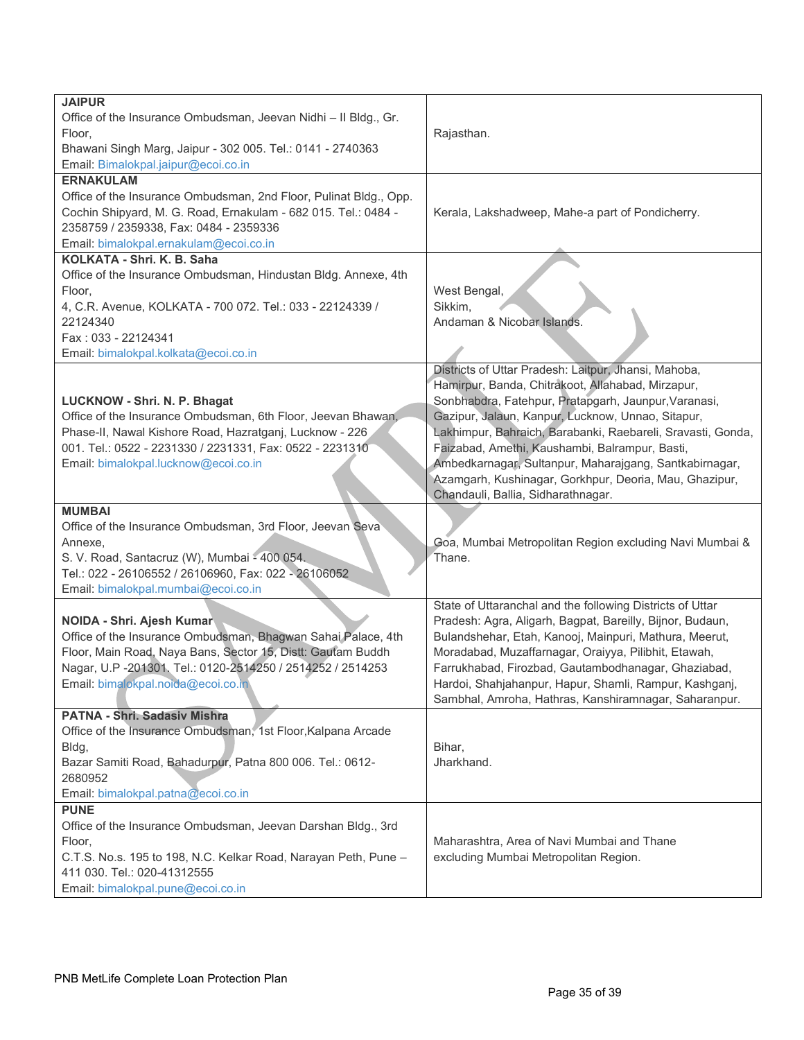| <b>JAIPUR</b>                                                                                        |                                                                                              |  |
|------------------------------------------------------------------------------------------------------|----------------------------------------------------------------------------------------------|--|
| Office of the Insurance Ombudsman, Jeevan Nidhi - Il Bldg., Gr.                                      |                                                                                              |  |
| Floor,                                                                                               | Rajasthan.                                                                                   |  |
| Bhawani Singh Marg, Jaipur - 302 005. Tel.: 0141 - 2740363                                           |                                                                                              |  |
| Email: Bimalokpal.jaipur@ecoi.co.in                                                                  |                                                                                              |  |
| <b>ERNAKULAM</b>                                                                                     |                                                                                              |  |
| Office of the Insurance Ombudsman, 2nd Floor, Pulinat Bldg., Opp.                                    |                                                                                              |  |
| Cochin Shipyard, M. G. Road, Ernakulam - 682 015. Tel.: 0484 -                                       | Kerala, Lakshadweep, Mahe-a part of Pondicherry.                                             |  |
| 2358759 / 2359338, Fax: 0484 - 2359336                                                               |                                                                                              |  |
| Email: bimalokpal.ernakulam@ecoi.co.in                                                               |                                                                                              |  |
| KOLKATA - Shri. K. B. Saha                                                                           |                                                                                              |  |
| Office of the Insurance Ombudsman, Hindustan Bldg. Annexe, 4th                                       |                                                                                              |  |
| Floor,                                                                                               | West Bengal,                                                                                 |  |
| 4, C.R. Avenue, KOLKATA - 700 072. Tel.: 033 - 22124339 /                                            | Sikkim,                                                                                      |  |
| 22124340                                                                                             | Andaman & Nicobar Islands.                                                                   |  |
| Fax: 033 - 22124341                                                                                  |                                                                                              |  |
| Email: bimalokpal.kolkata@ecoi.co.in                                                                 |                                                                                              |  |
|                                                                                                      | Districts of Uttar Pradesh: Laitpur, Jhansi, Mahoba,                                         |  |
|                                                                                                      | Hamirpur, Banda, Chitrakoot, Allahabad, Mirzapur,                                            |  |
| LUCKNOW - Shri. N. P. Bhagat                                                                         | Sonbhabdra, Fatehpur, Pratapgarh, Jaunpur, Varanasi,                                         |  |
| Office of the Insurance Ombudsman, 6th Floor, Jeevan Bhawan,                                         | Gazipur, Jalaun, Kanpur, Lucknow, Unnao, Sitapur,                                            |  |
| Phase-II, Nawal Kishore Road, Hazratganj, Lucknow - 226                                              | Lakhimpur, Bahraich, Barabanki, Raebareli, Sravasti, Gonda,                                  |  |
| 001. Tel.: 0522 - 2231330 / 2231331, Fax: 0522 - 2231310                                             | Faizabad, Amethi, Kaushambi, Balrampur, Basti,                                               |  |
| Email: bimalokpal.lucknow@ecoi.co.in                                                                 | Ambedkarnagar, Sultanpur, Maharajgang, Santkabirnagar,                                       |  |
|                                                                                                      |                                                                                              |  |
|                                                                                                      | Azamgarh, Kushinagar, Gorkhpur, Deoria, Mau, Ghazipur,<br>Chandauli, Ballia, Sidharathnagar. |  |
| <b>MUMBAI</b>                                                                                        |                                                                                              |  |
|                                                                                                      |                                                                                              |  |
| Office of the Insurance Ombudsman, 3rd Floor, Jeevan Seva                                            |                                                                                              |  |
| Annexe,                                                                                              | Goa, Mumbai Metropolitan Region excluding Navi Mumbai &                                      |  |
| S. V. Road, Santacruz (W), Mumbai - 400 054.<br>Tel.: 022 - 26106552 / 26106960, Fax: 022 - 26106052 | Thane.                                                                                       |  |
|                                                                                                      |                                                                                              |  |
| Email: bimalokpal.mumbai@ecoi.co.in                                                                  |                                                                                              |  |
|                                                                                                      | State of Uttaranchal and the following Districts of Uttar                                    |  |
| NOIDA - Shri. Ajesh Kumar                                                                            | Pradesh: Agra, Aligarh, Bagpat, Bareilly, Bijnor, Budaun,                                    |  |
| Office of the Insurance Ombudsman, Bhagwan Sahai Palace, 4th                                         | Bulandshehar, Etah, Kanooj, Mainpuri, Mathura, Meerut,                                       |  |
| Floor, Main Road, Naya Bans, Sector 15, Distt: Gautam Buddh                                          | Moradabad, Muzaffarnagar, Oraiyya, Pilibhit, Etawah,                                         |  |
| Nagar, U.P -201301. Tel.: 0120-2514250 / 2514252 / 2514253                                           | Farrukhabad, Firozbad, Gautambodhanagar, Ghaziabad,                                          |  |
| Email: bimalokpal.noida@ecoi.co.in                                                                   | Hardoi, Shahjahanpur, Hapur, Shamli, Rampur, Kashganj,                                       |  |
|                                                                                                      | Sambhal, Amroha, Hathras, Kanshiramnagar, Saharanpur.                                        |  |
| PATNA - Shri. Sadasiv Mishra                                                                         |                                                                                              |  |
| Office of the Insurance Ombudsman, 1st Floor, Kalpana Arcade                                         |                                                                                              |  |
| Bldg,                                                                                                | Bihar,                                                                                       |  |
| Bazar Samiti Road, Bahadurpur, Patna 800 006. Tel.: 0612-                                            | Jharkhand.                                                                                   |  |
| 2680952                                                                                              |                                                                                              |  |
| Email: bimalokpal.patna@ecoi.co.in                                                                   |                                                                                              |  |
| <b>PUNE</b>                                                                                          |                                                                                              |  |
| Office of the Insurance Ombudsman, Jeevan Darshan Bldg., 3rd                                         |                                                                                              |  |
| Floor,                                                                                               | Maharashtra, Area of Navi Mumbai and Thane                                                   |  |
| C.T.S. No.s. 195 to 198, N.C. Kelkar Road, Narayan Peth, Pune -                                      | excluding Mumbai Metropolitan Region.                                                        |  |
| 411 030. Tel.: 020-41312555                                                                          |                                                                                              |  |
| Email: bimalokpal.pune@ecoi.co.in                                                                    |                                                                                              |  |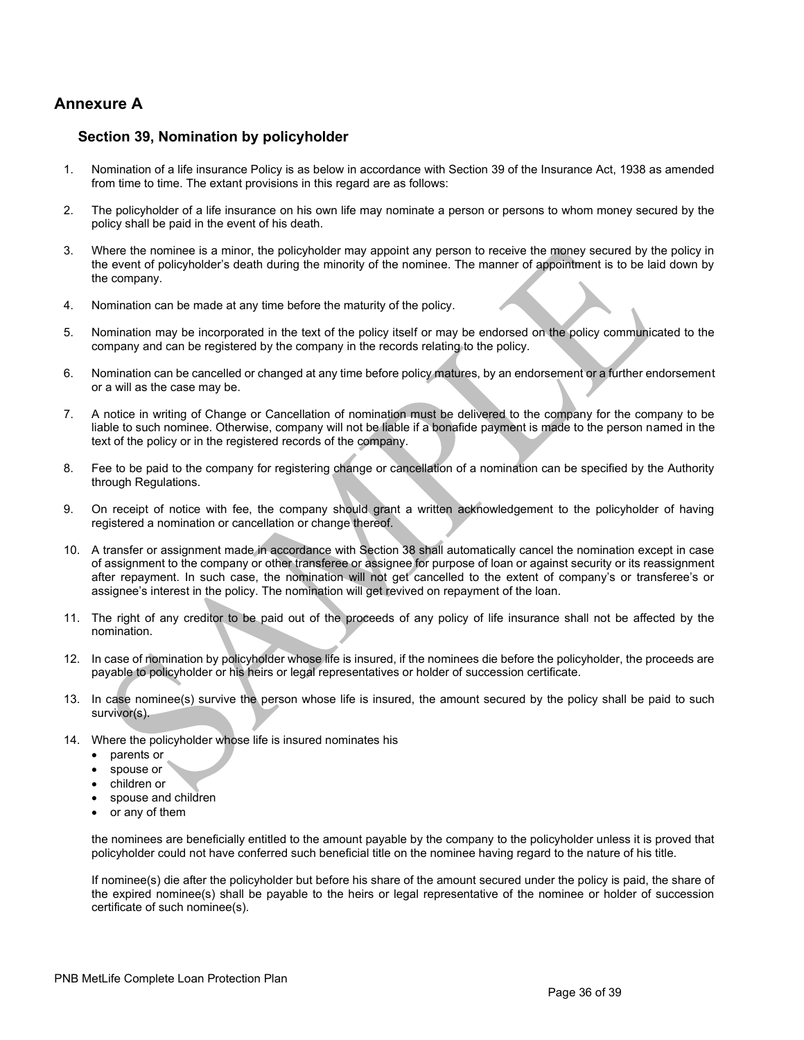# **Annexure A**

### **Section 39, Nomination by policyholder**

- 1. Nomination of a life insurance Policy is as below in accordance with Section 39 of the Insurance Act, 1938 as amended from time to time. The extant provisions in this regard are as follows:
- 2. The policyholder of a life insurance on his own life may nominate a person or persons to whom money secured by the policy shall be paid in the event of his death.
- 3. Where the nominee is a minor, the policyholder may appoint any person to receive the money secured by the policy in the event of policyholder's death during the minority of the nominee. The manner of appointment is to be laid down by the company.
- 4. Nomination can be made at any time before the maturity of the policy.
- 5. Nomination may be incorporated in the text of the policy itself or may be endorsed on the policy communicated to the company and can be registered by the company in the records relating to the policy.
- 6. Nomination can be cancelled or changed at any time before policy matures, by an endorsement or a further endorsement or a will as the case may be.
- 7. A notice in writing of Change or Cancellation of nomination must be delivered to the company for the company to be liable to such nominee. Otherwise, company will not be liable if a bonafide payment is made to the person named in the text of the policy or in the registered records of the company.
- 8. Fee to be paid to the company for registering change or cancellation of a nomination can be specified by the Authority through Regulations.
- 9. On receipt of notice with fee, the company should grant a written acknowledgement to the policyholder of having registered a nomination or cancellation or change thereof.
- 10. A transfer or assignment made in accordance with Section 38 shall automatically cancel the nomination except in case of assignment to the company or other transferee or assignee for purpose of loan or against security or its reassignment after repayment. In such case, the nomination will not get cancelled to the extent of company's or transferee's or assignee's interest in the policy. The nomination will get revived on repayment of the loan.
- 11. The right of any creditor to be paid out of the proceeds of any policy of life insurance shall not be affected by the nomination.
- 12. In case of nomination by policyholder whose life is insured, if the nominees die before the policyholder, the proceeds are payable to policyholder or his heirs or legal representatives or holder of succession certificate.
- 13. In case nominee(s) survive the person whose life is insured, the amount secured by the policy shall be paid to such survivor(s).
- 14. Where the policyholder whose life is insured nominates his
	- parents or
	- spouse or
	- children or
	- spouse and children
	- or any of them

the nominees are beneficially entitled to the amount payable by the company to the policyholder unless it is proved that policyholder could not have conferred such beneficial title on the nominee having regard to the nature of his title.

If nominee(s) die after the policyholder but before his share of the amount secured under the policy is paid, the share of the expired nominee(s) shall be payable to the heirs or legal representative of the nominee or holder of succession certificate of such nominee(s).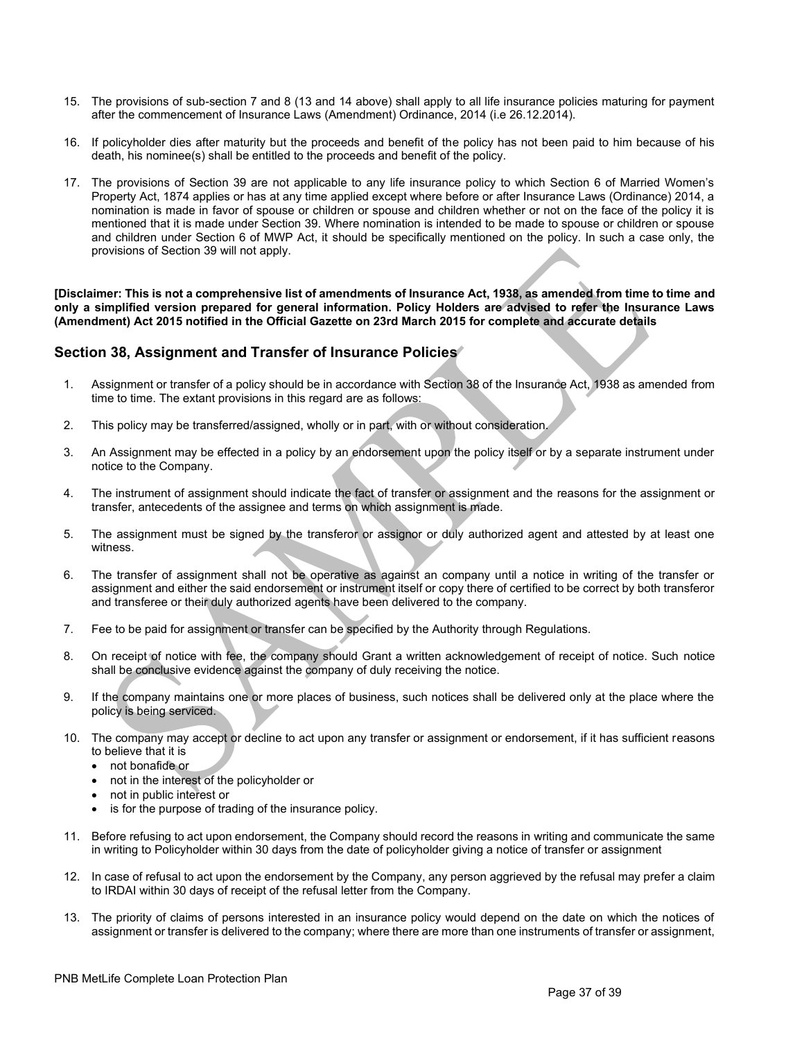- 15. The provisions of sub-section 7 and 8 (13 and 14 above) shall apply to all life insurance policies maturing for payment after the commencement of Insurance Laws (Amendment) Ordinance, 2014 (i.e 26.12.2014).
- 16. If policyholder dies after maturity but the proceeds and benefit of the policy has not been paid to him because of his death, his nominee(s) shall be entitled to the proceeds and benefit of the policy.
- 17. The provisions of Section 39 are not applicable to any life insurance policy to which Section 6 of Married Women's Property Act, 1874 applies or has at any time applied except where before or after Insurance Laws (Ordinance) 2014, a nomination is made in favor of spouse or children or spouse and children whether or not on the face of the policy it is mentioned that it is made under Section 39. Where nomination is intended to be made to spouse or children or spouse and children under Section 6 of MWP Act, it should be specifically mentioned on the policy. In such a case only, the provisions of Section 39 will not apply.

**[Disclaimer: This is not a comprehensive list of amendments of Insurance Act, 1938, as amended from time to time and only a simplified version prepared for general information. Policy Holders are advised to refer the Insurance Laws (Amendment) Act 2015 notified in the Official Gazette on 23rd March 2015 for complete and accurate details**

## **Section 38, Assignment and Transfer of Insurance Policies**

- 1. Assignment or transfer of a policy should be in accordance with Section 38 of the Insurance Act, 1938 as amended from time to time. The extant provisions in this regard are as follows:
- 2. This policy may be transferred/assigned, wholly or in part, with or without consideration.
- 3. An Assignment may be effected in a policy by an endorsement upon the policy itself or by a separate instrument under notice to the Company.
- 4. The instrument of assignment should indicate the fact of transfer or assignment and the reasons for the assignment or transfer, antecedents of the assignee and terms on which assignment is made.
- 5. The assignment must be signed by the transferor or assignor or duly authorized agent and attested by at least one witness.
- 6. The transfer of assignment shall not be operative as against an company until a notice in writing of the transfer or assignment and either the said endorsement or instrument itself or copy there of certified to be correct by both transferor and transferee or their duly authorized agents have been delivered to the company.
- 7. Fee to be paid for assignment or transfer can be specified by the Authority through Regulations.
- 8. On receipt of notice with fee, the company should Grant a written acknowledgement of receipt of notice. Such notice shall be conclusive evidence against the company of duly receiving the notice.
- 9. If the company maintains one or more places of business, such notices shall be delivered only at the place where the policy is being serviced.
- 10. The company may accept or decline to act upon any transfer or assignment or endorsement, if it has sufficient reasons to believe that it is
	- not bonafide or
	- not in the interest of the policyholder or
	- not in public interest or
	- is for the purpose of trading of the insurance policy.
- 11. Before refusing to act upon endorsement, the Company should record the reasons in writing and communicate the same in writing to Policyholder within 30 days from the date of policyholder giving a notice of transfer or assignment
- 12. In case of refusal to act upon the endorsement by the Company, any person aggrieved by the refusal may prefer a claim to IRDAI within 30 days of receipt of the refusal letter from the Company.
- 13. The priority of claims of persons interested in an insurance policy would depend on the date on which the notices of assignment or transfer is delivered to the company; where there are more than one instruments of transfer or assignment,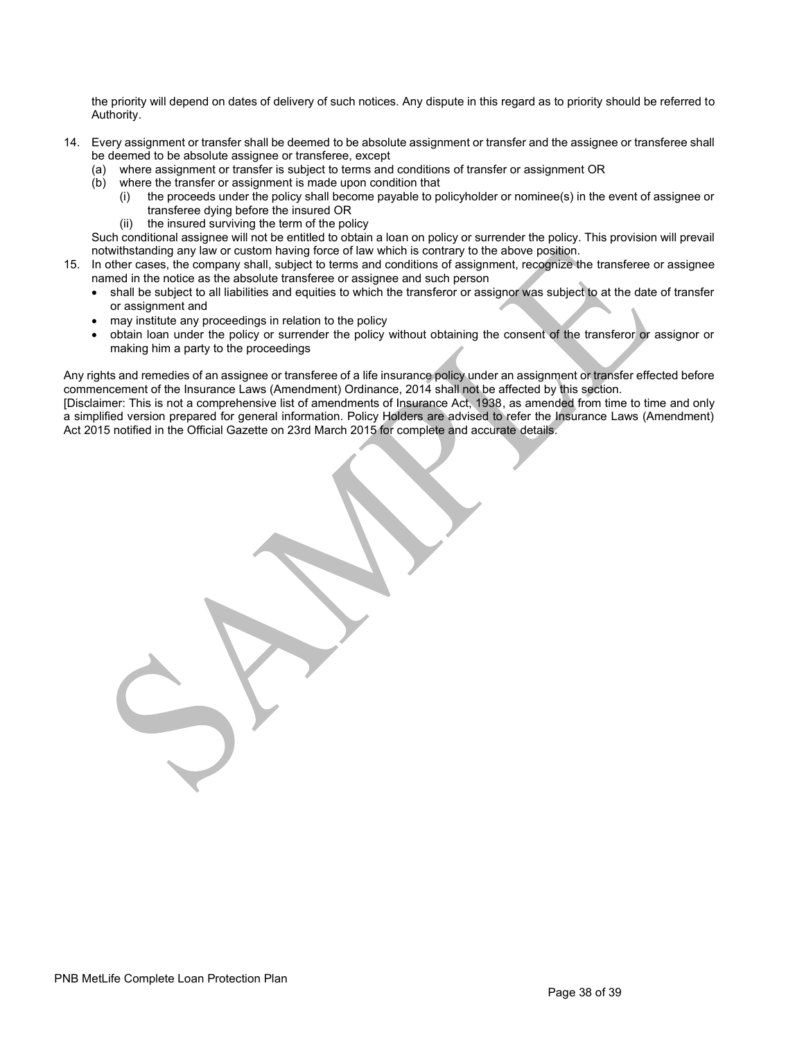the priority will depend on dates of delivery of such notices. Any dispute in this regard as to priority should be referred to Authority.

- 14. Every assignment or transfer shall be deemed to be absolute assignment or transfer and the assignee or transferee shall be deemed to be absolute assignee or transferee, except
	- (a) where assignment or transfer is subject to terms and conditions of transfer or assignment OR
	- (b) where the transfer or assignment is made upon condition that
		- (i) the proceeds under the policy shall become payable to policyholder or nominee(s) in the event of assignee or transferee dying before the insured OR
		- (ii) the insured surviving the term of the policy

Such conditional assignee will not be entitled to obtain a loan on policy or surrender the policy. This provision will prevail notwithstanding any law or custom having force of law which is contrary to the above position.

- 15. In other cases, the company shall, subject to terms and conditions of assignment, recognize the transferee or assignee named in the notice as the absolute transferee or assignee and such person
	- shall be subject to all liabilities and equities to which the transferor or assignor was subject to at the date of transfer or assignment and
	- may institute any proceedings in relation to the policy
	- obtain loan under the policy or surrender the policy without obtaining the consent of the transferor or assignor or making him a party to the proceedings

Any rights and remedies of an assignee or transferee of a life insurance policy under an assignment or transfer effected before commencement of the Insurance Laws (Amendment) Ordinance, 2014 shall not be affected by this section.

[Disclaimer: This is not a comprehensive list of amendments of Insurance Act, 1938, as amended from time to time and only a simplified version prepared for general information. Policy Holders are advised to refer the Insurance Laws (Amendment) Act 2015 notified in the Official Gazette on 23rd March 2015 for complete and accurate details.